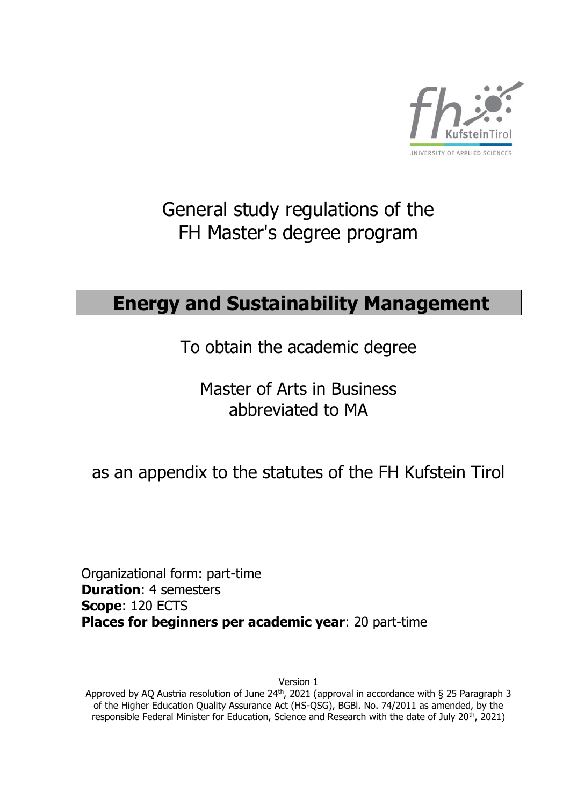

# General study regulations of the FH Master's degree program

# **Energy and Sustainability Management**

To obtain the academic degree

Master of Arts in Business abbreviated to MA

# as an appendix to the statutes of the FH Kufstein Tirol

Organizational form: part-time **Duration**: 4 semesters **Scope**: 120 ECTS **Places for beginners per academic year**: 20 part-time

Version 1

Approved by AQ Austria resolution of June 24<sup>th</sup>, 2021 (approval in accordance with § 25 Paragraph 3 of the Higher Education Quality Assurance Act (HS-QSG), BGBl. No. 74/2011 as amended, by the responsible Federal Minister for Education, Science and Research with the date of July 20<sup>th</sup>, 2021)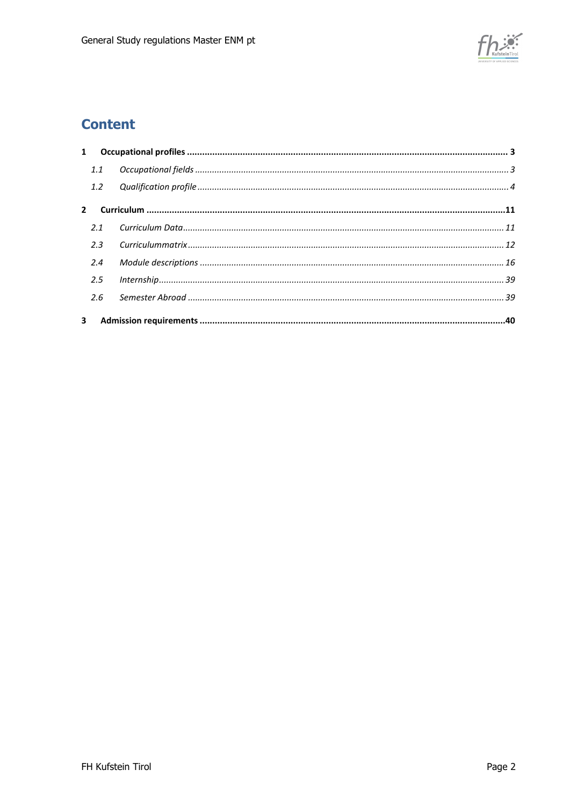

## **Content**

| 1.1           |  |
|---------------|--|
| $1.2^{\circ}$ |  |
|               |  |
| 2.1           |  |
| 2.3           |  |
| 2.4           |  |
| 2.5           |  |
| 2.6           |  |
|               |  |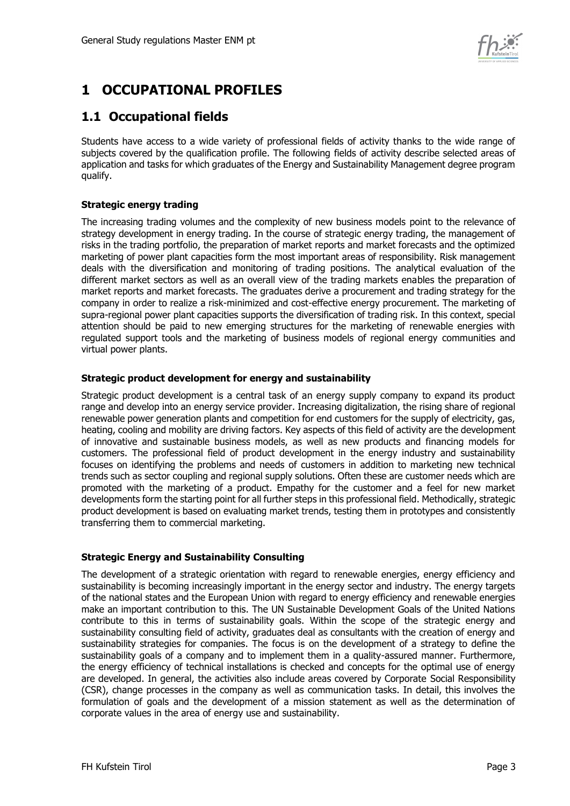

# <span id="page-2-0"></span>**1 OCCUPATIONAL PROFILES**

### <span id="page-2-1"></span>**1.1 Occupational fields**

Students have access to a wide variety of professional fields of activity thanks to the wide range of subjects covered by the qualification profile. The following fields of activity describe selected areas of application and tasks for which graduates of the Energy and Sustainability Management degree program qualify.

### **Strategic energy trading**

The increasing trading volumes and the complexity of new business models point to the relevance of strategy development in energy trading. In the course of strategic energy trading, the management of risks in the trading portfolio, the preparation of market reports and market forecasts and the optimized marketing of power plant capacities form the most important areas of responsibility. Risk management deals with the diversification and monitoring of trading positions. The analytical evaluation of the different market sectors as well as an overall view of the trading markets enables the preparation of market reports and market forecasts. The graduates derive a procurement and trading strategy for the company in order to realize a risk-minimized and cost-effective energy procurement. The marketing of supra-regional power plant capacities supports the diversification of trading risk. In this context, special attention should be paid to new emerging structures for the marketing of renewable energies with regulated support tools and the marketing of business models of regional energy communities and virtual power plants.

### **Strategic product development for energy and sustainability**

Strategic product development is a central task of an energy supply company to expand its product range and develop into an energy service provider. Increasing digitalization, the rising share of regional renewable power generation plants and competition for end customers for the supply of electricity, gas, heating, cooling and mobility are driving factors. Key aspects of this field of activity are the development of innovative and sustainable business models, as well as new products and financing models for customers. The professional field of product development in the energy industry and sustainability focuses on identifying the problems and needs of customers in addition to marketing new technical trends such as sector coupling and regional supply solutions. Often these are customer needs which are promoted with the marketing of a product. Empathy for the customer and a feel for new market developments form the starting point for all further steps in this professional field. Methodically, strategic product development is based on evaluating market trends, testing them in prototypes and consistently transferring them to commercial marketing.

### **Strategic Energy and Sustainability Consulting**

The development of a strategic orientation with regard to renewable energies, energy efficiency and sustainability is becoming increasingly important in the energy sector and industry. The energy targets of the national states and the European Union with regard to energy efficiency and renewable energies make an important contribution to this. The UN Sustainable Development Goals of the United Nations contribute to this in terms of sustainability goals. Within the scope of the strategic energy and sustainability consulting field of activity, graduates deal as consultants with the creation of energy and sustainability strategies for companies. The focus is on the development of a strategy to define the sustainability goals of a company and to implement them in a quality-assured manner. Furthermore, the energy efficiency of technical installations is checked and concepts for the optimal use of energy are developed. In general, the activities also include areas covered by Corporate Social Responsibility (CSR), change processes in the company as well as communication tasks. In detail, this involves the formulation of goals and the development of a mission statement as well as the determination of corporate values in the area of energy use and sustainability.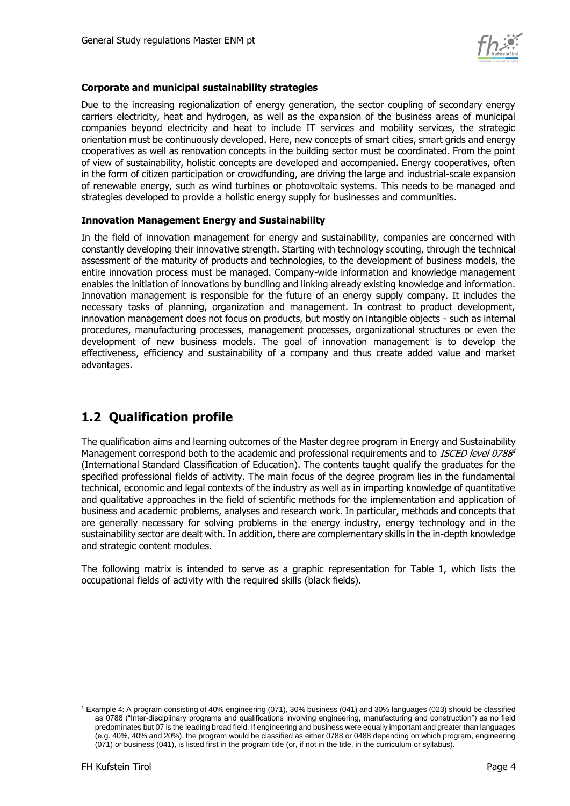

### **Corporate and municipal sustainability strategies**

Due to the increasing regionalization of energy generation, the sector coupling of secondary energy carriers electricity, heat and hydrogen, as well as the expansion of the business areas of municipal companies beyond electricity and heat to include IT services and mobility services, the strategic orientation must be continuously developed. Here, new concepts of smart cities, smart grids and energy cooperatives as well as renovation concepts in the building sector must be coordinated. From the point of view of sustainability, holistic concepts are developed and accompanied. Energy cooperatives, often in the form of citizen participation or crowdfunding, are driving the large and industrial-scale expansion of renewable energy, such as wind turbines or photovoltaic systems. This needs to be managed and strategies developed to provide a holistic energy supply for businesses and communities.

#### **Innovation Management Energy and Sustainability**

In the field of innovation management for energy and sustainability, companies are concerned with constantly developing their innovative strength. Starting with technology scouting, through the technical assessment of the maturity of products and technologies, to the development of business models, the entire innovation process must be managed. Company-wide information and knowledge management enables the initiation of innovations by bundling and linking already existing knowledge and information. Innovation management is responsible for the future of an energy supply company. It includes the necessary tasks of planning, organization and management. In contrast to product development, innovation management does not focus on products, but mostly on intangible objects - such as internal procedures, manufacturing processes, management processes, organizational structures or even the development of new business models. The goal of innovation management is to develop the effectiveness, efficiency and sustainability of a company and thus create added value and market advantages.

### <span id="page-3-0"></span>**1.2 Qualification profile**

The qualification aims and learning outcomes of the Master degree program in Energy and Sustainability Management correspond both to the academic and professional requirements and to *ISCED level 0788<sup>1</sup>* (International Standard Classification of Education). The contents taught qualify the graduates for the specified professional fields of activity. The main focus of the degree program lies in the fundamental technical, economic and legal contexts of the industry as well as in imparting knowledge of quantitative and qualitative approaches in the field of scientific methods for the implementation and application of business and academic problems, analyses and research work. In particular, methods and concepts that are generally necessary for solving problems in the energy industry, energy technology and in the sustainability sector are dealt with. In addition, there are complementary skills in the in-depth knowledge and strategic content modules.

The following matrix is intended to serve as a graphic representation for Table 1, which lists the occupational fields of activity with the required skills (black fields).

-

<sup>1</sup> Example 4: A program consisting of 40% engineering (071), 30% business (041) and 30% languages (023) should be classified as 0788 ("Inter-disciplinary programs and qualifications involving engineering, manufacturing and construction") as no field predominates but 07 is the leading broad field. If engineering and business were equally important and greater than languages (e.g. 40%, 40% and 20%), the program would be classified as either 0788 or 0488 depending on which program, engineering (071) or business (041), is listed first in the program title (or, if not in the title, in the curriculum or syllabus).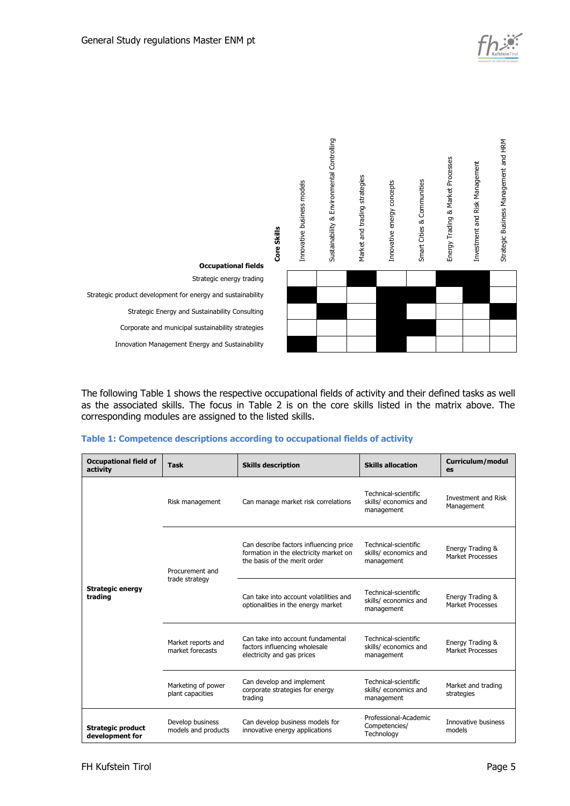



|  |  |  |  |  | Table 1: Competence descriptions according to occupational fields of activity |
|--|--|--|--|--|-------------------------------------------------------------------------------|
|--|--|--|--|--|-------------------------------------------------------------------------------|

|                                                                                                                                                                                                                                                                                                                                                                 | <b>Occupational fields</b>                                                                           |                           | Core Skills | Innovative business models                                        | Sustainability & Environmental Controlling                                       | Market and trading strategies | Innovative energy concepts                                  | Smart Cities & Communities | Energy Trading & Market Processes | Investment and Risk Management                                                                                                                                                                                                                            | Strategic Business Management and HRM |
|-----------------------------------------------------------------------------------------------------------------------------------------------------------------------------------------------------------------------------------------------------------------------------------------------------------------------------------------------------------------|------------------------------------------------------------------------------------------------------|---------------------------|-------------|-------------------------------------------------------------------|----------------------------------------------------------------------------------|-------------------------------|-------------------------------------------------------------|----------------------------|-----------------------------------|-----------------------------------------------------------------------------------------------------------------------------------------------------------------------------------------------------------------------------------------------------------|---------------------------------------|
|                                                                                                                                                                                                                                                                                                                                                                 | Strategic energy trading                                                                             |                           |             |                                                                   |                                                                                  |                               |                                                             |                            |                                   |                                                                                                                                                                                                                                                           |                                       |
| Strategic product development for energy and sustainability                                                                                                                                                                                                                                                                                                     |                                                                                                      |                           |             |                                                                   |                                                                                  |                               |                                                             |                            |                                   |                                                                                                                                                                                                                                                           |                                       |
|                                                                                                                                                                                                                                                                                                                                                                 | Strategic Energy and Sustainability Consulting                                                       |                           |             |                                                                   |                                                                                  |                               |                                                             |                            |                                   |                                                                                                                                                                                                                                                           |                                       |
|                                                                                                                                                                                                                                                                                                                                                                 | Corporate and municipal sustainability strategies<br>Innovation Management Energy and Sustainability |                           |             |                                                                   |                                                                                  |                               |                                                             |                            |                                   |                                                                                                                                                                                                                                                           |                                       |
|                                                                                                                                                                                                                                                                                                                                                                 |                                                                                                      |                           |             |                                                                   |                                                                                  |                               |                                                             |                            |                                   |                                                                                                                                                                                                                                                           |                                       |
| The following Table 1 shows the respective occupational fields of activity and their defined tasks as well<br>as the associated skills. The focus in Table 2 is on the core skills listed in the matrix above. The<br>corresponding modules are assigned to the listed skills.<br>Table 1: Competence descriptions according to occupational fields of activity |                                                                                                      |                           |             |                                                                   |                                                                                  |                               |                                                             |                            |                                   |                                                                                                                                                                                                                                                           |                                       |
| <b>Occupational field of</b><br>activity                                                                                                                                                                                                                                                                                                                        | <b>Task</b>                                                                                          | <b>Skills description</b> |             |                                                                   |                                                                                  |                               | <b>Skills allocation</b>                                    |                            | es                                |                                                                                                                                                                                                                                                           |                                       |
|                                                                                                                                                                                                                                                                                                                                                                 | Risk management                                                                                      |                           |             |                                                                   | Can manage market risk correlations                                              |                               | Technical-scientific<br>skills/ economics and<br>management |                            |                                   |                                                                                                                                                                                                                                                           |                                       |
|                                                                                                                                                                                                                                                                                                                                                                 | Procurement and                                                                                      |                           |             | the basis of the merit order                                      | Can describe factors influencing price<br>formation in the electricity market on |                               | Technical-scientific<br>skills/ economics and<br>management |                            |                                   |                                                                                                                                                                                                                                                           |                                       |
| <b>Strategic energy</b><br>trading                                                                                                                                                                                                                                                                                                                              | trade strategy                                                                                       |                           |             | optionalities in the energy market                                | Can take into account volatilities and                                           |                               | Technical-scientific<br>skills/ economics and<br>management |                            |                                   |                                                                                                                                                                                                                                                           |                                       |
|                                                                                                                                                                                                                                                                                                                                                                 | Market reports and<br>market forecasts                                                               |                           |             | factors influencing wholesale<br>electricity and gas prices       | Can take into account fundamental                                                |                               | Technical-scientific<br>skills/ economics and<br>management |                            |                                   |                                                                                                                                                                                                                                                           |                                       |
|                                                                                                                                                                                                                                                                                                                                                                 |                                                                                                      |                           |             |                                                                   |                                                                                  |                               |                                                             |                            |                                   | Curriculum/modul<br>Investment and Risk<br>Management<br>Energy Trading &<br>Market Processes<br>Energy Trading &<br><b>Market Processes</b><br>Energy Trading &<br>Market Processes<br>Market and trading<br>strategies<br>Innovative business<br>models |                                       |
|                                                                                                                                                                                                                                                                                                                                                                 | Marketing of power<br>plant capacities                                                               | trading                   |             | Can develop and implement<br>corporate strategies for energy      |                                                                                  |                               | Technical-scientific<br>skills/ economics and<br>management |                            |                                   |                                                                                                                                                                                                                                                           |                                       |
| <b>Strategic product</b><br>development for                                                                                                                                                                                                                                                                                                                     | Develop business<br>models and products                                                              |                           |             | Can develop business models for<br>innovative energy applications |                                                                                  |                               | Professional-Academic<br>Competencies/<br>Technology        |                            |                                   |                                                                                                                                                                                                                                                           |                                       |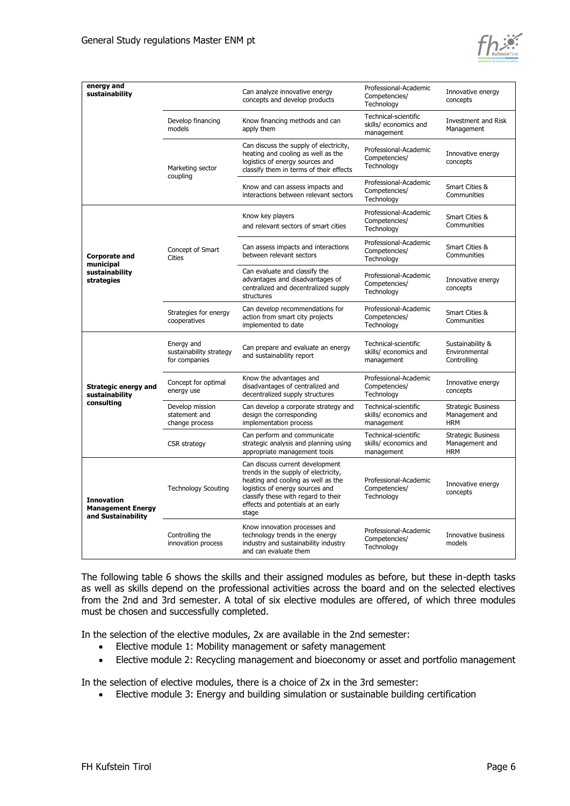

| energy and<br>sustainability                                        |                                                        | Can analyze innovative energy<br>concepts and develop products                                                                                                                                                                         | Professional-Academic<br>Competencies/<br>Technology        | Innovative energy<br>concepts                                                                                                                                                                                             |
|---------------------------------------------------------------------|--------------------------------------------------------|----------------------------------------------------------------------------------------------------------------------------------------------------------------------------------------------------------------------------------------|-------------------------------------------------------------|---------------------------------------------------------------------------------------------------------------------------------------------------------------------------------------------------------------------------|
|                                                                     | Develop financing<br>models                            | Know financing methods and can<br>apply them                                                                                                                                                                                           | Technical-scientific<br>skills/ economics and<br>management | Investment and Risk<br>Management                                                                                                                                                                                         |
|                                                                     | Marketing sector<br>coupling                           | Can discuss the supply of electricity,<br>heating and cooling as well as the<br>logistics of energy sources and<br>classify them in terms of their effects                                                                             | Professional-Academic<br>Competencies/<br>Technology        | Innovative energy<br>concepts                                                                                                                                                                                             |
|                                                                     |                                                        | Know and can assess impacts and<br>interactions between relevant sectors                                                                                                                                                               | Professional-Academic<br>Competencies/<br>Technology        | Smart Cities &<br>Communities                                                                                                                                                                                             |
|                                                                     |                                                        | Know key players<br>and relevant sectors of smart cities                                                                                                                                                                               | Professional-Academic<br>Competencies/<br>Technology        | <b>Smart Cities &amp;</b><br>Communities                                                                                                                                                                                  |
| <b>Corporate and</b><br>municipal                                   | Concept of Smart<br><b>Cities</b>                      | Can assess impacts and interactions<br>between relevant sectors                                                                                                                                                                        | Professional-Academic<br>Competencies/<br>Technology        | <b>Smart Cities &amp;</b><br>Communities                                                                                                                                                                                  |
| sustainability<br>strategies                                        |                                                        | Can evaluate and classify the<br>advantages and disadvantages of<br>centralized and decentralized supply<br>structures                                                                                                                 | Professional-Academic<br>Competencies/<br>Technology        | Innovative energy<br>concepts                                                                                                                                                                                             |
|                                                                     | Strategies for energy<br>cooperatives                  | Can develop recommendations for<br>action from smart city projects<br>implemented to date                                                                                                                                              | Professional-Academic<br>Competencies/<br>Technology        | Smart Cities &<br>Communities                                                                                                                                                                                             |
|                                                                     | Energy and<br>sustainability strategy<br>for companies | Can prepare and evaluate an energy<br>and sustainability report                                                                                                                                                                        | Technical-scientific<br>skills/ economics and<br>management | Sustainability &<br>Environmental<br>Controlling                                                                                                                                                                          |
| <b>Strategic energy and</b><br>sustainability                       | Concept for optimal<br>energy use                      | Know the advantages and<br>disadvantages of centralized and<br>decentralized supply structures                                                                                                                                         | Professional-Academic<br>Competencies/<br>Technology        | Innovative energy<br>concepts<br><b>Strategic Business</b><br>Management and<br><b>HRM</b><br><b>Strategic Business</b><br>Management and<br><b>HRM</b><br>Innovative energy<br>concepts<br>Innovative business<br>models |
| consulting                                                          | Develop mission<br>statement and<br>change process     | Can develop a corporate strategy and<br>design the corresponding<br>implementation process                                                                                                                                             | Technical-scientific<br>skills/ economics and<br>management |                                                                                                                                                                                                                           |
|                                                                     | <b>CSR</b> strategy                                    | Can perform and communicate<br>strategic analysis and planning using<br>appropriate management tools                                                                                                                                   | Technical-scientific<br>skills/ economics and<br>management |                                                                                                                                                                                                                           |
| <b>Innovation</b><br><b>Management Energy</b><br>and Sustainability | <b>Technology Scouting</b>                             | Can discuss current development<br>trends in the supply of electricity,<br>heating and cooling as well as the<br>logistics of energy sources and<br>classify these with regard to their<br>effects and potentials at an early<br>stage | Professional-Academic<br>Competencies/<br>Technology        |                                                                                                                                                                                                                           |
|                                                                     | Controlling the<br>innovation process                  | Know innovation processes and<br>technology trends in the energy<br>industry and sustainability industry<br>and can evaluate them                                                                                                      | Professional-Academic<br>Competencies/<br>Technology        |                                                                                                                                                                                                                           |

The following table 6 shows the skills and their assigned modules as before, but these in-depth tasks as well as skills depend on the professional activities across the board and on the selected electives from the 2nd and 3rd semester. A total of six elective modules are offered, of which three modules must be chosen and successfully completed.

In the selection of the elective modules, 2x are available in the 2nd semester:

- Elective module 1: Mobility management or safety management
- Elective module 2: Recycling management and bioeconomy or asset and portfolio management

In the selection of elective modules, there is a choice of 2x in the 3rd semester:

• Elective module 3: Energy and building simulation or sustainable building certification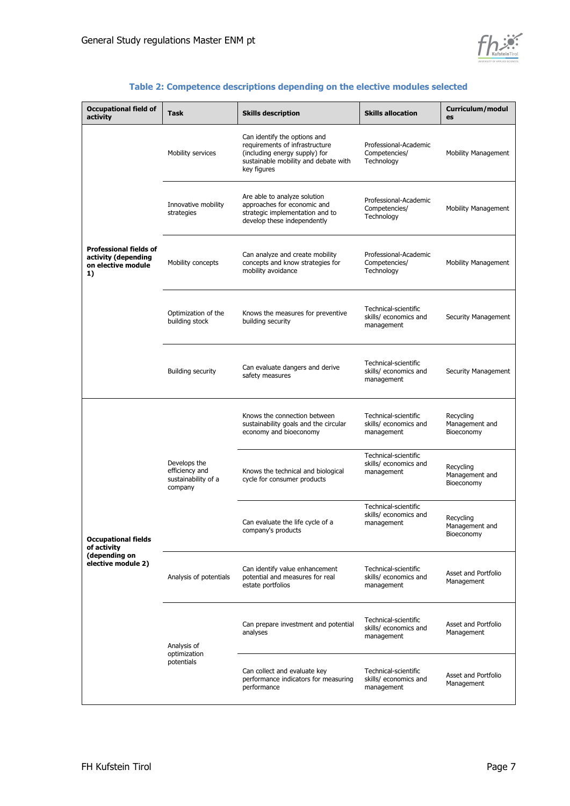

| Table 2: Competence descriptions depending on the elective modules selected |  |  |  |  |
|-----------------------------------------------------------------------------|--|--|--|--|
|-----------------------------------------------------------------------------|--|--|--|--|

| <b>Occupational field of</b><br>activity                                         | <b>Task</b>                                                      | <b>Skills description</b>                                                                                                                              | <b>Skills allocation</b>                                    | Curriculum/modul<br>es                                                                                                                                                                                                                             |  |
|----------------------------------------------------------------------------------|------------------------------------------------------------------|--------------------------------------------------------------------------------------------------------------------------------------------------------|-------------------------------------------------------------|----------------------------------------------------------------------------------------------------------------------------------------------------------------------------------------------------------------------------------------------------|--|
|                                                                                  | Mobility services                                                | Can identify the options and<br>requirements of infrastructure<br>(including energy supply) for<br>sustainable mobility and debate with<br>key figures | Professional-Academic<br>Competencies/<br>Technology        | Mobility Management                                                                                                                                                                                                                                |  |
|                                                                                  | Innovative mobility<br>strategies                                | Are able to analyze solution<br>approaches for economic and<br>strategic implementation and to<br>develop these independently                          | Professional-Academic<br>Competencies/<br>Technology        | Mobility Management                                                                                                                                                                                                                                |  |
| <b>Professional fields of</b><br>activity (depending<br>on elective module<br>1) | Mobility concepts                                                | Can analyze and create mobility<br>concepts and know strategies for<br>mobility avoidance                                                              | Professional-Academic<br>Competencies/<br>Technology        | <b>Mobility Management</b>                                                                                                                                                                                                                         |  |
|                                                                                  | Optimization of the<br>building stock                            | Knows the measures for preventive<br>building security                                                                                                 | Technical-scientific<br>skills/ economics and<br>management | Security Management                                                                                                                                                                                                                                |  |
|                                                                                  | <b>Building security</b>                                         | Can evaluate dangers and derive<br>safety measures                                                                                                     | Technical-scientific<br>skills/ economics and<br>management | Security Management                                                                                                                                                                                                                                |  |
|                                                                                  |                                                                  | Knows the connection between<br>sustainability goals and the circular<br>economy and bioeconomy                                                        | Technical-scientific<br>skills/ economics and<br>management |                                                                                                                                                                                                                                                    |  |
|                                                                                  | Develops the<br>efficiency and<br>sustainability of a<br>company | Knows the technical and biological<br>cycle for consumer products                                                                                      | Technical-scientific<br>skills/ economics and<br>management | Recycling<br>Management and<br>Bioeconomy<br>Recycling<br>Management and<br>Bioeconomy<br>Recycling<br>Management and<br>Bioeconomy<br>Asset and Portfolio<br>Management<br>Asset and Portfolio<br>Management<br>Asset and Portfolio<br>Management |  |
| <b>Occupational fields</b><br>of activity                                        |                                                                  | Can evaluate the life cycle of a<br>company's products                                                                                                 | Technical-scientific<br>skills/ economics and<br>management |                                                                                                                                                                                                                                                    |  |
| (depending on<br>elective module 2)                                              | Analysis of potentials                                           | Can identify value enhancement<br>potential and measures for real<br>estate portfolios                                                                 | Technical-scientific<br>skills/ economics and<br>management |                                                                                                                                                                                                                                                    |  |
|                                                                                  | Analysis of<br>optimization                                      | Can prepare investment and potential<br>analyses                                                                                                       | Technical-scientific<br>skills/ economics and<br>management |                                                                                                                                                                                                                                                    |  |
|                                                                                  | potentials                                                       | Can collect and evaluate key<br>performance indicators for measuring<br>performance                                                                    | Technical-scientific<br>skills/ economics and<br>management |                                                                                                                                                                                                                                                    |  |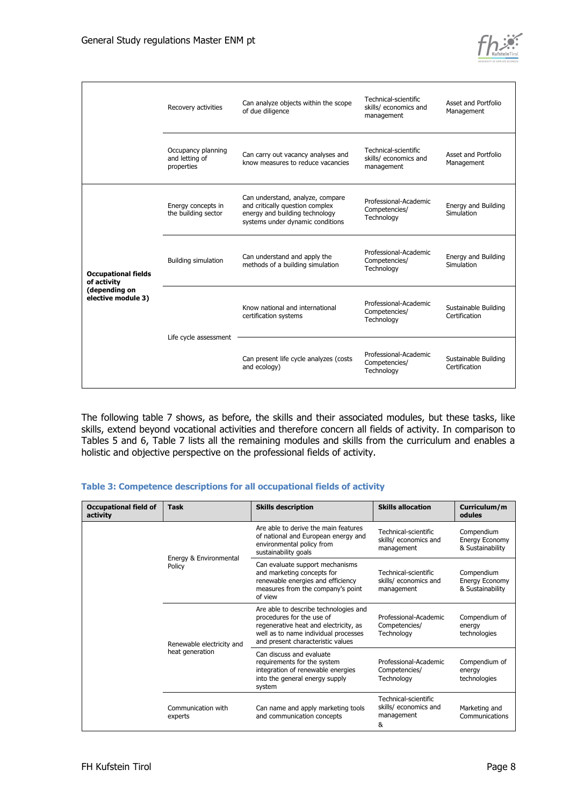

|                                           | Recovery activities                                | Can analyze objects within the scope<br>of due diligence                                                                                  | Technical-scientific<br>skills/ economics and<br>management | Asset and Portfolio<br>Management                                          |
|-------------------------------------------|----------------------------------------------------|-------------------------------------------------------------------------------------------------------------------------------------------|-------------------------------------------------------------|----------------------------------------------------------------------------|
|                                           | Occupancy planning<br>and letting of<br>properties | Can carry out vacancy analyses and<br>know measures to reduce vacancies                                                                   | Technical-scientific<br>skills/ economics and<br>management | Asset and Portfolio<br>Management                                          |
|                                           | Energy concepts in<br>the building sector          | Can understand, analyze, compare<br>and critically question complex<br>energy and building technology<br>systems under dynamic conditions | Professional-Academic<br>Competencies/<br>Technology        | Energy and Building<br>Simulation                                          |
| <b>Occupational fields</b><br>of activity | <b>Building simulation</b>                         | Can understand and apply the<br>methods of a building simulation                                                                          | Professional-Academic<br>Competencies/<br>Technology        | Energy and Building<br>Simulation<br>Sustainable Building<br>Certification |
| (depending on<br>elective module 3)       |                                                    | Know national and international<br>certification systems                                                                                  | Professional-Academic<br>Competencies/<br>Technology        | Sustainable Building<br>Certification                                      |
|                                           | Life cycle assessment                              | Can present life cycle analyzes (costs<br>and ecology)                                                                                    | Professional-Academic<br>Competencies/<br>Technology        |                                                                            |

The following table 7 shows, as before, the skills and their associated modules, but these tasks, like skills, extend beyond vocational activities and therefore concern all fields of activity. In comparison to Tables 5 and 6, Table 7 lists all the remaining modules and skills from the curriculum and enables a holistic and objective perspective on the professional fields of activity.

| <b>Occupational field of</b><br>activity | <b>Task</b>                                  | <b>Skills description</b>                                                                                                                                                                | <b>Skills allocation</b>                                         | Curriculum/m<br>odules                                  |  |
|------------------------------------------|----------------------------------------------|------------------------------------------------------------------------------------------------------------------------------------------------------------------------------------------|------------------------------------------------------------------|---------------------------------------------------------|--|
|                                          |                                              | Are able to derive the main features<br>of national and European energy and<br>environmental policy from<br>sustainability goals                                                         | Technical-scientific<br>skills/ economics and<br>management      | Compendium<br><b>Energy Economy</b><br>& Sustainability |  |
|                                          | Energy & Environmental<br>Policy             | Can evaluate support mechanisms<br>and marketing concepts for<br>renewable energies and efficiency<br>measures from the company's point<br>of view                                       | Technical-scientific<br>skills/ economics and<br>management      | Compendium<br>Energy Economy<br>& Sustainability        |  |
|                                          | Renewable electricity and<br>heat generation | Are able to describe technologies and<br>procedures for the use of<br>regenerative heat and electricity, as<br>well as to name individual processes<br>and present characteristic values | Professional-Academic<br>Competencies/<br>Technology             | Compendium of<br>energy<br>technologies                 |  |
|                                          |                                              | Can discuss and evaluate<br>requirements for the system<br>integration of renewable energies<br>into the general energy supply<br>system                                                 | Professional-Academic<br>Competencies/<br>Technology             | Compendium of<br>energy<br>technologies                 |  |
|                                          | Communication with<br>experts                | Can name and apply marketing tools<br>and communication concepts                                                                                                                         | Technical-scientific<br>skills/ economics and<br>management<br>& | Marketing and<br>Communications                         |  |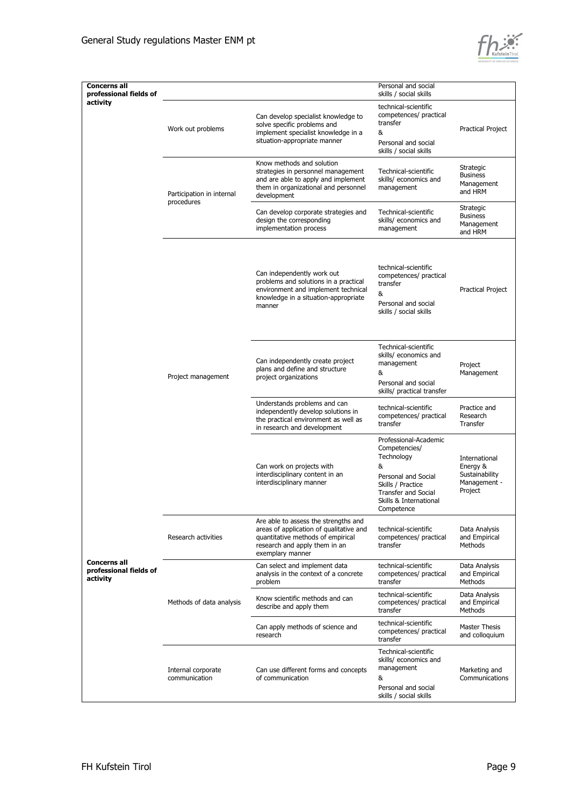

| <b>Concerns all</b><br>professional fields of             |                                         |                                                                                                                                                                           | Personal and social<br>skills / social skills                                                                                                                               |                                                                        |
|-----------------------------------------------------------|-----------------------------------------|---------------------------------------------------------------------------------------------------------------------------------------------------------------------------|-----------------------------------------------------------------------------------------------------------------------------------------------------------------------------|------------------------------------------------------------------------|
| activity                                                  | Work out problems                       | Can develop specialist knowledge to<br>solve specific problems and<br>implement specialist knowledge in a<br>situation-appropriate manner                                 | technical-scientific<br>competences/ practical<br>transfer<br>&<br>Personal and social<br>skills / social skills                                                            | Practical Project                                                      |
|                                                           | Participation in internal<br>procedures | Know methods and solution<br>strategies in personnel management<br>and are able to apply and implement<br>them in organizational and personnel<br>development             | Technical-scientific<br>skills/ economics and<br>management                                                                                                                 | Strategic<br><b>Business</b><br>Management<br>and HRM                  |
|                                                           |                                         | Can develop corporate strategies and<br>design the corresponding<br>implementation process                                                                                | Technical-scientific<br>skills/ economics and<br>management                                                                                                                 | Strategic<br><b>Business</b><br>Management<br>and HRM                  |
|                                                           |                                         | Can independently work out<br>problems and solutions in a practical<br>environment and implement technical<br>knowledge in a situation-appropriate<br>manner              | technical-scientific<br>competences/ practical<br>transfer<br>&<br>Personal and social<br>skills / social skills                                                            | Practical Project                                                      |
|                                                           | Project management                      | Can independently create project<br>plans and define and structure<br>project organizations                                                                               | Technical-scientific<br>skills/ economics and<br>management<br>&<br>Personal and social<br>skills/ practical transfer                                                       | Project<br>Management                                                  |
|                                                           |                                         | Understands problems and can<br>independently develop solutions in<br>the practical environment as well as<br>in research and development                                 | technical-scientific<br>competences/ practical<br>transfer                                                                                                                  | Practice and<br>Research<br>Transfer                                   |
|                                                           |                                         | Can work on projects with<br>interdisciplinary content in an<br>interdisciplinary manner                                                                                  | Professional-Academic<br>Competencies/<br>Technology<br>&<br>Personal and Social<br>Skills / Practice<br><b>Transfer and Social</b><br>Skills & International<br>Competence | International<br>Energy &<br>Sustainability<br>Management -<br>Project |
|                                                           | Research activities                     | Are able to assess the strengths and<br>areas of application of qualitative and<br>quantitative methods of empirical<br>research and apply them in an<br>exemplary manner | technical-scientific<br>competences/ practical<br>transfer                                                                                                                  | Data Analysis<br>and Empirical<br>Methods                              |
| <b>Concerns all</b><br>professional fields of<br>activity |                                         | Can select and implement data<br>analysis in the context of a concrete<br>problem                                                                                         | technical-scientific<br>competences/ practical<br>transfer                                                                                                                  | Data Analysis<br>and Empirical<br>Methods                              |
|                                                           | Methods of data analysis                | Know scientific methods and can<br>describe and apply them                                                                                                                | technical-scientific<br>competences/ practical<br>transfer                                                                                                                  | Data Analysis<br>and Empirical<br>Methods                              |
|                                                           |                                         | Can apply methods of science and<br>research                                                                                                                              | technical-scientific<br>competences/ practical<br>transfer                                                                                                                  | Master Thesis<br>and colloquium                                        |
|                                                           | Internal corporate<br>communication     | Can use different forms and concepts<br>of communication                                                                                                                  | Technical-scientific<br>skills/ economics and<br>management<br>&<br>Personal and social<br>skills / social skills                                                           | Marketing and<br>Communications                                        |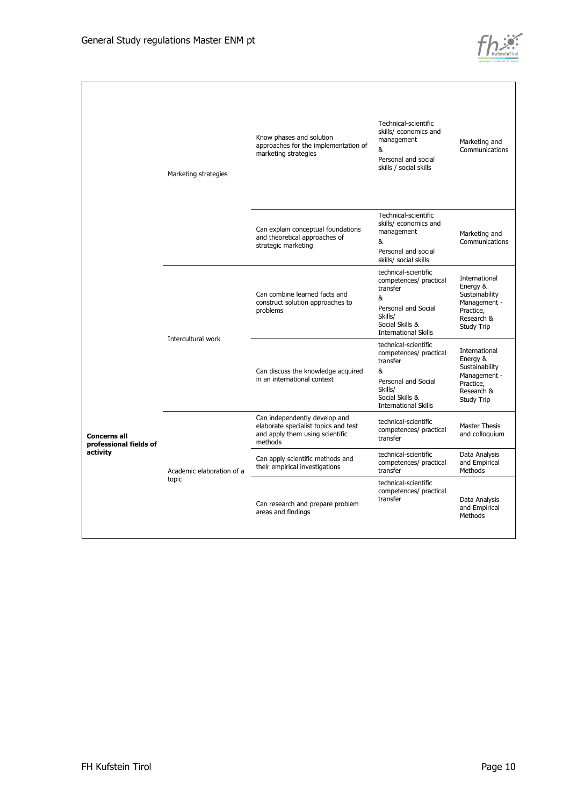

|                                               | Marketing strategies      | Know phases and solution<br>approaches for the implementation of<br>marketing strategies                            | Technical-scientific<br>skills/ economics and<br>management<br>&<br>Personal and social<br>skills / social skills                                   | Marketing and<br>Communications                                                                      |
|-----------------------------------------------|---------------------------|---------------------------------------------------------------------------------------------------------------------|-----------------------------------------------------------------------------------------------------------------------------------------------------|------------------------------------------------------------------------------------------------------|
|                                               |                           | Can explain conceptual foundations<br>and theoretical approaches of<br>strategic marketing                          | Technical-scientific<br>skills/ economics and<br>management<br>&<br>Personal and social<br>skills/ social skills                                    | Marketing and<br>Communications                                                                      |
|                                               | Intercultural work        | Can combine learned facts and<br>construct solution approaches to<br>problems                                       | technical-scientific<br>competences/ practical<br>transfer<br>&<br>Personal and Social<br>Skills/<br>Social Skills &<br><b>International Skills</b> | International<br>Energy &<br>Sustainability<br>Management -<br>Practice,<br>Research &<br>Study Trip |
|                                               |                           | Can discuss the knowledge acquired<br>in an international context                                                   | technical-scientific<br>competences/ practical<br>transfer<br>&<br>Personal and Social<br>Skills/<br>Social Skills &<br><b>International Skills</b> | International<br>Energy &<br>Sustainability<br>Management -<br>Practice,<br>Research &<br>Study Trip |
| <b>Concerns all</b><br>professional fields of |                           | Can independently develop and<br>elaborate specialist topics and test<br>and apply them using scientific<br>methods | technical-scientific<br>competences/ practical<br>transfer                                                                                          | Master Thesis<br>and colloquium                                                                      |
| activity                                      | Academic elaboration of a | Can apply scientific methods and<br>their empirical investigations                                                  | technical-scientific<br>competences/ practical<br>transfer                                                                                          | Data Analysis<br>and Empirical<br>Methods                                                            |
|                                               | topic                     | Can research and prepare problem<br>areas and findings                                                              | technical-scientific<br>competences/ practical<br>transfer                                                                                          | Data Analysis<br>and Empirical<br>Methods                                                            |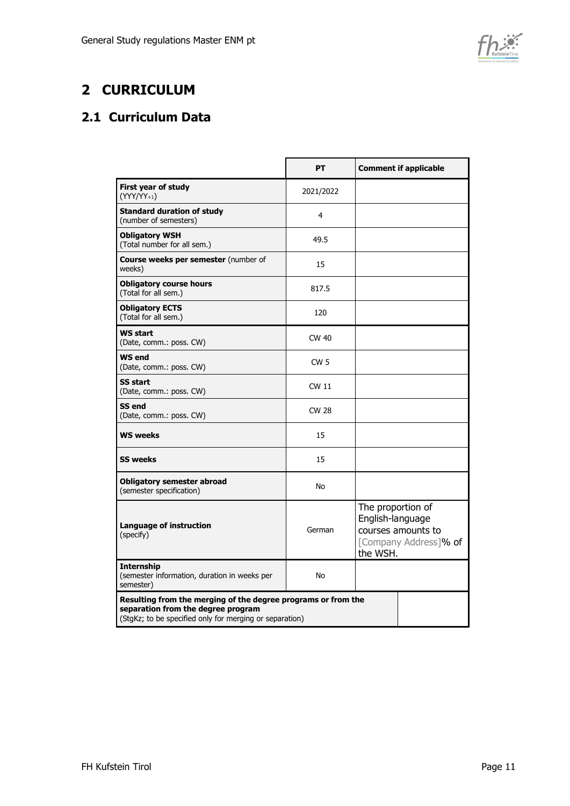

# <span id="page-10-0"></span>**2 CURRICULUM**

### <span id="page-10-1"></span>**2.1 Curriculum Data**

|                                                                                                                                                                | PT              | <b>Comment if applicable</b>                                                                     |
|----------------------------------------------------------------------------------------------------------------------------------------------------------------|-----------------|--------------------------------------------------------------------------------------------------|
| <b>First year of study</b><br>$(YYY/YY_{+1})$                                                                                                                  | 2021/2022       |                                                                                                  |
| <b>Standard duration of study</b><br>(number of semesters)                                                                                                     | $\overline{4}$  |                                                                                                  |
| <b>Obligatory WSH</b><br>(Total number for all sem.)                                                                                                           | 49.5            |                                                                                                  |
| Course weeks per semester (number of<br>weeks)                                                                                                                 | 15              |                                                                                                  |
| <b>Obligatory course hours</b><br>(Total for all sem.)                                                                                                         | 817.5           |                                                                                                  |
| <b>Obligatory ECTS</b><br>(Total for all sem.)                                                                                                                 | 120             |                                                                                                  |
| <b>WS start</b><br>(Date, comm.: poss. CW)                                                                                                                     | CW 40           |                                                                                                  |
| <b>WS end</b><br>(Date, comm.: poss. CW)                                                                                                                       | CW <sub>5</sub> |                                                                                                  |
| <b>SS start</b><br>(Date, comm.: poss. CW)                                                                                                                     | <b>CW 11</b>    |                                                                                                  |
| SS end<br>(Date, comm.: poss. CW)                                                                                                                              | <b>CW 28</b>    |                                                                                                  |
| <b>WS weeks</b>                                                                                                                                                | 15              |                                                                                                  |
| <b>SS weeks</b>                                                                                                                                                | 15              |                                                                                                  |
| <b>Obligatory semester abroad</b><br>(semester specification)                                                                                                  | No              |                                                                                                  |
| <b>Language of instruction</b><br>(specify)                                                                                                                    | German          | The proportion of<br>English-language<br>courses amounts to<br>[Company Address]% of<br>the WSH. |
| <b>Internship</b><br>(semester information, duration in weeks per<br>semester)                                                                                 | No.             |                                                                                                  |
| Resulting from the merging of the degree programs or from the<br>separation from the degree program<br>(StgKz; to be specified only for merging or separation) |                 |                                                                                                  |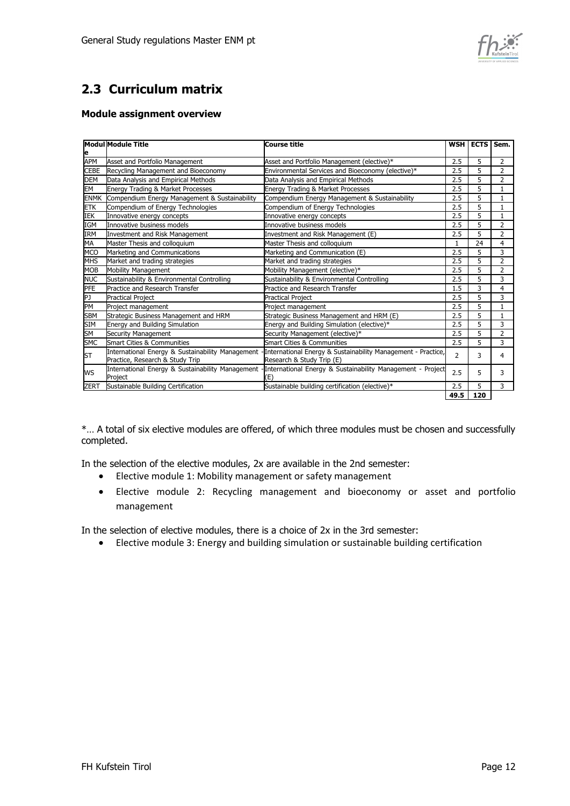

# <span id="page-11-0"></span>**2.3 Curriculum matrix**

#### **Module assignment overview**

|             | <b>Modul Module Title</b>                     | Course title                                                                                                                                | <b>WSH</b>     | <b>ECTS</b> | Sem.           |
|-------------|-----------------------------------------------|---------------------------------------------------------------------------------------------------------------------------------------------|----------------|-------------|----------------|
| ۱е<br>APM   | Asset and Portfolio Management                | Asset and Portfolio Management (elective)*                                                                                                  | 2.5            | 5           | 2              |
| <b>CEBE</b> | Recycling Management and Bioeconomy           | Environmental Services and Bioeconomy (elective)*                                                                                           | 2.5            | 5           | $\overline{2}$ |
| <b>DEM</b>  | Data Analysis and Empirical Methods           | Data Analysis and Empirical Methods                                                                                                         | 2.5            | 5           | $\overline{2}$ |
| EM          | Energy Trading & Market Processes             | Energy Trading & Market Processes                                                                                                           | 2.5            | 5           | 1              |
| <b>ENMK</b> | Compendium Energy Management & Sustainability | Compendium Energy Management & Sustainability                                                                                               | 2.5            | 5           | 1              |
| <b>ETK</b>  | Compendium of Energy Technologies             | Compendium of Energy Technologies                                                                                                           | 2.5            | 5           | $\mathbf{1}$   |
| IEK         | Innovative energy concepts                    | Innovative energy concepts                                                                                                                  | 2.5            | 5           | 1              |
| IGM         | Innovative business models                    | Innovative business models                                                                                                                  | 2.5            | 5           | $\overline{2}$ |
| IRM         | <b>Investment and Risk Management</b>         | Investment and Risk Management (E)                                                                                                          | 2.5            | 5           | 2              |
| МA          | Master Thesis and colloquium                  | Master Thesis and colloquium                                                                                                                | 1              | 24          | $\overline{4}$ |
| <b>MCO</b>  | Marketing and Communications                  | Marketing and Communication (E)                                                                                                             | 2.5            | 5           | 3              |
| <b>MHS</b>  | Market and trading strategies                 | Market and trading strategies                                                                                                               | 2.5            | 5           | $\overline{2}$ |
| <b>MOB</b>  | Mobility Management                           | Mobility Management (elective)*                                                                                                             | 2.5            | 5           | $\overline{2}$ |
| <b>NUC</b>  | Sustainability & Environmental Controlling    | Sustainability & Environmental Controlling                                                                                                  | 2.5            | 5           | 3              |
| <b>PFE</b>  | <b>Practice and Research Transfer</b>         | <b>Practice and Research Transfer</b>                                                                                                       | 1.5            | 3           | 4              |
| PJ          | <b>Practical Project</b>                      | <b>Practical Project</b>                                                                                                                    | 2.5            | 5           | 3              |
| PM          | Project management                            | Project management                                                                                                                          | 2.5            | 5           | $\mathbf{1}$   |
| <b>SBM</b>  | Strategic Business Management and HRM         | Strategic Business Management and HRM (E)                                                                                                   | 2.5            | 5           | 1              |
| <b>SIM</b>  | <b>Energy and Building Simulation</b>         | Energy and Building Simulation (elective)*                                                                                                  | 2.5            | 5           | 3              |
| <b>SM</b>   | Security Management                           | Security Management (elective)*                                                                                                             | 2.5            | 5           | $\overline{2}$ |
| <b>SMC</b>  | <b>Smart Cities &amp; Communities</b>         | <b>Smart Cities &amp; Communities</b>                                                                                                       | 2.5            | 5           | 3              |
| lsт         | Practice, Research & Study Trip               | International Energy & Sustainability Management -International Energy & Sustainability Management - Practice,<br>Research & Study Trip (E) | $\overline{2}$ | 3           | 4              |
| <b>WS</b>   | Project                                       | International Energy & Sustainability Management -International Energy & Sustainability Management - Project<br>(E)                         | 2.5            | 5           | 3              |
| ZERT        | Sustainable Building Certification            | Sustainable building certification (elective)*                                                                                              | 2.5            | 5           | 3              |
|             |                                               |                                                                                                                                             | 49.5           | 120         |                |

\*… A total of six elective modules are offered, of which three modules must be chosen and successfully completed.

In the selection of the elective modules, 2x are available in the 2nd semester:

- Elective module 1: Mobility management or safety management
- Elective module 2: Recycling management and bioeconomy or asset and portfolio management

In the selection of elective modules, there is a choice of 2x in the 3rd semester:

• Elective module 3: Energy and building simulation or sustainable building certification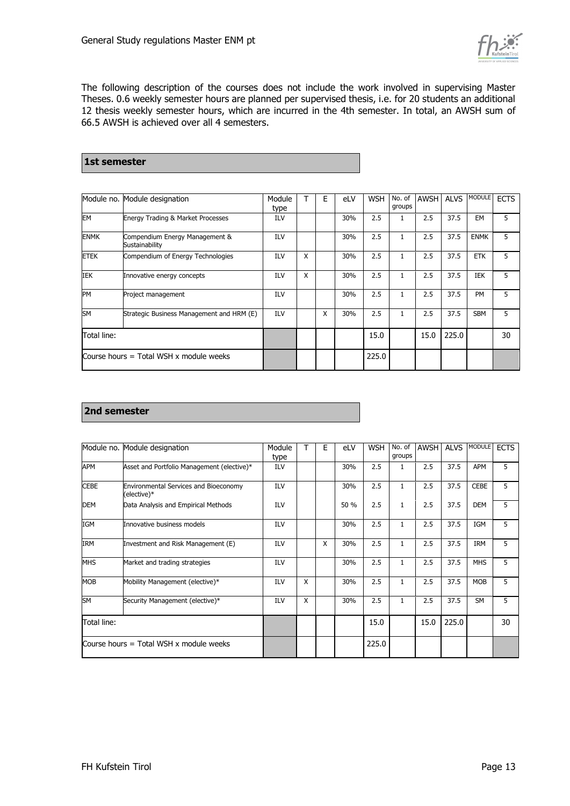

The following description of the courses does not include the work involved in supervising Master Theses. 0.6 weekly semester hours are planned per supervised thesis, i.e. for 20 students an additional 12 thesis weekly semester hours, which are incurred in the 4th semester. In total, an AWSH sum of 66.5 AWSH is achieved over all 4 semesters.

#### **1st semester**

|                                         | Module no. Module designation                    | Module<br>type |   | Е | eLV | <b>WSH</b> | No. of<br>groups | <b>AWSH</b> | <b>ALVS</b> | <b>MODULE</b> | <b>ECTS</b> |
|-----------------------------------------|--------------------------------------------------|----------------|---|---|-----|------------|------------------|-------------|-------------|---------------|-------------|
| <b>EM</b>                               | <b>Energy Trading &amp; Market Processes</b>     | ILV            |   |   | 30% | 2.5        | 1                | 2.5         | 37.5        | <b>EM</b>     | 5           |
| <b>ENMK</b>                             | Compendium Energy Management &<br>Sustainability | ILV            |   |   | 30% | 2.5        | 1                | 2.5         | 37.5        | <b>ENMK</b>   | 5           |
| <b>ETEK</b>                             | Compendium of Energy Technologies                | <b>ILV</b>     | X |   | 30% | 2.5        |                  | 2.5         | 37.5        | <b>ETK</b>    | 5.          |
| IEK                                     | Innovative energy concepts                       | ILV            | X |   | 30% | 2.5        | 1                | 2.5         | 37.5        | <b>IEK</b>    | 5           |
| <b>PM</b>                               | Project management                               | <b>ILV</b>     |   |   | 30% | 2.5        | 1                | 2.5         | 37.5        | <b>PM</b>     | 5           |
| <b>SM</b>                               | Strategic Business Management and HRM (E)        | ILV            |   | X | 30% | 2.5        | 1                | 2.5         | 37.5        | <b>SBM</b>    | 5.          |
| Total line:                             |                                                  |                |   |   |     | 15.0       |                  | 15.0        | 225.0       |               | 30          |
| Course hours = Total WSH x module weeks |                                                  |                |   |   |     | 225.0      |                  |             |             |               |             |

#### **2nd semester**

| Module no.                              | Module designation                                   | Module     |   | E | eLV  | <b>WSH</b> | No. of       | <b>AWSH</b> | <b>ALVS</b> | <b>MODULE</b> | <b>ECTS</b> |
|-----------------------------------------|------------------------------------------------------|------------|---|---|------|------------|--------------|-------------|-------------|---------------|-------------|
|                                         |                                                      | type       |   |   |      |            | groups       |             |             |               |             |
| APM                                     | Asset and Portfolio Management (elective)*           | ILV        |   |   | 30%  | 2.5        | 1            | 2.5         | 37.5        | <b>APM</b>    | 5           |
| <b>CEBE</b>                             | Environmental Services and Bioeconomy<br>(elective)* | <b>ILV</b> |   |   | 30%  | 2.5        | $\mathbf{1}$ | 2.5         | 37.5        | <b>CEBE</b>   | 5           |
| <b>DEM</b>                              | Data Analysis and Empirical Methods                  | <b>ILV</b> |   |   | 50 % | 2.5        | 1            | 2.5         | 37.5        | <b>DEM</b>    | 5           |
| IGM                                     | Innovative business models                           | ILV        |   |   | 30%  | 2.5        | 1            | 2.5         | 37.5        | <b>IGM</b>    | 5           |
| IRM                                     | Investment and Risk Management (E)                   | ILV        |   | X | 30%  | 2.5        | 1            | 2.5         | 37.5        | <b>IRM</b>    | 5           |
| <b>MHS</b>                              | Market and trading strategies                        | <b>ILV</b> |   |   | 30%  | 2.5        | $\mathbf{1}$ | 2.5         | 37.5        | <b>MHS</b>    | 5           |
| <b>MOB</b>                              | Mobility Management (elective)*                      | <b>ILV</b> | X |   | 30%  | 2.5        | $\mathbf{1}$ | 2.5         | 37.5        | <b>MOB</b>    | 5           |
| <b>SM</b>                               | Security Management (elective)*                      | ILV        | X |   | 30%  | 2.5        | 1            | 2.5         | 37.5        | <b>SM</b>     | 5           |
| Total line:                             |                                                      |            |   |   |      | 15.0       |              | 15.0        | 225.0       |               | 30          |
| Course hours = Total WSH x module weeks |                                                      |            |   |   |      | 225.0      |              |             |             |               |             |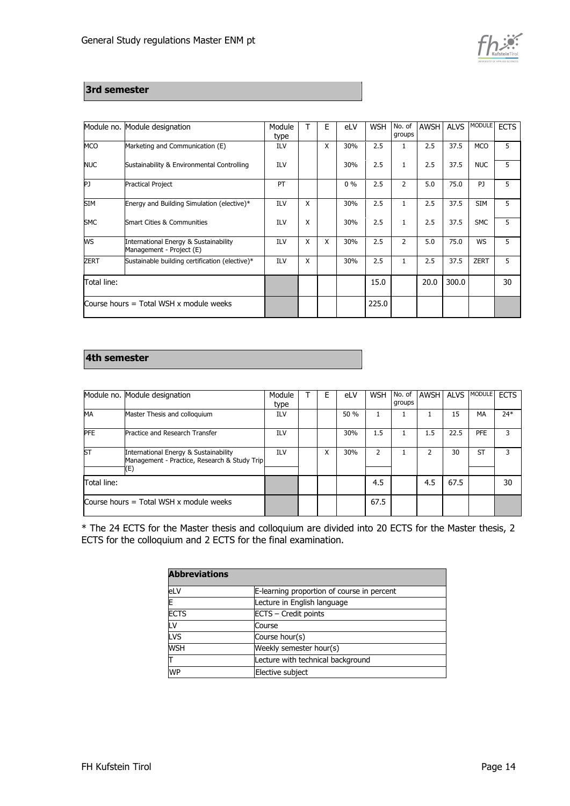

### **3rd semester**

|                                         | Module no. Module designation                                     | Module<br>type |   | E | eLV   | <b>WSH</b> | No. of<br>groups | <b>AWSH</b> | <b>ALVS</b> | <b>MODULE</b>  | <b>ECTS</b> |
|-----------------------------------------|-------------------------------------------------------------------|----------------|---|---|-------|------------|------------------|-------------|-------------|----------------|-------------|
| <b>MCO</b>                              | Marketing and Communication (E)                                   | ILV            |   | X | 30%   | 2.5        | 1                | 2.5         | 37.5        | <b>MCO</b>     | 5           |
| <b>NUC</b>                              | Sustainability & Environmental Controlling                        | ILV            |   |   | 30%   | 2.5        | 1                | 2.5         | 37.5        | <b>NUC</b>     | 5           |
| PJ                                      | <b>Practical Project</b>                                          | PT             |   |   | $0\%$ | 2.5        | $\overline{2}$   | 5.0         | 75.0        | P <sub>J</sub> | 5           |
| <b>SIM</b>                              | Energy and Building Simulation (elective)*                        | ILV            | X |   | 30%   | 2.5        | $\mathbf{1}$     | 2.5         | 37.5        | <b>SIM</b>     | 5           |
| <b>SMC</b>                              | <b>Smart Cities &amp; Communities</b>                             | <b>ILV</b>     | X |   | 30%   | 2.5        |                  | 2.5         | 37.5        | <b>SMC</b>     | 5           |
| WS                                      | International Energy & Sustainability<br>Management - Project (E) | <b>ILV</b>     | X | X | 30%   | 2.5        | $\overline{2}$   | 5.0         | 75.0        | <b>WS</b>      | 5           |
| <b>ZERT</b>                             | Sustainable building certification (elective)*                    | ILV            | X |   | 30%   | 2.5        | 1                | 2.5         | 37.5        | <b>ZERT</b>    | 5           |
| Total line:                             |                                                                   |                |   |   |       | 15.0       |                  | 20.0        | 300.0       |                | 30          |
| Course hours = Total WSH x module weeks |                                                                   |                |   |   |       | 225.0      |                  |             |             |                |             |

#### **4th semester**

| Module no.                                | Module designation                                                                          | Module<br>type | F | eLV  | <b>WSH</b> | No. of<br>groups | AWSH | <b>ALVS</b> | <b>MODULE</b> | <b>ECTS</b> |
|-------------------------------------------|---------------------------------------------------------------------------------------------|----------------|---|------|------------|------------------|------|-------------|---------------|-------------|
| MA                                        | Master Thesis and colloquium                                                                | <b>ILV</b>     |   | 50 % |            |                  |      | 15          | MA            | $24*$       |
| <b>PFE</b>                                | Practice and Research Transfer                                                              | ILV            |   | 30%  | 1.5        |                  | 1.5  | 22.5        | <b>PFE</b>    |             |
| lsт                                       | International Energy & Sustainability<br>Management - Practice, Research & Study Trip<br>E) | ILV            | X | 30%  | 2          |                  |      | 30          | ST            | 3           |
| Total line:                               |                                                                                             |                |   |      | 4.5        |                  | 4.5  | 67.5        |               | 30          |
| Course hours $=$ Total WSH x module weeks |                                                                                             |                |   |      | 67.5       |                  |      |             |               |             |

\* The 24 ECTS for the Master thesis and colloquium are divided into 20 ECTS for the Master thesis, 2 ECTS for the colloquium and 2 ECTS for the final examination.

| <b>Abbreviations</b> |                                            |
|----------------------|--------------------------------------------|
| eLV                  | E-learning proportion of course in percent |
| E                    | Lecture in English language                |
| <b>ECTS</b>          | ECTS - Credit points                       |
| LV                   | Course                                     |
| LVS                  | Course hour(s)                             |
| <b>WSH</b>           | Weekly semester hour(s)                    |
|                      | Lecture with technical background          |
| <b>WP</b>            | Elective subject                           |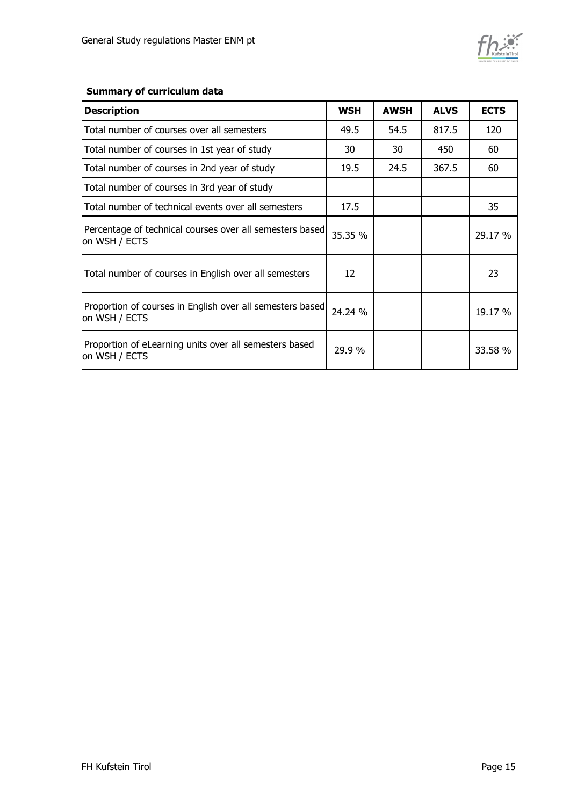

### **Summary of curriculum data**

| <b>Description</b>                                                         | <b>WSH</b> | <b>AWSH</b> | <b>ALVS</b> | <b>ECTS</b> |
|----------------------------------------------------------------------------|------------|-------------|-------------|-------------|
| Total number of courses over all semesters                                 | 49.5       | 54.5        | 817.5       | 120         |
| Total number of courses in 1st year of study                               | 30         | 30          | 450         | 60          |
| Total number of courses in 2nd year of study                               | 19.5       | 24.5        | 367.5       | 60          |
| Total number of courses in 3rd year of study                               |            |             |             |             |
| Total number of technical events over all semesters                        | 17.5       |             |             | 35          |
| Percentage of technical courses over all semesters based<br>on WSH / ECTS  | 35.35 %    |             |             | 29.17 %     |
| Total number of courses in English over all semesters                      | 12         |             |             | 23          |
| Proportion of courses in English over all semesters based<br>on WSH / ECTS | 24.24 %    |             |             | 19.17 %     |
| Proportion of eLearning units over all semesters based<br>on WSH / ECTS    | 29.9%      |             |             | 33.58 %     |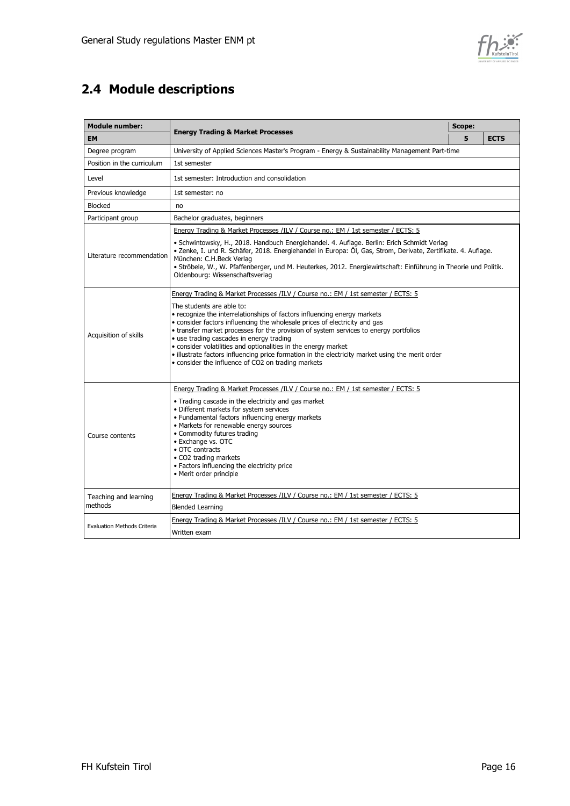

## <span id="page-15-0"></span>**2.4 Module descriptions**

| <b>Module number:</b>              |                                                                                                                                                                                                                                                                                                                                                                                                                                                                                                                                                                                                                                          |   |             |
|------------------------------------|------------------------------------------------------------------------------------------------------------------------------------------------------------------------------------------------------------------------------------------------------------------------------------------------------------------------------------------------------------------------------------------------------------------------------------------------------------------------------------------------------------------------------------------------------------------------------------------------------------------------------------------|---|-------------|
| <b>EM</b>                          | <b>Energy Trading &amp; Market Processes</b>                                                                                                                                                                                                                                                                                                                                                                                                                                                                                                                                                                                             | 5 | <b>ECTS</b> |
| Degree program                     | University of Applied Sciences Master's Program - Energy & Sustainability Management Part-time                                                                                                                                                                                                                                                                                                                                                                                                                                                                                                                                           |   |             |
| Position in the curriculum         | 1st semester                                                                                                                                                                                                                                                                                                                                                                                                                                                                                                                                                                                                                             |   |             |
| Level                              | 1st semester: Introduction and consolidation                                                                                                                                                                                                                                                                                                                                                                                                                                                                                                                                                                                             |   |             |
| Previous knowledge                 | 1st semester: no                                                                                                                                                                                                                                                                                                                                                                                                                                                                                                                                                                                                                         |   |             |
| <b>Blocked</b>                     | no                                                                                                                                                                                                                                                                                                                                                                                                                                                                                                                                                                                                                                       |   |             |
| Participant group                  | Bachelor graduates, beginners                                                                                                                                                                                                                                                                                                                                                                                                                                                                                                                                                                                                            |   |             |
|                                    | Energy Trading & Market Processes /ILV / Course no.: EM / 1st semester / ECTS: 5                                                                                                                                                                                                                                                                                                                                                                                                                                                                                                                                                         |   |             |
| Literature recommendation          | · Schwintowsky, H., 2018. Handbuch Energiehandel. 4. Auflage. Berlin: Erich Schmidt Verlag<br>· Zenke, I. und R. Schäfer, 2018. Energiehandel in Europa: Öl, Gas, Strom, Derivate, Zertifikate. 4. Auflage.<br>München: C.H.Beck Verlag<br>· Ströbele, W., W. Pfaffenberger, und M. Heuterkes, 2012. Energiewirtschaft: Einführung in Theorie und Politik.<br>Oldenbourg: Wissenschaftsverlag                                                                                                                                                                                                                                            |   |             |
| Acquisition of skills              | Energy Trading & Market Processes /ILV / Course no.: EM / 1st semester / ECTS: 5<br>The students are able to:<br>• recognize the interrelationships of factors influencing energy markets<br>• consider factors influencing the wholesale prices of electricity and gas<br>• transfer market processes for the provision of system services to energy portfolios<br>• use trading cascades in energy trading<br>• consider volatilities and optionalities in the energy market<br>· illustrate factors influencing price formation in the electricity market using the merit order<br>• consider the influence of CO2 on trading markets |   |             |
| Course contents                    | Energy Trading & Market Processes /ILV / Course no.: EM / 1st semester / ECTS: 5<br>• Trading cascade in the electricity and gas market<br>· Different markets for system services<br>• Fundamental factors influencing energy markets<br>• Markets for renewable energy sources<br>• Commodity futures trading<br>· Exchange vs. OTC<br>• OTC contracts<br>• CO2 trading markets<br>• Factors influencing the electricity price<br>• Merit order principle                                                                                                                                                                              |   |             |
| Teaching and learning<br>methods   | Energy Trading & Market Processes /ILV / Course no.: EM / 1st semester / ECTS: 5<br><b>Blended Learning</b>                                                                                                                                                                                                                                                                                                                                                                                                                                                                                                                              |   |             |
| <b>Evaluation Methods Criteria</b> | Energy Trading & Market Processes /ILV / Course no.: EM / 1st semester / ECTS: 5<br>Written exam                                                                                                                                                                                                                                                                                                                                                                                                                                                                                                                                         |   |             |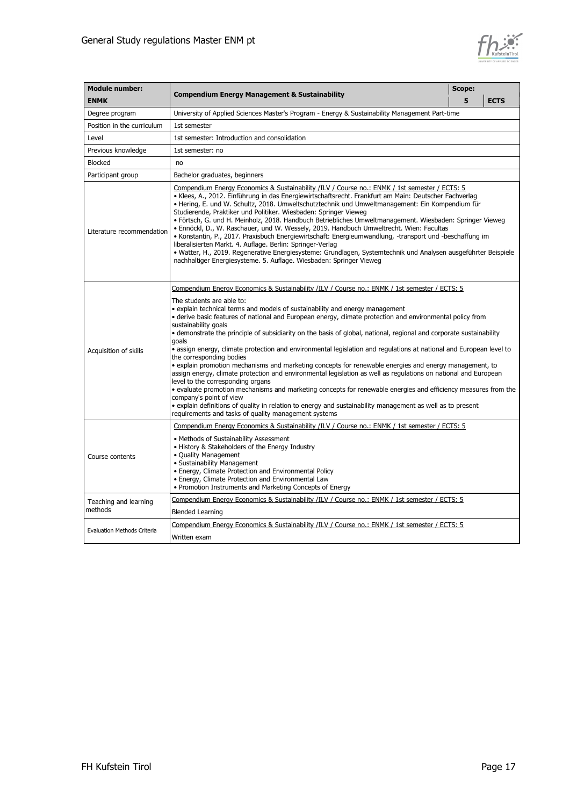

| <b>Module number:</b>                                                                                                                                                                                                                                                                                                                                                                                                                           |                                                                                                                                                                                                                                                                                                                                                                                                                                                                                                                                                                                                                                                                                                                                                                                                                                                                                                                                                                                                                                                                                                                                                                                                                         | Scope: |             |
|-------------------------------------------------------------------------------------------------------------------------------------------------------------------------------------------------------------------------------------------------------------------------------------------------------------------------------------------------------------------------------------------------------------------------------------------------|-------------------------------------------------------------------------------------------------------------------------------------------------------------------------------------------------------------------------------------------------------------------------------------------------------------------------------------------------------------------------------------------------------------------------------------------------------------------------------------------------------------------------------------------------------------------------------------------------------------------------------------------------------------------------------------------------------------------------------------------------------------------------------------------------------------------------------------------------------------------------------------------------------------------------------------------------------------------------------------------------------------------------------------------------------------------------------------------------------------------------------------------------------------------------------------------------------------------------|--------|-------------|
| <b>ENMK</b>                                                                                                                                                                                                                                                                                                                                                                                                                                     | <b>Compendium Energy Management &amp; Sustainability</b>                                                                                                                                                                                                                                                                                                                                                                                                                                                                                                                                                                                                                                                                                                                                                                                                                                                                                                                                                                                                                                                                                                                                                                | 5      | <b>ECTS</b> |
| Degree program                                                                                                                                                                                                                                                                                                                                                                                                                                  | University of Applied Sciences Master's Program - Energy & Sustainability Management Part-time                                                                                                                                                                                                                                                                                                                                                                                                                                                                                                                                                                                                                                                                                                                                                                                                                                                                                                                                                                                                                                                                                                                          |        |             |
| Position in the curriculum                                                                                                                                                                                                                                                                                                                                                                                                                      | 1st semester                                                                                                                                                                                                                                                                                                                                                                                                                                                                                                                                                                                                                                                                                                                                                                                                                                                                                                                                                                                                                                                                                                                                                                                                            |        |             |
| Level                                                                                                                                                                                                                                                                                                                                                                                                                                           | 1st semester: Introduction and consolidation                                                                                                                                                                                                                                                                                                                                                                                                                                                                                                                                                                                                                                                                                                                                                                                                                                                                                                                                                                                                                                                                                                                                                                            |        |             |
| Previous knowledge                                                                                                                                                                                                                                                                                                                                                                                                                              | 1st semester: no                                                                                                                                                                                                                                                                                                                                                                                                                                                                                                                                                                                                                                                                                                                                                                                                                                                                                                                                                                                                                                                                                                                                                                                                        |        |             |
| <b>Blocked</b>                                                                                                                                                                                                                                                                                                                                                                                                                                  | no                                                                                                                                                                                                                                                                                                                                                                                                                                                                                                                                                                                                                                                                                                                                                                                                                                                                                                                                                                                                                                                                                                                                                                                                                      |        |             |
| Participant group                                                                                                                                                                                                                                                                                                                                                                                                                               | Bachelor graduates, beginners                                                                                                                                                                                                                                                                                                                                                                                                                                                                                                                                                                                                                                                                                                                                                                                                                                                                                                                                                                                                                                                                                                                                                                                           |        |             |
| Literature recommendation                                                                                                                                                                                                                                                                                                                                                                                                                       | Compendium Energy Economics & Sustainability /ILV / Course no.: ENMK / 1st semester / ECTS: 5<br>· Klees, A., 2012. Einführung in das Energiewirtschaftsrecht. Frankfurt am Main: Deutscher Fachverlag<br>· Hering, E. und W. Schultz, 2018. Umweltschutztechnik und Umweltmanagement: Ein Kompendium für<br>Studierende, Praktiker und Politiker. Wiesbaden: Springer Vieweg<br>· Förtsch, G. und H. Meinholz, 2018. Handbuch Betriebliches Umweltmanagement. Wiesbaden: Springer Vieweg<br>· Ennöckl, D., W. Raschauer, und W. Wessely, 2019. Handbuch Umweltrecht. Wien: Facultas<br>• Konstantin, P., 2017. Praxisbuch Energiewirtschaft: Energieumwandlung, -transport und -beschaffung im<br>liberalisierten Markt. 4. Auflage. Berlin: Springer-Verlag<br>· Watter, H., 2019. Regenerative Energiesysteme: Grundlagen, Systemtechnik und Analysen ausgeführter Beispiele<br>nachhaltiger Energiesysteme. 5. Auflage. Wiesbaden: Springer Vieweg                                                                                                                                                                                                                                                                  |        |             |
| Acquisition of skills                                                                                                                                                                                                                                                                                                                                                                                                                           | Compendium Energy Economics & Sustainability /ILV / Course no.: ENMK / 1st semester / ECTS: 5<br>The students are able to:<br>• explain technical terms and models of sustainability and energy management<br>• derive basic features of national and European energy, climate protection and environmental policy from<br>sustainability goals<br>· demonstrate the principle of subsidiarity on the basis of global, national, regional and corporate sustainability<br>qoals<br>• assign energy, climate protection and environmental legislation and regulations at national and European level to<br>the corresponding bodies<br>• explain promotion mechanisms and marketing concepts for renewable energies and energy management, to<br>assign energy, climate protection and environmental legislation as well as regulations on national and European<br>level to the corresponding organs<br>• evaluate promotion mechanisms and marketing concepts for renewable energies and efficiency measures from the<br>company's point of view<br>• explain definitions of quality in relation to energy and sustainability management as well as to present<br>requirements and tasks of quality management systems |        |             |
| Compendium Energy Economics & Sustainability /ILV / Course no.: ENMK / 1st semester / ECTS: 5<br>• Methods of Sustainability Assessment<br>• History & Stakeholders of the Energy Industry<br>• Quality Management<br>Course contents<br>• Sustainability Management<br>• Energy, Climate Protection and Environmental Policy<br>• Energy, Climate Protection and Environmental Law<br>• Promotion Instruments and Marketing Concepts of Energy |                                                                                                                                                                                                                                                                                                                                                                                                                                                                                                                                                                                                                                                                                                                                                                                                                                                                                                                                                                                                                                                                                                                                                                                                                         |        |             |
| Teaching and learning<br>methods                                                                                                                                                                                                                                                                                                                                                                                                                | Compendium Energy Economics & Sustainability /ILV / Course no.: ENMK / 1st semester / ECTS: 5<br><b>Blended Learning</b>                                                                                                                                                                                                                                                                                                                                                                                                                                                                                                                                                                                                                                                                                                                                                                                                                                                                                                                                                                                                                                                                                                |        |             |
| <b>Evaluation Methods Criteria</b>                                                                                                                                                                                                                                                                                                                                                                                                              | Compendium Energy Economics & Sustainability /ILV / Course no.: ENMK / 1st semester / ECTS: 5<br>Written exam                                                                                                                                                                                                                                                                                                                                                                                                                                                                                                                                                                                                                                                                                                                                                                                                                                                                                                                                                                                                                                                                                                           |        |             |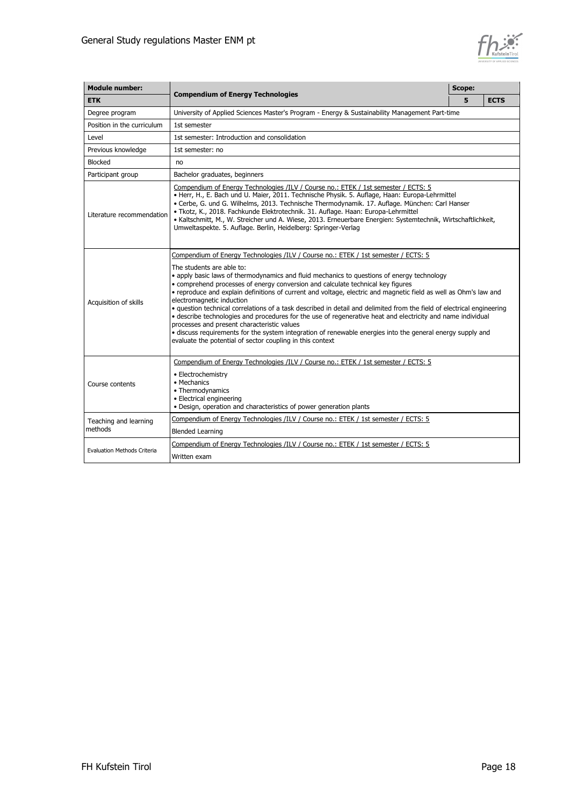

| <b>Module number:</b>                                                                                                                    |                                                                                                                                                                                                                                                                                                                                                                                                                                                                                                                                                                                                                                                                                                                                                                                                                                                                                                                      | Scope: |             |
|------------------------------------------------------------------------------------------------------------------------------------------|----------------------------------------------------------------------------------------------------------------------------------------------------------------------------------------------------------------------------------------------------------------------------------------------------------------------------------------------------------------------------------------------------------------------------------------------------------------------------------------------------------------------------------------------------------------------------------------------------------------------------------------------------------------------------------------------------------------------------------------------------------------------------------------------------------------------------------------------------------------------------------------------------------------------|--------|-------------|
| <b>ETK</b>                                                                                                                               | <b>Compendium of Energy Technologies</b>                                                                                                                                                                                                                                                                                                                                                                                                                                                                                                                                                                                                                                                                                                                                                                                                                                                                             | 5      | <b>ECTS</b> |
| Degree program                                                                                                                           | University of Applied Sciences Master's Program - Energy & Sustainability Management Part-time                                                                                                                                                                                                                                                                                                                                                                                                                                                                                                                                                                                                                                                                                                                                                                                                                       |        |             |
| Position in the curriculum                                                                                                               | 1st semester                                                                                                                                                                                                                                                                                                                                                                                                                                                                                                                                                                                                                                                                                                                                                                                                                                                                                                         |        |             |
| Level                                                                                                                                    | 1st semester: Introduction and consolidation                                                                                                                                                                                                                                                                                                                                                                                                                                                                                                                                                                                                                                                                                                                                                                                                                                                                         |        |             |
| Previous knowledge                                                                                                                       | 1st semester: no                                                                                                                                                                                                                                                                                                                                                                                                                                                                                                                                                                                                                                                                                                                                                                                                                                                                                                     |        |             |
| <b>Blocked</b>                                                                                                                           | no                                                                                                                                                                                                                                                                                                                                                                                                                                                                                                                                                                                                                                                                                                                                                                                                                                                                                                                   |        |             |
| Participant group                                                                                                                        | Bachelor graduates, beginners                                                                                                                                                                                                                                                                                                                                                                                                                                                                                                                                                                                                                                                                                                                                                                                                                                                                                        |        |             |
| Literature recommendation                                                                                                                | Compendium of Energy Technologies /ILV / Course no.: ETEK / 1st semester / ECTS: 5<br>· Herr, H., E. Bach und U. Maier, 2011. Technische Physik. 5. Auflage, Haan: Europa-Lehrmittel<br>• Cerbe, G. und G. Wilhelms, 2013. Technische Thermodynamik. 17. Auflage. München: Carl Hanser<br>· Tkotz, K., 2018. Fachkunde Elektrotechnik. 31. Auflage. Haan: Europa-Lehrmittel<br>· Kaltschmitt, M., W. Streicher und A. Wiese, 2013. Erneuerbare Energien: Systemtechnik, Wirtschaftlichkeit,<br>Umweltaspekte. 5. Auflage. Berlin, Heidelberg: Springer-Verlag                                                                                                                                                                                                                                                                                                                                                        |        |             |
| Acquisition of skills                                                                                                                    | Compendium of Energy Technologies /ILV / Course no.: ETEK / 1st semester / ECTS: 5<br>The students are able to:<br>• apply basic laws of thermodynamics and fluid mechanics to questions of energy technology<br>• comprehend processes of energy conversion and calculate technical key figures<br>• reproduce and explain definitions of current and voltage, electric and magnetic field as well as Ohm's law and<br>electromagnetic induction<br>• question technical correlations of a task described in detail and delimited from the field of electrical engineering<br>• describe technologies and procedures for the use of regenerative heat and electricity and name individual<br>processes and present characteristic values<br>· discuss requirements for the system integration of renewable energies into the general energy supply and<br>evaluate the potential of sector coupling in this context |        |             |
| Course contents                                                                                                                          | Compendium of Energy Technologies /ILV / Course no.: ETEK / 1st semester / ECTS: 5<br>• Electrochemistry<br>• Mechanics<br>• Thermodynamics<br>• Electrical engineering<br>. Design, operation and characteristics of power generation plants                                                                                                                                                                                                                                                                                                                                                                                                                                                                                                                                                                                                                                                                        |        |             |
| Teaching and learning                                                                                                                    | Compendium of Energy Technologies /ILV / Course no.: ETEK / 1st semester / ECTS: 5                                                                                                                                                                                                                                                                                                                                                                                                                                                                                                                                                                                                                                                                                                                                                                                                                                   |        |             |
| methods                                                                                                                                  | <b>Blended Learning</b>                                                                                                                                                                                                                                                                                                                                                                                                                                                                                                                                                                                                                                                                                                                                                                                                                                                                                              |        |             |
| Compendium of Energy Technologies /ILV / Course no.: ETEK / 1st semester / ECTS: 5<br><b>Evaluation Methods Criteria</b><br>Written exam |                                                                                                                                                                                                                                                                                                                                                                                                                                                                                                                                                                                                                                                                                                                                                                                                                                                                                                                      |        |             |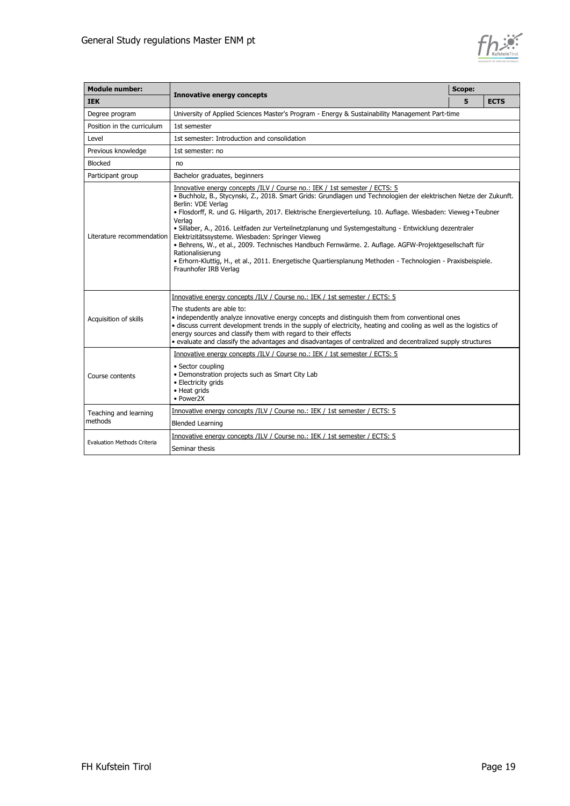

| <b>Module number:</b>       |                                                                                                                                                                                                                                                                                                                                                                                                                                                                                                                                                                                                                                                                                                                                                                                    | Scope: |             |
|-----------------------------|------------------------------------------------------------------------------------------------------------------------------------------------------------------------------------------------------------------------------------------------------------------------------------------------------------------------------------------------------------------------------------------------------------------------------------------------------------------------------------------------------------------------------------------------------------------------------------------------------------------------------------------------------------------------------------------------------------------------------------------------------------------------------------|--------|-------------|
| <b>IEK</b>                  | <b>Innovative energy concepts</b>                                                                                                                                                                                                                                                                                                                                                                                                                                                                                                                                                                                                                                                                                                                                                  | 5      | <b>ECTS</b> |
| Degree program              | University of Applied Sciences Master's Program - Energy & Sustainability Management Part-time                                                                                                                                                                                                                                                                                                                                                                                                                                                                                                                                                                                                                                                                                     |        |             |
| Position in the curriculum  | 1st semester                                                                                                                                                                                                                                                                                                                                                                                                                                                                                                                                                                                                                                                                                                                                                                       |        |             |
| Level                       | 1st semester: Introduction and consolidation                                                                                                                                                                                                                                                                                                                                                                                                                                                                                                                                                                                                                                                                                                                                       |        |             |
| Previous knowledge          | 1st semester: no                                                                                                                                                                                                                                                                                                                                                                                                                                                                                                                                                                                                                                                                                                                                                                   |        |             |
| Blocked                     | no                                                                                                                                                                                                                                                                                                                                                                                                                                                                                                                                                                                                                                                                                                                                                                                 |        |             |
| Participant group           | Bachelor graduates, beginners                                                                                                                                                                                                                                                                                                                                                                                                                                                                                                                                                                                                                                                                                                                                                      |        |             |
| Literature recommendation   | Innovative energy concepts /ILV / Course no.: IEK / 1st semester / ECTS: 5<br>· Buchholz, B., Stycynski, Z., 2018. Smart Grids: Grundlagen und Technologien der elektrischen Netze der Zukunft.<br>Berlin: VDE Verlag<br>· Flosdorff, R. und G. Hilgarth, 2017. Elektrische Energieverteilung. 10. Auflage. Wiesbaden: Vieweg+Teubner<br>Verlag<br>· Sillaber, A., 2016. Leitfaden zur Verteilnetzplanung und Systemgestaltung - Entwicklung dezentraler<br>Elektrizitätssysteme. Wiesbaden: Springer Vieweg<br>· Behrens, W., et al., 2009. Technisches Handbuch Fernwärme. 2. Auflage. AGFW-Projektgesellschaft für<br>Rationalisierung<br>· Erhorn-Kluttig, H., et al., 2011. Energetische Quartiersplanung Methoden - Technologien - Praxisbeispiele.<br>Fraunhofer IRB Verlag |        |             |
| Acquisition of skills       | Innovative energy concepts /ILV / Course no.: IEK / 1st semester / ECTS: 5<br>The students are able to:<br>• independently analyze innovative energy concepts and distinguish them from conventional ones<br>· discuss current development trends in the supply of electricity, heating and cooling as well as the logistics of<br>energy sources and classify them with regard to their effects<br>. evaluate and classify the advantages and disadvantages of centralized and decentralized supply structures                                                                                                                                                                                                                                                                    |        |             |
| Course contents             | Innovative energy concepts /ILV / Course no.: IEK / 1st semester / ECTS: 5<br>• Sector coupling<br>• Demonstration projects such as Smart City Lab<br>• Electricity grids<br>• Heat grids<br>• Power2X                                                                                                                                                                                                                                                                                                                                                                                                                                                                                                                                                                             |        |             |
| Teaching and learning       | Innovative energy concepts /ILV / Course no.: IEK / 1st semester / ECTS: 5                                                                                                                                                                                                                                                                                                                                                                                                                                                                                                                                                                                                                                                                                                         |        |             |
| methods                     | <b>Blended Learning</b>                                                                                                                                                                                                                                                                                                                                                                                                                                                                                                                                                                                                                                                                                                                                                            |        |             |
|                             | Innovative energy concepts /ILV / Course no.: IEK / 1st semester / ECTS: 5                                                                                                                                                                                                                                                                                                                                                                                                                                                                                                                                                                                                                                                                                                         |        |             |
| Evaluation Methods Criteria | Seminar thesis                                                                                                                                                                                                                                                                                                                                                                                                                                                                                                                                                                                                                                                                                                                                                                     |        |             |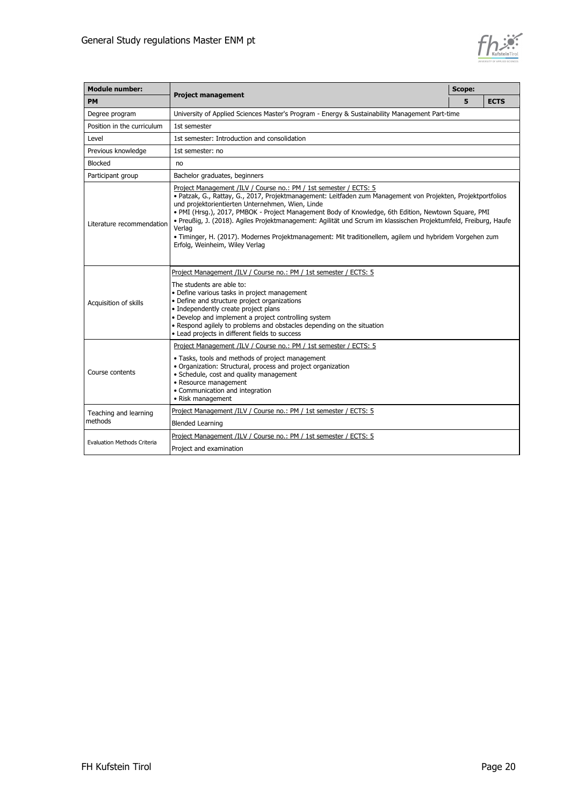

| <b>Module number:</b>              |                                                                                                                                                                                                                                                                                                                                                                                                                                                                                                                                                                                                                         | Scope: |             |
|------------------------------------|-------------------------------------------------------------------------------------------------------------------------------------------------------------------------------------------------------------------------------------------------------------------------------------------------------------------------------------------------------------------------------------------------------------------------------------------------------------------------------------------------------------------------------------------------------------------------------------------------------------------------|--------|-------------|
| <b>PM</b>                          | <b>Project management</b>                                                                                                                                                                                                                                                                                                                                                                                                                                                                                                                                                                                               | 5      | <b>ECTS</b> |
| Degree program                     | University of Applied Sciences Master's Program - Energy & Sustainability Management Part-time                                                                                                                                                                                                                                                                                                                                                                                                                                                                                                                          |        |             |
| Position in the curriculum         | 1st semester                                                                                                                                                                                                                                                                                                                                                                                                                                                                                                                                                                                                            |        |             |
| Level                              | 1st semester: Introduction and consolidation                                                                                                                                                                                                                                                                                                                                                                                                                                                                                                                                                                            |        |             |
| Previous knowledge                 | 1st semester: no                                                                                                                                                                                                                                                                                                                                                                                                                                                                                                                                                                                                        |        |             |
| <b>Blocked</b>                     | no                                                                                                                                                                                                                                                                                                                                                                                                                                                                                                                                                                                                                      |        |             |
| Participant group                  | Bachelor graduates, beginners                                                                                                                                                                                                                                                                                                                                                                                                                                                                                                                                                                                           |        |             |
| Literature recommendation          | Project Management /ILV / Course no.: PM / 1st semester / ECTS: 5<br>· Patzak, G., Rattay, G., 2017, Projektmanagement: Leitfaden zum Management von Projekten, Projektportfolios<br>und projektorientierten Unternehmen, Wien, Linde<br>. PMI (Hrsg.), 2017, PMBOK - Project Management Body of Knowledge, 6th Edition, Newtown Square, PMI<br>· Preußig, J. (2018). Agiles Projektmanagement: Agilität und Scrum im klassischen Projektumfeld, Freiburg, Haufe<br>Verlag<br>· Timinger, H. (2017). Modernes Projektmanagement: Mit traditionellem, agilem und hybridem Vorgehen zum<br>Erfolg, Weinheim, Wiley Verlag |        |             |
| Acquisition of skills              | Project Management /ILV / Course no.: PM / 1st semester / ECTS: 5<br>The students are able to:<br>· Define various tasks in project management<br>• Define and structure project organizations<br>• Independently create project plans<br>• Develop and implement a project controlling system<br>• Respond agilely to problems and obstacles depending on the situation<br>• Lead projects in different fields to success                                                                                                                                                                                              |        |             |
| Course contents                    | Project Management /ILV / Course no.: PM / 1st semester / ECTS: 5<br>• Tasks, tools and methods of project management<br>· Organization: Structural, process and project organization<br>• Schedule, cost and quality management<br>• Resource management<br>• Communication and integration<br>• Risk management                                                                                                                                                                                                                                                                                                       |        |             |
| Teaching and learning              | Project Management /ILV / Course no.: PM / 1st semester / ECTS: 5                                                                                                                                                                                                                                                                                                                                                                                                                                                                                                                                                       |        |             |
| methods                            | <b>Blended Learning</b>                                                                                                                                                                                                                                                                                                                                                                                                                                                                                                                                                                                                 |        |             |
|                                    | Project Management /ILV / Course no.: PM / 1st semester / ECTS: 5                                                                                                                                                                                                                                                                                                                                                                                                                                                                                                                                                       |        |             |
| <b>Evaluation Methods Criteria</b> | Project and examination                                                                                                                                                                                                                                                                                                                                                                                                                                                                                                                                                                                                 |        |             |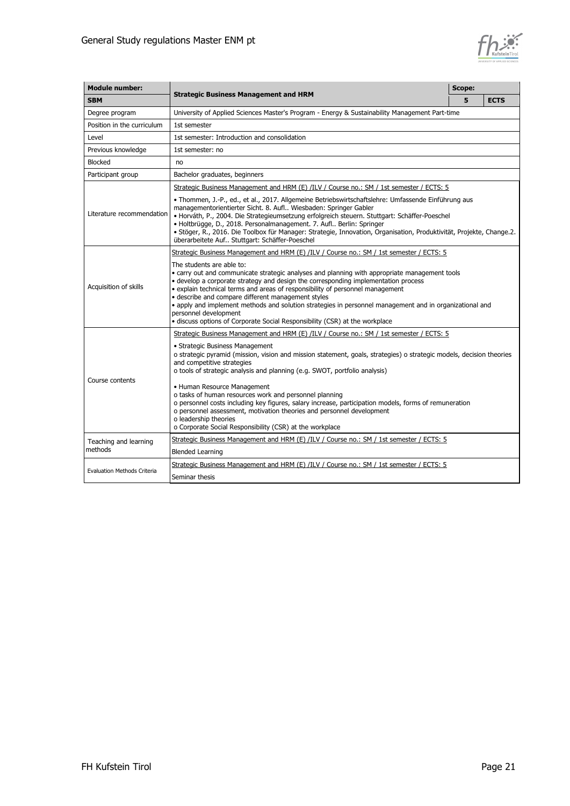

| <b>Module number:</b>                                                                                                                                                                                                                                                                                                                                                                                                                                                                                                                                                                               |                                                                                                                                                                                                                                                                                                                                                                                                                                                                                                                            |   |             |
|-----------------------------------------------------------------------------------------------------------------------------------------------------------------------------------------------------------------------------------------------------------------------------------------------------------------------------------------------------------------------------------------------------------------------------------------------------------------------------------------------------------------------------------------------------------------------------------------------------|----------------------------------------------------------------------------------------------------------------------------------------------------------------------------------------------------------------------------------------------------------------------------------------------------------------------------------------------------------------------------------------------------------------------------------------------------------------------------------------------------------------------------|---|-------------|
| <b>SBM</b>                                                                                                                                                                                                                                                                                                                                                                                                                                                                                                                                                                                          | <b>Strategic Business Management and HRM</b>                                                                                                                                                                                                                                                                                                                                                                                                                                                                               | 5 | <b>ECTS</b> |
| Degree program                                                                                                                                                                                                                                                                                                                                                                                                                                                                                                                                                                                      | University of Applied Sciences Master's Program - Energy & Sustainability Management Part-time                                                                                                                                                                                                                                                                                                                                                                                                                             |   |             |
| Position in the curriculum                                                                                                                                                                                                                                                                                                                                                                                                                                                                                                                                                                          | 1st semester                                                                                                                                                                                                                                                                                                                                                                                                                                                                                                               |   |             |
| Level                                                                                                                                                                                                                                                                                                                                                                                                                                                                                                                                                                                               | 1st semester: Introduction and consolidation                                                                                                                                                                                                                                                                                                                                                                                                                                                                               |   |             |
| Previous knowledge                                                                                                                                                                                                                                                                                                                                                                                                                                                                                                                                                                                  | 1st semester: no                                                                                                                                                                                                                                                                                                                                                                                                                                                                                                           |   |             |
| <b>Blocked</b>                                                                                                                                                                                                                                                                                                                                                                                                                                                                                                                                                                                      | no                                                                                                                                                                                                                                                                                                                                                                                                                                                                                                                         |   |             |
| Participant group                                                                                                                                                                                                                                                                                                                                                                                                                                                                                                                                                                                   | Bachelor graduates, beginners                                                                                                                                                                                                                                                                                                                                                                                                                                                                                              |   |             |
|                                                                                                                                                                                                                                                                                                                                                                                                                                                                                                                                                                                                     | Strategic Business Management and HRM (E) /ILV / Course no.: SM / 1st semester / ECTS: 5                                                                                                                                                                                                                                                                                                                                                                                                                                   |   |             |
| Literature recommendation                                                                                                                                                                                                                                                                                                                                                                                                                                                                                                                                                                           | · Thommen, J.-P., ed., et al., 2017. Allgemeine Betriebswirtschaftslehre: Umfassende Einführung aus<br>managementorientierter Sicht. 8. Aufl Wiesbaden: Springer Gabler<br>· Horváth, P., 2004. Die Strategieumsetzung erfolgreich steuern. Stuttgart: Schäffer-Poeschel<br>· Holtbrügge, D., 2018. Personalmanagement. 7. Aufl Berlin: Springer<br>· Stöger, R., 2016. Die Toolbox für Manager: Strategie, Innovation, Organisation, Produktivität, Projekte, Change.2.<br>überarbeitete Auf Stuttgart: Schäffer-Poeschel |   |             |
|                                                                                                                                                                                                                                                                                                                                                                                                                                                                                                                                                                                                     | Strategic Business Management and HRM (E) /ILV / Course no.: SM / 1st semester / ECTS: 5                                                                                                                                                                                                                                                                                                                                                                                                                                   |   |             |
| The students are able to:<br>• carry out and communicate strategic analyses and planning with appropriate management tools<br>• develop a corporate strategy and design the corresponding implementation process<br>Acquisition of skills<br>• explain technical terms and areas of responsibility of personnel management<br>· describe and compare different management styles<br>· apply and implement methods and solution strategies in personnel management and in organizational and<br>personnel development<br>· discuss options of Corporate Social Responsibility (CSR) at the workplace |                                                                                                                                                                                                                                                                                                                                                                                                                                                                                                                            |   |             |
|                                                                                                                                                                                                                                                                                                                                                                                                                                                                                                                                                                                                     | Strategic Business Management and HRM (E) /ILV / Course no.: SM / 1st semester / ECTS: 5                                                                                                                                                                                                                                                                                                                                                                                                                                   |   |             |
| Course contents                                                                                                                                                                                                                                                                                                                                                                                                                                                                                                                                                                                     | • Strategic Business Management<br>o strategic pyramid (mission, vision and mission statement, goals, strategies) o strategic models, decision theories<br>and competitive strategies<br>o tools of strategic analysis and planning (e.g. SWOT, portfolio analysis)                                                                                                                                                                                                                                                        |   |             |
|                                                                                                                                                                                                                                                                                                                                                                                                                                                                                                                                                                                                     | • Human Resource Management<br>o tasks of human resources work and personnel planning<br>o personnel costs including key figures, salary increase, participation models, forms of remuneration<br>o personnel assessment, motivation theories and personnel development<br>o leadership theories<br>o Corporate Social Responsibility (CSR) at the workplace                                                                                                                                                               |   |             |
| Teaching and learning                                                                                                                                                                                                                                                                                                                                                                                                                                                                                                                                                                               | Strategic Business Management and HRM (E) /ILV / Course no.: SM / 1st semester / ECTS: 5                                                                                                                                                                                                                                                                                                                                                                                                                                   |   |             |
| methods                                                                                                                                                                                                                                                                                                                                                                                                                                                                                                                                                                                             | <b>Blended Learning</b>                                                                                                                                                                                                                                                                                                                                                                                                                                                                                                    |   |             |
|                                                                                                                                                                                                                                                                                                                                                                                                                                                                                                                                                                                                     | Strategic Business Management and HRM (E) /ILV / Course no.: SM / 1st semester / ECTS: 5                                                                                                                                                                                                                                                                                                                                                                                                                                   |   |             |
| <b>Evaluation Methods Criteria</b>                                                                                                                                                                                                                                                                                                                                                                                                                                                                                                                                                                  | Seminar thesis                                                                                                                                                                                                                                                                                                                                                                                                                                                                                                             |   |             |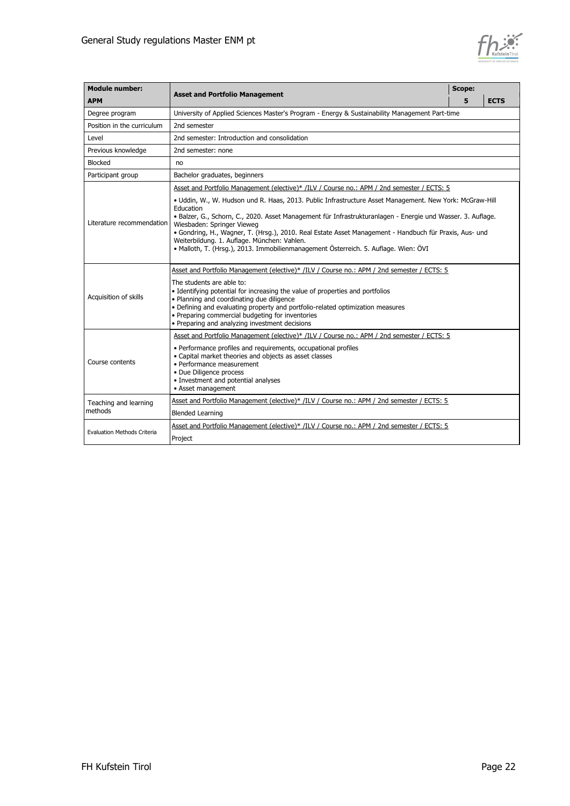

| <b>Module number:</b>              |                                                                                                                                                                                                                                                                                                                                                                                                                                                                                                                   | Scope: |             |
|------------------------------------|-------------------------------------------------------------------------------------------------------------------------------------------------------------------------------------------------------------------------------------------------------------------------------------------------------------------------------------------------------------------------------------------------------------------------------------------------------------------------------------------------------------------|--------|-------------|
| <b>APM</b>                         | <b>Asset and Portfolio Management</b>                                                                                                                                                                                                                                                                                                                                                                                                                                                                             | 5      | <b>ECTS</b> |
| Degree program                     | University of Applied Sciences Master's Program - Energy & Sustainability Management Part-time                                                                                                                                                                                                                                                                                                                                                                                                                    |        |             |
| Position in the curriculum         | 2nd semester                                                                                                                                                                                                                                                                                                                                                                                                                                                                                                      |        |             |
| Level                              | 2nd semester: Introduction and consolidation                                                                                                                                                                                                                                                                                                                                                                                                                                                                      |        |             |
| Previous knowledge                 | 2nd semester: none                                                                                                                                                                                                                                                                                                                                                                                                                                                                                                |        |             |
| <b>Blocked</b>                     | no                                                                                                                                                                                                                                                                                                                                                                                                                                                                                                                |        |             |
| Participant group                  | Bachelor graduates, beginners                                                                                                                                                                                                                                                                                                                                                                                                                                                                                     |        |             |
|                                    | Asset and Portfolio Management (elective)* /ILV / Course no.: APM / 2nd semester / ECTS: 5                                                                                                                                                                                                                                                                                                                                                                                                                        |        |             |
| Literature recommendation          | · Uddin, W., W. Hudson und R. Haas, 2013. Public Infrastructure Asset Management. New York: McGraw-Hill<br>Education<br>· Balzer, G., Schorn, C., 2020. Asset Management für Infrastrukturanlagen - Energie und Wasser. 3. Auflage.<br>Wiesbaden: Springer Vieweg<br>· Gondring, H., Wagner, T. (Hrsg.), 2010. Real Estate Asset Management - Handbuch für Praxis, Aus- und<br>Weiterbildung. 1. Auflage. München: Vahlen.<br>· Malloth, T. (Hrsg.), 2013. Immobilienmanagement Österreich. 5. Auflage. Wien: ÖVI |        |             |
| Acquisition of skills              | Asset and Portfolio Management (elective)* /ILV / Course no.: APM / 2nd semester / ECTS: 5<br>The students are able to:<br>• Identifying potential for increasing the value of properties and portfolios<br>· Planning and coordinating due diligence<br>· Defining and evaluating property and portfolio-related optimization measures<br>• Preparing commercial budgeting for inventories<br>• Preparing and analyzing investment decisions                                                                     |        |             |
| Course contents                    | Asset and Portfolio Management (elective)* /ILV / Course no.: APM / 2nd semester / ECTS: 5<br>· Performance profiles and requirements, occupational profiles<br>• Capital market theories and objects as asset classes<br>• Performance measurement<br>• Due Diligence process<br>• Investment and potential analyses<br>• Asset management                                                                                                                                                                       |        |             |
| Teaching and learning              | Asset and Portfolio Management (elective)* /ILV / Course no.: APM / 2nd semester / ECTS: 5                                                                                                                                                                                                                                                                                                                                                                                                                        |        |             |
| methods                            | <b>Blended Learning</b>                                                                                                                                                                                                                                                                                                                                                                                                                                                                                           |        |             |
| <b>Evaluation Methods Criteria</b> | Asset and Portfolio Management (elective)* /ILV / Course no.: APM / 2nd semester / ECTS: 5<br>Project                                                                                                                                                                                                                                                                                                                                                                                                             |        |             |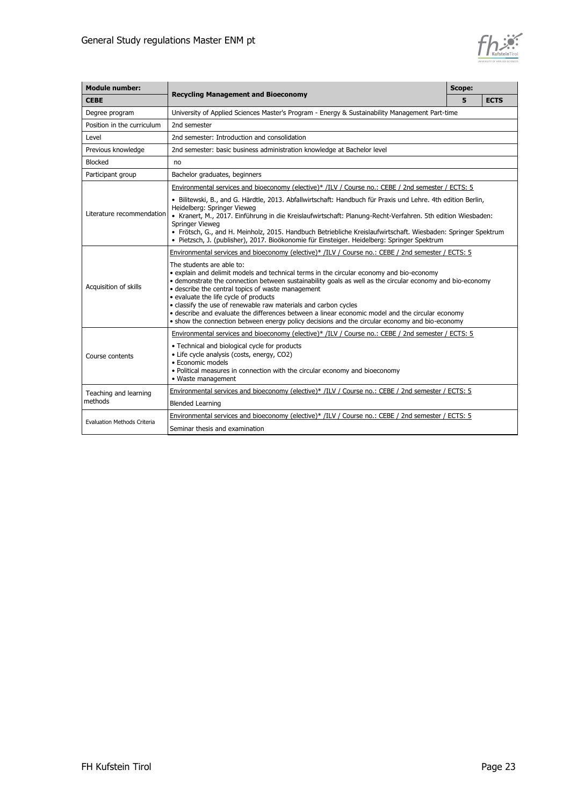

| <b>Module number:</b>              |                                                                                                                                                                                                                                                                                                                                                                                                                                                                                                                                                                                                                                                                                                                 | <b>Scope:</b> |             |  |  |
|------------------------------------|-----------------------------------------------------------------------------------------------------------------------------------------------------------------------------------------------------------------------------------------------------------------------------------------------------------------------------------------------------------------------------------------------------------------------------------------------------------------------------------------------------------------------------------------------------------------------------------------------------------------------------------------------------------------------------------------------------------------|---------------|-------------|--|--|
| <b>CEBE</b>                        | <b>Recycling Management and Bioeconomy</b>                                                                                                                                                                                                                                                                                                                                                                                                                                                                                                                                                                                                                                                                      | 5             | <b>ECTS</b> |  |  |
| Degree program                     | University of Applied Sciences Master's Program - Energy & Sustainability Management Part-time                                                                                                                                                                                                                                                                                                                                                                                                                                                                                                                                                                                                                  |               |             |  |  |
| Position in the curriculum         | 2nd semester                                                                                                                                                                                                                                                                                                                                                                                                                                                                                                                                                                                                                                                                                                    |               |             |  |  |
| Level                              | 2nd semester: Introduction and consolidation                                                                                                                                                                                                                                                                                                                                                                                                                                                                                                                                                                                                                                                                    |               |             |  |  |
| Previous knowledge                 | 2nd semester: basic business administration knowledge at Bachelor level                                                                                                                                                                                                                                                                                                                                                                                                                                                                                                                                                                                                                                         |               |             |  |  |
| <b>Blocked</b>                     | no                                                                                                                                                                                                                                                                                                                                                                                                                                                                                                                                                                                                                                                                                                              |               |             |  |  |
| Participant group                  | Bachelor graduates, beginners                                                                                                                                                                                                                                                                                                                                                                                                                                                                                                                                                                                                                                                                                   |               |             |  |  |
|                                    | Environmental services and bioeconomy (elective)* /ILV / Course no.: CEBE / 2nd semester / ECTS: 5                                                                                                                                                                                                                                                                                                                                                                                                                                                                                                                                                                                                              |               |             |  |  |
| Literature recommendation          | • Bilitewski, B., and G. Härdtle, 2013. Abfallwirtschaft: Handbuch für Praxis und Lehre. 4th edition Berlin,<br>Heidelberg: Springer Vieweg<br>• Kranert, M., 2017. Einführung in die Kreislaufwirtschaft: Planung-Recht-Verfahren. 5th edition Wiesbaden:<br>Springer Vieweg<br>· Frötsch, G., and H. Meinholz, 2015. Handbuch Betriebliche Kreislaufwirtschaft. Wiesbaden: Springer Spektrum<br>· Pietzsch, J. (publisher), 2017. Bioökonomie für Einsteiger. Heidelberg: Springer Spektrum                                                                                                                                                                                                                   |               |             |  |  |
| Acquisition of skills              | Environmental services and bioeconomy (elective)* /ILV / Course no.: CEBE / 2nd semester / ECTS: 5<br>The students are able to:<br>• explain and delimit models and technical terms in the circular economy and bio-economy<br>• demonstrate the connection between sustainability goals as well as the circular economy and bio-economy<br>• describe the central topics of waste management<br>• evaluate the life cycle of products<br>· classify the use of renewable raw materials and carbon cycles<br>• describe and evaluate the differences between a linear economic model and the circular economy<br>. show the connection between energy policy decisions and the circular economy and bio-economy |               |             |  |  |
| Course contents                    | Environmental services and bioeconomy (elective)* /ILV / Course no.: CEBE / 2nd semester / ECTS: 5<br>• Technical and biological cycle for products<br>• Life cycle analysis (costs, energy, CO2)<br>· Economic models<br>• Political measures in connection with the circular economy and bioeconomy<br>• Waste management                                                                                                                                                                                                                                                                                                                                                                                     |               |             |  |  |
| Teaching and learning<br>methods   | Environmental services and bioeconomy (elective)* /ILV / Course no.: CEBE / 2nd semester / ECTS: 5<br><b>Blended Learning</b>                                                                                                                                                                                                                                                                                                                                                                                                                                                                                                                                                                                   |               |             |  |  |
| <b>Evaluation Methods Criteria</b> | Environmental services and bioeconomy (elective)* /ILV / Course no.: CEBE / 2nd semester / ECTS: 5<br>Seminar thesis and examination                                                                                                                                                                                                                                                                                                                                                                                                                                                                                                                                                                            |               |             |  |  |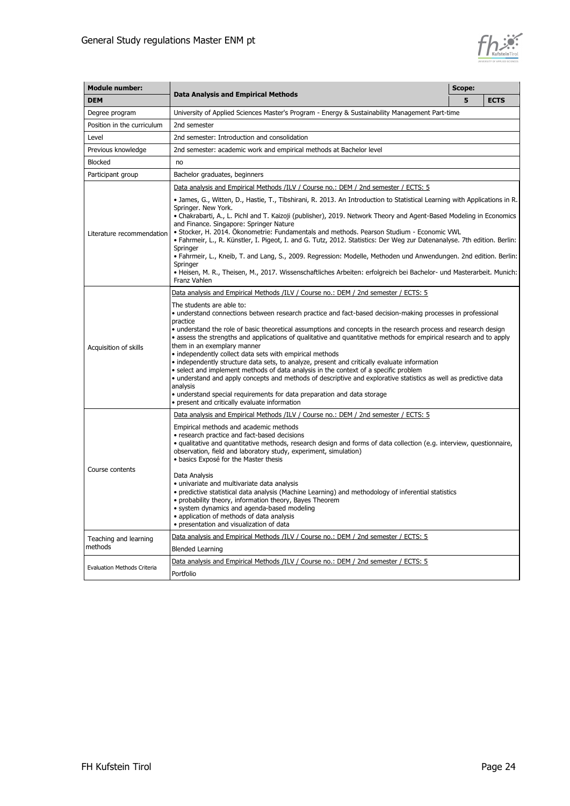

| <b>Module number:</b>              |                                                                                                                                                                                                                                                                                                                                                                                                                                                                                                                                                                                                                                                                                                                                                                                                                                                                                                                                                                                                                                      | Scope: |             |  |
|------------------------------------|--------------------------------------------------------------------------------------------------------------------------------------------------------------------------------------------------------------------------------------------------------------------------------------------------------------------------------------------------------------------------------------------------------------------------------------------------------------------------------------------------------------------------------------------------------------------------------------------------------------------------------------------------------------------------------------------------------------------------------------------------------------------------------------------------------------------------------------------------------------------------------------------------------------------------------------------------------------------------------------------------------------------------------------|--------|-------------|--|
| <b>DEM</b>                         | <b>Data Analysis and Empirical Methods</b>                                                                                                                                                                                                                                                                                                                                                                                                                                                                                                                                                                                                                                                                                                                                                                                                                                                                                                                                                                                           | 5      | <b>ECTS</b> |  |
| Degree program                     | University of Applied Sciences Master's Program - Energy & Sustainability Management Part-time                                                                                                                                                                                                                                                                                                                                                                                                                                                                                                                                                                                                                                                                                                                                                                                                                                                                                                                                       |        |             |  |
| Position in the curriculum         | 2nd semester                                                                                                                                                                                                                                                                                                                                                                                                                                                                                                                                                                                                                                                                                                                                                                                                                                                                                                                                                                                                                         |        |             |  |
| Level                              | 2nd semester: Introduction and consolidation                                                                                                                                                                                                                                                                                                                                                                                                                                                                                                                                                                                                                                                                                                                                                                                                                                                                                                                                                                                         |        |             |  |
| Previous knowledge                 | 2nd semester: academic work and empirical methods at Bachelor level                                                                                                                                                                                                                                                                                                                                                                                                                                                                                                                                                                                                                                                                                                                                                                                                                                                                                                                                                                  |        |             |  |
| <b>Blocked</b>                     | no                                                                                                                                                                                                                                                                                                                                                                                                                                                                                                                                                                                                                                                                                                                                                                                                                                                                                                                                                                                                                                   |        |             |  |
| Participant group                  | Bachelor graduates, beginners                                                                                                                                                                                                                                                                                                                                                                                                                                                                                                                                                                                                                                                                                                                                                                                                                                                                                                                                                                                                        |        |             |  |
|                                    | Data analysis and Empirical Methods /ILV / Course no.: DEM / 2nd semester / ECTS: 5                                                                                                                                                                                                                                                                                                                                                                                                                                                                                                                                                                                                                                                                                                                                                                                                                                                                                                                                                  |        |             |  |
| Literature recommendation          | • James, G., Witten, D., Hastie, T., Tibshirani, R. 2013. An Introduction to Statistical Learning with Applications in R.<br>Springer, New York.<br>• Chakrabarti, A., L. Pichl and T. Kaizoji (publisher), 2019. Network Theory and Agent-Based Modeling in Economics<br>and Finance. Singapore: Springer Nature<br>• Stocker, H. 2014. Ökonometrie: Fundamentals and methods. Pearson Studium - Economic VWL<br>• Fahrmeir, L., R. Künstler, I. Pigeot, I. and G. Tutz, 2012. Statistics: Der Weg zur Datenanalyse. 7th edition. Berlin:<br>Springer<br>· Fahrmeir, L., Kneib, T. and Lang, S., 2009. Regression: Modelle, Methoden und Anwendungen. 2nd edition. Berlin:<br>Springer<br>· Heisen, M. R., Theisen, M., 2017. Wissenschaftliches Arbeiten: erfolgreich bei Bachelor- und Masterarbeit. Munich:<br>Franz Vahlen                                                                                                                                                                                                      |        |             |  |
| Acquisition of skills              | Data analysis and Empirical Methods /ILV / Course no.: DEM / 2nd semester / ECTS: 5<br>The students are able to:<br>· understand connections between research practice and fact-based decision-making processes in professional<br>practice<br>• understand the role of basic theoretical assumptions and concepts in the research process and research design<br>• assess the strengths and applications of qualitative and quantitative methods for empirical research and to apply<br>them in an exemplary manner<br>· independently collect data sets with empirical methods<br>• independently structure data sets, to analyze, present and critically evaluate information<br>• select and implement methods of data analysis in the context of a specific problem<br>• understand and apply concepts and methods of descriptive and explorative statistics as well as predictive data<br>analysis<br>· understand special requirements for data preparation and data storage<br>• present and critically evaluate information |        |             |  |
| Course contents                    | Data analysis and Empirical Methods /ILV / Course no.: DEM / 2nd semester / ECTS: 5<br>Empirical methods and academic methods<br>• research practice and fact-based decisions<br>. qualitative and quantitative methods, research design and forms of data collection (e.g. interview, questionnaire,<br>observation, field and laboratory study, experiment, simulation)<br>• basics Exposé for the Master thesis<br>Data Analysis<br>· univariate and multivariate data analysis<br>· predictive statistical data analysis (Machine Learning) and methodology of inferential statistics<br>• probability theory, information theory, Bayes Theorem<br>• system dynamics and agenda-based modeling<br>• application of methods of data analysis<br>· presentation and visualization of data                                                                                                                                                                                                                                         |        |             |  |
| Teaching and learning<br>methods   | Data analysis and Empirical Methods /ILV / Course no.: DEM / 2nd semester / ECTS: 5                                                                                                                                                                                                                                                                                                                                                                                                                                                                                                                                                                                                                                                                                                                                                                                                                                                                                                                                                  |        |             |  |
|                                    | <b>Blended Learning</b>                                                                                                                                                                                                                                                                                                                                                                                                                                                                                                                                                                                                                                                                                                                                                                                                                                                                                                                                                                                                              |        |             |  |
| <b>Evaluation Methods Criteria</b> | Data analysis and Empirical Methods /ILV / Course no.: DEM / 2nd semester / ECTS: 5<br>Portfolio                                                                                                                                                                                                                                                                                                                                                                                                                                                                                                                                                                                                                                                                                                                                                                                                                                                                                                                                     |        |             |  |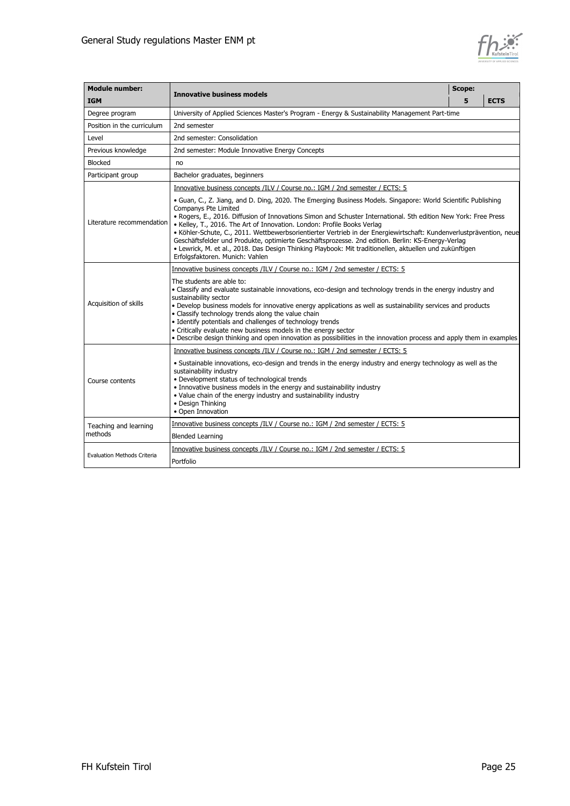

| <b>Module number:</b>              |                                                                                                                                                                                                                                                                                                                                                                                                                                                                                                                                                                                                                                                                                                               |   |             |
|------------------------------------|---------------------------------------------------------------------------------------------------------------------------------------------------------------------------------------------------------------------------------------------------------------------------------------------------------------------------------------------------------------------------------------------------------------------------------------------------------------------------------------------------------------------------------------------------------------------------------------------------------------------------------------------------------------------------------------------------------------|---|-------------|
| <b>IGM</b>                         | <b>Innovative business models</b>                                                                                                                                                                                                                                                                                                                                                                                                                                                                                                                                                                                                                                                                             | 5 | <b>ECTS</b> |
| Degree program                     | University of Applied Sciences Master's Program - Energy & Sustainability Management Part-time                                                                                                                                                                                                                                                                                                                                                                                                                                                                                                                                                                                                                |   |             |
| Position in the curriculum         | 2nd semester                                                                                                                                                                                                                                                                                                                                                                                                                                                                                                                                                                                                                                                                                                  |   |             |
| Level                              | 2nd semester: Consolidation                                                                                                                                                                                                                                                                                                                                                                                                                                                                                                                                                                                                                                                                                   |   |             |
| Previous knowledge                 | 2nd semester: Module Innovative Energy Concepts                                                                                                                                                                                                                                                                                                                                                                                                                                                                                                                                                                                                                                                               |   |             |
| Blocked                            | no                                                                                                                                                                                                                                                                                                                                                                                                                                                                                                                                                                                                                                                                                                            |   |             |
| Participant group                  | Bachelor graduates, beginners                                                                                                                                                                                                                                                                                                                                                                                                                                                                                                                                                                                                                                                                                 |   |             |
|                                    | Innovative business concepts /ILV / Course no.: IGM / 2nd semester / ECTS: 5                                                                                                                                                                                                                                                                                                                                                                                                                                                                                                                                                                                                                                  |   |             |
| Literature recommendation          | • Guan, C., Z. Jiang, and D. Ding, 2020. The Emerging Business Models. Singapore: World Scientific Publishing<br>Companys Pte Limited<br>. Rogers, E., 2016. Diffusion of Innovations Simon and Schuster International. 5th edition New York: Free Press<br>• Kelley, T., 2016. The Art of Innovation. London: Profile Books Verlag<br>· Köhler-Schute, C., 2011. Wettbewerbsorientierter Vertrieb in der Energiewirtschaft: Kundenverlustprävention, neue<br>Geschäftsfelder und Produkte, optimierte Geschäftsprozesse. 2nd edition. Berlin: KS-Energy-Verlag<br>. Lewrick, M. et al., 2018. Das Design Thinking Playbook: Mit traditionellen, aktuellen und zukünftigen<br>Erfolgsfaktoren. Munich: Vahlen |   |             |
|                                    | Innovative business concepts /ILV / Course no.: IGM / 2nd semester / ECTS: 5                                                                                                                                                                                                                                                                                                                                                                                                                                                                                                                                                                                                                                  |   |             |
| Acquisition of skills              | The students are able to:<br>• Classify and evaluate sustainable innovations, eco-design and technology trends in the energy industry and<br>sustainability sector<br>. Develop business models for innovative energy applications as well as sustainability services and products<br>• Classify technology trends along the value chain<br>• Identify potentials and challenges of technology trends<br>• Critically evaluate new business models in the energy sector<br>. Describe design thinking and open innovation as possibilities in the innovation process and apply them in examples                                                                                                               |   |             |
|                                    | Innovative business concepts /ILV / Course no.: IGM / 2nd semester / ECTS: 5                                                                                                                                                                                                                                                                                                                                                                                                                                                                                                                                                                                                                                  |   |             |
| Course contents                    | • Sustainable innovations, eco-design and trends in the energy industry and energy technology as well as the<br>sustainability industry<br>• Development status of technological trends<br>• Innovative business models in the energy and sustainability industry<br>. Value chain of the energy industry and sustainability industry<br>• Design Thinking<br>• Open Innovation                                                                                                                                                                                                                                                                                                                               |   |             |
| Teaching and learning              | Innovative business concepts /ILV / Course no.: IGM / 2nd semester / ECTS: 5                                                                                                                                                                                                                                                                                                                                                                                                                                                                                                                                                                                                                                  |   |             |
| methods                            | <b>Blended Learning</b>                                                                                                                                                                                                                                                                                                                                                                                                                                                                                                                                                                                                                                                                                       |   |             |
| <b>Evaluation Methods Criteria</b> | Innovative business concepts /ILV / Course no.: IGM / 2nd semester / ECTS: 5<br>Portfolio                                                                                                                                                                                                                                                                                                                                                                                                                                                                                                                                                                                                                     |   |             |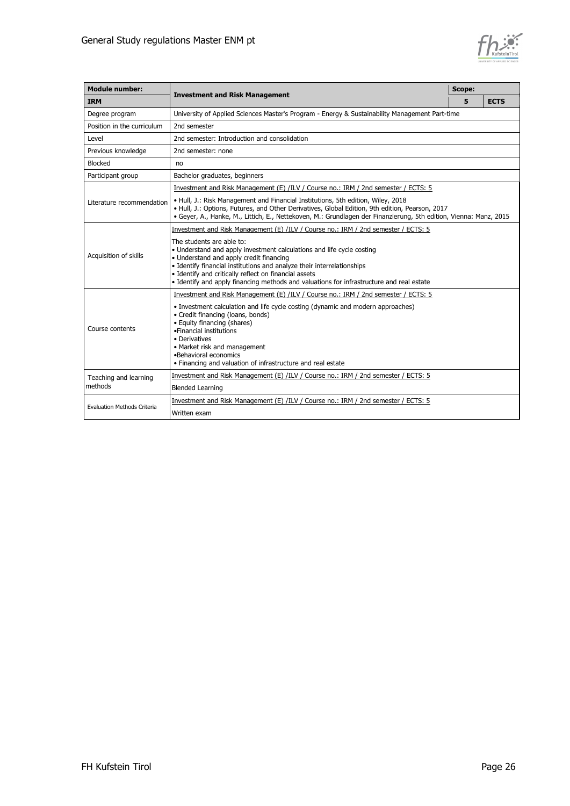

| <b>Module number:</b>              |                                                                                                                                                                                                                                                                                                                                                                                                               | Scope: |             |
|------------------------------------|---------------------------------------------------------------------------------------------------------------------------------------------------------------------------------------------------------------------------------------------------------------------------------------------------------------------------------------------------------------------------------------------------------------|--------|-------------|
| <b>IRM</b>                         | <b>Investment and Risk Management</b>                                                                                                                                                                                                                                                                                                                                                                         | 5      | <b>ECTS</b> |
| Degree program                     | University of Applied Sciences Master's Program - Energy & Sustainability Management Part-time                                                                                                                                                                                                                                                                                                                |        |             |
| Position in the curriculum         | 2nd semester                                                                                                                                                                                                                                                                                                                                                                                                  |        |             |
| Level                              | 2nd semester: Introduction and consolidation                                                                                                                                                                                                                                                                                                                                                                  |        |             |
| Previous knowledge                 | 2nd semester: none                                                                                                                                                                                                                                                                                                                                                                                            |        |             |
| Blocked                            | no                                                                                                                                                                                                                                                                                                                                                                                                            |        |             |
| Participant group                  | Bachelor graduates, beginners                                                                                                                                                                                                                                                                                                                                                                                 |        |             |
|                                    | Investment and Risk Management (E) /ILV / Course no.: IRM / 2nd semester / ECTS: 5                                                                                                                                                                                                                                                                                                                            |        |             |
| Literature recommendation          | • Hull, J.: Risk Management and Financial Institutions, 5th edition, Wiley, 2018<br>. Hull, J.: Options, Futures, and Other Derivatives, Global Edition, 9th edition, Pearson, 2017<br>. Geyer, A., Hanke, M., Littich, E., Nettekoven, M.: Grundlagen der Finanzierung, 5th edition, Vienna: Manz, 2015                                                                                                      |        |             |
|                                    | Investment and Risk Management (E) /ILV / Course no.: IRM / 2nd semester / ECTS: 5                                                                                                                                                                                                                                                                                                                            |        |             |
| Acquisition of skills              | The students are able to:<br>• Understand and apply investment calculations and life cycle costing<br>• Understand and apply credit financing<br>• Identify financial institutions and analyze their interrelationships<br>· Identify and critically reflect on financial assets<br>• Identify and apply financing methods and valuations for infrastructure and real estate                                  |        |             |
| Course contents                    | Investment and Risk Management (E) /ILV / Course no.: IRM / 2nd semester / ECTS: 5<br>• Investment calculation and life cycle costing (dynamic and modern approaches)<br>• Credit financing (loans, bonds)<br>• Equity financing (shares)<br>•Financial institutions<br>• Derivatives<br>• Market risk and management<br>•Behavioral economics<br>• Financing and valuation of infrastructure and real estate |        |             |
| Teaching and learning              | Investment and Risk Management (E) /ILV / Course no.: IRM / 2nd semester / ECTS: 5                                                                                                                                                                                                                                                                                                                            |        |             |
| methods                            | <b>Blended Learning</b>                                                                                                                                                                                                                                                                                                                                                                                       |        |             |
| <b>Evaluation Methods Criteria</b> | Investment and Risk Management (E) /ILV / Course no.: IRM / 2nd semester / ECTS: 5<br>Written exam                                                                                                                                                                                                                                                                                                            |        |             |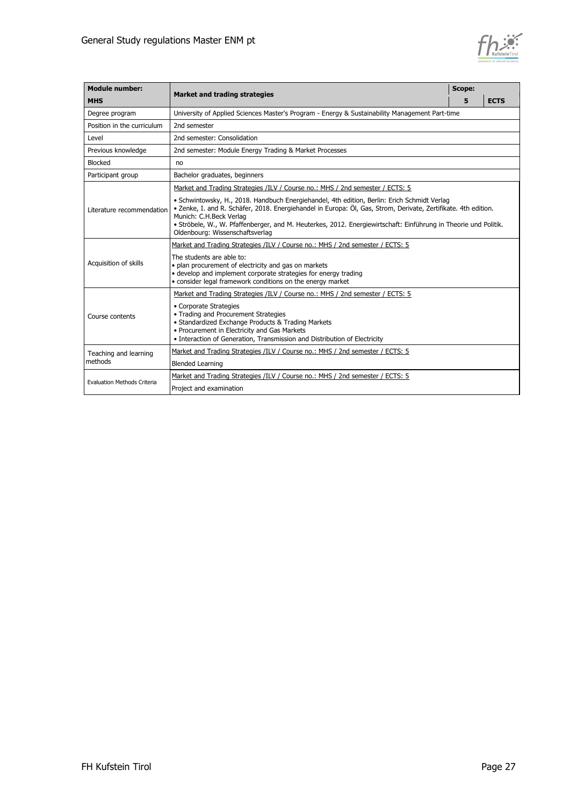

| <b>Module number:</b>              | Scope:<br><b>Market and trading strategies</b>                                                                                                                                                                                                                                                                                                                                                 |  |             |
|------------------------------------|------------------------------------------------------------------------------------------------------------------------------------------------------------------------------------------------------------------------------------------------------------------------------------------------------------------------------------------------------------------------------------------------|--|-------------|
| <b>MHS</b>                         |                                                                                                                                                                                                                                                                                                                                                                                                |  | <b>ECTS</b> |
| Degree program                     | University of Applied Sciences Master's Program - Energy & Sustainability Management Part-time                                                                                                                                                                                                                                                                                                 |  |             |
| Position in the curriculum         | 2nd semester                                                                                                                                                                                                                                                                                                                                                                                   |  |             |
| Level                              | 2nd semester: Consolidation                                                                                                                                                                                                                                                                                                                                                                    |  |             |
| Previous knowledge                 | 2nd semester: Module Energy Trading & Market Processes                                                                                                                                                                                                                                                                                                                                         |  |             |
| <b>Blocked</b>                     | no                                                                                                                                                                                                                                                                                                                                                                                             |  |             |
| Participant group                  | Bachelor graduates, beginners                                                                                                                                                                                                                                                                                                                                                                  |  |             |
|                                    | Market and Trading Strategies /ILV / Course no.: MHS / 2nd semester / ECTS: 5                                                                                                                                                                                                                                                                                                                  |  |             |
| Literature recommendation          | • Schwintowsky, H., 2018. Handbuch Energiehandel, 4th edition, Berlin: Erich Schmidt Verlag<br>. Zenke, I. and R. Schäfer, 2018. Energiehandel in Europa: Öl, Gas, Strom, Derivate, Zertifikate. 4th edition.<br>Munich: C.H.Beck Verlag<br>· Ströbele, W., W. Pfaffenberger, and M. Heuterkes, 2012. Energiewirtschaft: Einführung in Theorie und Politik.<br>Oldenbourg: Wissenschaftsverlag |  |             |
| Acquisition of skills              | Market and Trading Strategies /ILV / Course no.: MHS / 2nd semester / ECTS: 5<br>The students are able to:<br>· plan procurement of electricity and gas on markets<br>· develop and implement corporate strategies for energy trading<br>• consider legal framework conditions on the energy market                                                                                            |  |             |
| Course contents                    | Market and Trading Strategies /ILV / Course no.: MHS / 2nd semester / ECTS: 5<br>• Corporate Strategies<br>• Trading and Procurement Strategies<br>• Standardized Exchange Products & Trading Markets<br>• Procurement in Electricity and Gas Markets<br>• Interaction of Generation, Transmission and Distribution of Electricity                                                             |  |             |
| Teaching and learning              | Market and Trading Strategies /ILV / Course no.: MHS / 2nd semester / ECTS: 5                                                                                                                                                                                                                                                                                                                  |  |             |
| methods                            | <b>Blended Learning</b>                                                                                                                                                                                                                                                                                                                                                                        |  |             |
| <b>Evaluation Methods Criteria</b> | Market and Trading Strategies /ILV / Course no.: MHS / 2nd semester / ECTS: 5<br>Project and examination                                                                                                                                                                                                                                                                                       |  |             |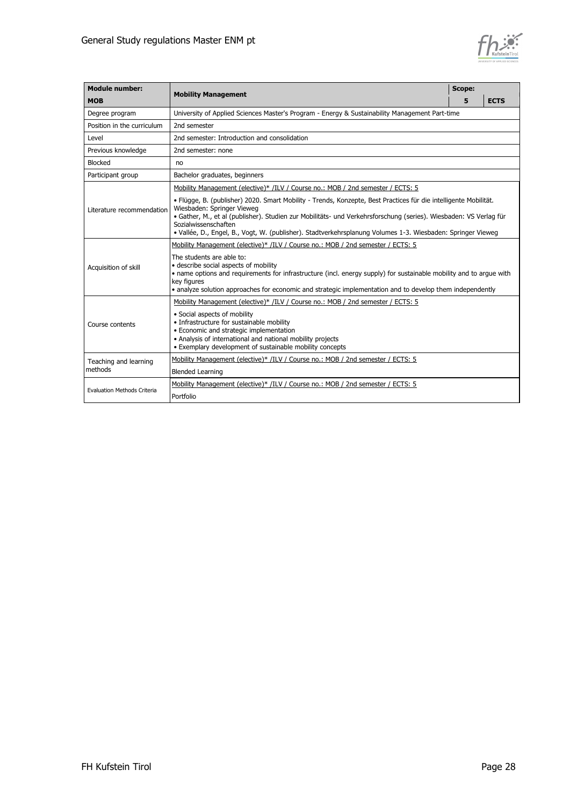

| <b>Module number:</b>                                                                                                                                                                                                                                                                                                                         |                                                                                                                                                                                                                                                                                                                                                                                                            | Scope: |             |  |  |
|-----------------------------------------------------------------------------------------------------------------------------------------------------------------------------------------------------------------------------------------------------------------------------------------------------------------------------------------------|------------------------------------------------------------------------------------------------------------------------------------------------------------------------------------------------------------------------------------------------------------------------------------------------------------------------------------------------------------------------------------------------------------|--------|-------------|--|--|
| <b>MOB</b>                                                                                                                                                                                                                                                                                                                                    | <b>Mobility Management</b>                                                                                                                                                                                                                                                                                                                                                                                 |        | <b>ECTS</b> |  |  |
| Degree program                                                                                                                                                                                                                                                                                                                                | University of Applied Sciences Master's Program - Energy & Sustainability Management Part-time                                                                                                                                                                                                                                                                                                             |        |             |  |  |
| Position in the curriculum                                                                                                                                                                                                                                                                                                                    | 2nd semester                                                                                                                                                                                                                                                                                                                                                                                               |        |             |  |  |
| Level                                                                                                                                                                                                                                                                                                                                         | 2nd semester: Introduction and consolidation                                                                                                                                                                                                                                                                                                                                                               |        |             |  |  |
| Previous knowledge                                                                                                                                                                                                                                                                                                                            | 2nd semester: none                                                                                                                                                                                                                                                                                                                                                                                         |        |             |  |  |
| <b>Blocked</b>                                                                                                                                                                                                                                                                                                                                | no                                                                                                                                                                                                                                                                                                                                                                                                         |        |             |  |  |
| Participant group                                                                                                                                                                                                                                                                                                                             | Bachelor graduates, beginners                                                                                                                                                                                                                                                                                                                                                                              |        |             |  |  |
|                                                                                                                                                                                                                                                                                                                                               | Mobility Management (elective)* /ILV / Course no.: MOB / 2nd semester / ECTS: 5                                                                                                                                                                                                                                                                                                                            |        |             |  |  |
| Literature recommendation                                                                                                                                                                                                                                                                                                                     | • Flügge, B. (publisher) 2020. Smart Mobility - Trends, Konzepte, Best Practices für die intelligente Mobilität.<br>Wiesbaden: Springer Vieweg<br>· Gather, M., et al (publisher). Studien zur Mobilitäts- und Verkehrsforschung (series). Wiesbaden: VS Verlag für<br>Sozialwissenschaften<br>· Vallée, D., Engel, B., Vogt, W. (publisher). Stadtverkehrsplanung Volumes 1-3. Wiesbaden: Springer Vieweg |        |             |  |  |
|                                                                                                                                                                                                                                                                                                                                               | Mobility Management (elective)* /ILV / Course no.: MOB / 2nd semester / ECTS: 5                                                                                                                                                                                                                                                                                                                            |        |             |  |  |
| The students are able to:<br>• describe social aspects of mobility<br>Acquisition of skill<br>• name options and requirements for infrastructure (incl. energy supply) for sustainable mobility and to argue with<br>key figures<br>• analyze solution approaches for economic and strategic implementation and to develop them independently |                                                                                                                                                                                                                                                                                                                                                                                                            |        |             |  |  |
|                                                                                                                                                                                                                                                                                                                                               | Mobility Management (elective)* /ILV / Course no.: MOB / 2nd semester / ECTS: 5                                                                                                                                                                                                                                                                                                                            |        |             |  |  |
| Course contents                                                                                                                                                                                                                                                                                                                               | • Social aspects of mobility<br>• Infrastructure for sustainable mobility<br>• Economic and strategic implementation<br>• Analysis of international and national mobility projects<br>• Exemplary development of sustainable mobility concepts                                                                                                                                                             |        |             |  |  |
| Teaching and learning                                                                                                                                                                                                                                                                                                                         | Mobility Management (elective)* /ILV / Course no.: MOB / 2nd semester / ECTS: 5                                                                                                                                                                                                                                                                                                                            |        |             |  |  |
| methods                                                                                                                                                                                                                                                                                                                                       | <b>Blended Learning</b>                                                                                                                                                                                                                                                                                                                                                                                    |        |             |  |  |
|                                                                                                                                                                                                                                                                                                                                               | Mobility Management (elective)* /ILV / Course no.: MOB / 2nd semester / ECTS: 5                                                                                                                                                                                                                                                                                                                            |        |             |  |  |
| <b>Evaluation Methods Criteria</b>                                                                                                                                                                                                                                                                                                            | Portfolio                                                                                                                                                                                                                                                                                                                                                                                                  |        |             |  |  |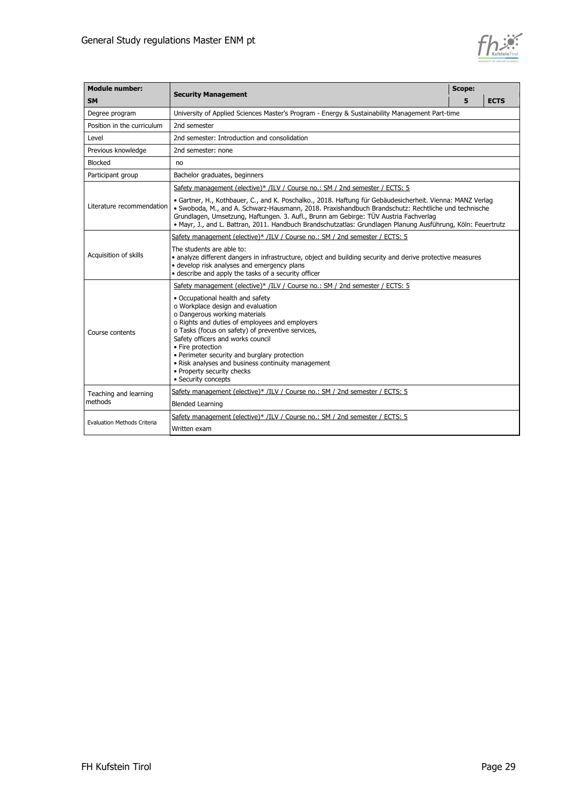

| <b>Module number:</b>              |                                                                                                                                                                                                                                                                                                                                                                                                                                    | Scope: |             |  |  |  |
|------------------------------------|------------------------------------------------------------------------------------------------------------------------------------------------------------------------------------------------------------------------------------------------------------------------------------------------------------------------------------------------------------------------------------------------------------------------------------|--------|-------------|--|--|--|
| <b>SM</b>                          | <b>Security Management</b>                                                                                                                                                                                                                                                                                                                                                                                                         | 5      | <b>ECTS</b> |  |  |  |
| Degree program                     | University of Applied Sciences Master's Program - Energy & Sustainability Management Part-time                                                                                                                                                                                                                                                                                                                                     |        |             |  |  |  |
| Position in the curriculum         | 2nd semester                                                                                                                                                                                                                                                                                                                                                                                                                       |        |             |  |  |  |
| Level                              | 2nd semester: Introduction and consolidation                                                                                                                                                                                                                                                                                                                                                                                       |        |             |  |  |  |
| Previous knowledge                 | 2nd semester: none                                                                                                                                                                                                                                                                                                                                                                                                                 |        |             |  |  |  |
| Blocked                            | no                                                                                                                                                                                                                                                                                                                                                                                                                                 |        |             |  |  |  |
| Participant group                  | Bachelor graduates, beginners                                                                                                                                                                                                                                                                                                                                                                                                      |        |             |  |  |  |
|                                    | Safety management (elective)* /ILV / Course no.: SM / 2nd semester / ECTS: 5                                                                                                                                                                                                                                                                                                                                                       |        |             |  |  |  |
| Literature recommendation          | • Gartner, H., Kothbauer, C., and K. Poschalko., 2018. Haftung für Gebäudesicherheit. Vienna: MANZ Verlag<br>· Swoboda, M., and A. Schwarz-Hausmann, 2018. Praxishandbuch Brandschutz: Rechtliche und technische<br>Grundlagen, Umsetzung, Haftungen. 3. Aufl., Brunn am Gebirge: TÜV Austria Fachverlag<br>· Mayr, J., and L. Battran, 2011. Handbuch Brandschutzatlas: Grundlagen Planung Ausführung, Köln: Feuertrutz           |        |             |  |  |  |
|                                    | Safety management (elective)* /ILV / Course no.: SM / 2nd semester / ECTS: 5                                                                                                                                                                                                                                                                                                                                                       |        |             |  |  |  |
| Acquisition of skills              | The students are able to:<br>• analyze different dangers in infrastructure, object and building security and derive protective measures<br>• develop risk analyses and emergency plans<br>· describe and apply the tasks of a security officer                                                                                                                                                                                     |        |             |  |  |  |
|                                    | Safety management (elective)* /ILV / Course no.: SM / 2nd semester / ECTS: 5                                                                                                                                                                                                                                                                                                                                                       |        |             |  |  |  |
| Course contents                    | • Occupational health and safety<br>o Workplace design and evaluation<br>o Dangerous working materials<br>o Rights and duties of employees and employers<br>o Tasks (focus on safety) of preventive services,<br>Safety officers and works council<br>• Fire protection<br>• Perimeter security and burglary protection<br>• Risk analyses and business continuity management<br>• Property security checks<br>• Security concepts |        |             |  |  |  |
| Teaching and learning              | Safety management (elective)* /ILV / Course no.: SM / 2nd semester / ECTS: 5                                                                                                                                                                                                                                                                                                                                                       |        |             |  |  |  |
| methods                            | <b>Blended Learning</b>                                                                                                                                                                                                                                                                                                                                                                                                            |        |             |  |  |  |
|                                    | Safety management (elective)* /ILV / Course no.: SM / 2nd semester / ECTS: 5                                                                                                                                                                                                                                                                                                                                                       |        |             |  |  |  |
| <b>Evaluation Methods Criteria</b> | Written exam                                                                                                                                                                                                                                                                                                                                                                                                                       |        |             |  |  |  |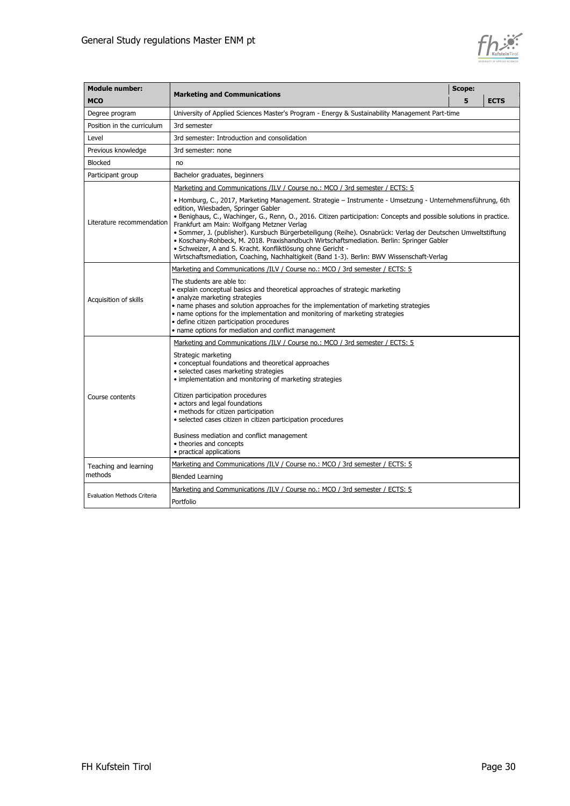

| <b>Module number:</b>              | <b>Marketing and Communications</b>                                                                                                                                                                                                                                                                                                                                                                                                                                                                                                                                                                                                                                                             | Scope: |             |
|------------------------------------|-------------------------------------------------------------------------------------------------------------------------------------------------------------------------------------------------------------------------------------------------------------------------------------------------------------------------------------------------------------------------------------------------------------------------------------------------------------------------------------------------------------------------------------------------------------------------------------------------------------------------------------------------------------------------------------------------|--------|-------------|
| <b>MCO</b>                         |                                                                                                                                                                                                                                                                                                                                                                                                                                                                                                                                                                                                                                                                                                 | 5      | <b>ECTS</b> |
| Degree program                     | University of Applied Sciences Master's Program - Energy & Sustainability Management Part-time                                                                                                                                                                                                                                                                                                                                                                                                                                                                                                                                                                                                  |        |             |
| Position in the curriculum         | 3rd semester                                                                                                                                                                                                                                                                                                                                                                                                                                                                                                                                                                                                                                                                                    |        |             |
| Level                              | 3rd semester: Introduction and consolidation                                                                                                                                                                                                                                                                                                                                                                                                                                                                                                                                                                                                                                                    |        |             |
| Previous knowledge                 | 3rd semester: none                                                                                                                                                                                                                                                                                                                                                                                                                                                                                                                                                                                                                                                                              |        |             |
| Blocked                            | no                                                                                                                                                                                                                                                                                                                                                                                                                                                                                                                                                                                                                                                                                              |        |             |
| Participant group                  | Bachelor graduates, beginners                                                                                                                                                                                                                                                                                                                                                                                                                                                                                                                                                                                                                                                                   |        |             |
|                                    | Marketing and Communications /ILV / Course no.: MCO / 3rd semester / ECTS: 5                                                                                                                                                                                                                                                                                                                                                                                                                                                                                                                                                                                                                    |        |             |
| Literature recommendation          | • Homburg, C., 2017, Marketing Management. Strategie – Instrumente - Umsetzung - Unternehmensführung, 6th<br>edition, Wiesbaden, Springer Gabler<br>· Benighaus, C., Wachinger, G., Renn, O., 2016. Citizen participation: Concepts and possible solutions in practice.<br>Frankfurt am Main: Wolfgang Metzner Verlag<br>· Sommer, J. (publisher). Kursbuch Bürgerbeteiligung (Reihe). Osnabrück: Verlag der Deutschen Umweltstiftung<br>· Koschany-Rohbeck, M. 2018. Praxishandbuch Wirtschaftsmediation. Berlin: Springer Gabler<br>· Schweizer, A and S. Kracht. Konfliktlösung ohne Gericht -<br>Wirtschaftsmediation, Coaching, Nachhaltigkeit (Band 1-3). Berlin: BWV Wissenschaft-Verlag |        |             |
|                                    | Marketing and Communications /ILV / Course no.: MCO / 3rd semester / ECTS: 5                                                                                                                                                                                                                                                                                                                                                                                                                                                                                                                                                                                                                    |        |             |
| Acquisition of skills              | The students are able to:<br>• explain conceptual basics and theoretical approaches of strategic marketing<br>• analyze marketing strategies<br>• name phases and solution approaches for the implementation of marketing strategies<br>• name options for the implementation and monitoring of marketing strategies<br>· define citizen participation procedures<br>• name options for mediation and conflict management                                                                                                                                                                                                                                                                       |        |             |
|                                    | Marketing and Communications /ILV / Course no.: MCO / 3rd semester / ECTS: 5                                                                                                                                                                                                                                                                                                                                                                                                                                                                                                                                                                                                                    |        |             |
|                                    | Strategic marketing<br>• conceptual foundations and theoretical approaches<br>· selected cases marketing strategies<br>• implementation and monitoring of marketing strategies                                                                                                                                                                                                                                                                                                                                                                                                                                                                                                                  |        |             |
| Course contents                    | Citizen participation procedures<br>• actors and legal foundations<br>• methods for citizen participation<br>· selected cases citizen in citizen participation procedures                                                                                                                                                                                                                                                                                                                                                                                                                                                                                                                       |        |             |
|                                    | Business mediation and conflict management<br>• theories and concepts<br>• practical applications                                                                                                                                                                                                                                                                                                                                                                                                                                                                                                                                                                                               |        |             |
| Teaching and learning              | Marketing and Communications /ILV / Course no.: MCO / 3rd semester / ECTS: 5                                                                                                                                                                                                                                                                                                                                                                                                                                                                                                                                                                                                                    |        |             |
| methods                            | <b>Blended Learning</b>                                                                                                                                                                                                                                                                                                                                                                                                                                                                                                                                                                                                                                                                         |        |             |
| <b>Evaluation Methods Criteria</b> | Marketing and Communications /ILV / Course no.: MCO / 3rd semester / ECTS: 5                                                                                                                                                                                                                                                                                                                                                                                                                                                                                                                                                                                                                    |        |             |
|                                    | Portfolio                                                                                                                                                                                                                                                                                                                                                                                                                                                                                                                                                                                                                                                                                       |        |             |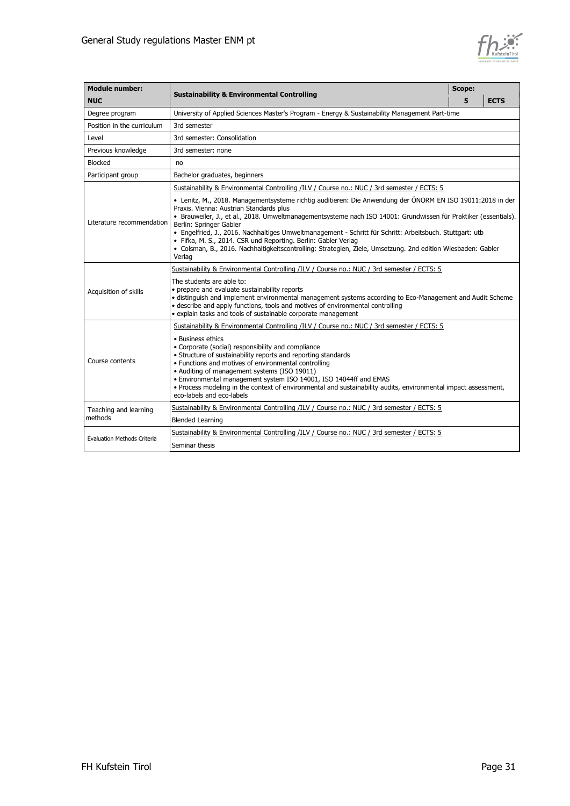

| <b>Module number:</b>              |                                                                                                                                                                                                                                                                                                                                                                                                                                                                                                                                                                                                             |   |             |
|------------------------------------|-------------------------------------------------------------------------------------------------------------------------------------------------------------------------------------------------------------------------------------------------------------------------------------------------------------------------------------------------------------------------------------------------------------------------------------------------------------------------------------------------------------------------------------------------------------------------------------------------------------|---|-------------|
| <b>NUC</b>                         | <b>Sustainability &amp; Environmental Controlling</b>                                                                                                                                                                                                                                                                                                                                                                                                                                                                                                                                                       | 5 | <b>ECTS</b> |
| Degree program                     | University of Applied Sciences Master's Program - Energy & Sustainability Management Part-time                                                                                                                                                                                                                                                                                                                                                                                                                                                                                                              |   |             |
| Position in the curriculum         | 3rd semester                                                                                                                                                                                                                                                                                                                                                                                                                                                                                                                                                                                                |   |             |
| Level                              | 3rd semester: Consolidation                                                                                                                                                                                                                                                                                                                                                                                                                                                                                                                                                                                 |   |             |
| Previous knowledge                 | 3rd semester: none                                                                                                                                                                                                                                                                                                                                                                                                                                                                                                                                                                                          |   |             |
| <b>Blocked</b>                     | no                                                                                                                                                                                                                                                                                                                                                                                                                                                                                                                                                                                                          |   |             |
| Participant group                  | Bachelor graduates, beginners                                                                                                                                                                                                                                                                                                                                                                                                                                                                                                                                                                               |   |             |
|                                    | Sustainability & Environmental Controlling /ILV / Course no.: NUC / 3rd semester / ECTS: 5                                                                                                                                                                                                                                                                                                                                                                                                                                                                                                                  |   |             |
| Literature recommendation          | • Lenitz, M., 2018. Managementsysteme richtig auditieren: Die Anwendung der ÖNORM EN ISO 19011:2018 in der<br>Praxis. Vienna: Austrian Standards plus<br>· Brauweiler, J., et al., 2018. Umweltmanagementsysteme nach ISO 14001: Grundwissen für Praktiker (essentials).<br>Berlin: Springer Gabler<br>· Engelfried, J., 2016. Nachhaltiges Umweltmanagement - Schritt für Schritt: Arbeitsbuch. Stuttgart: utb<br>· Fifka, M. S., 2014. CSR und Reporting. Berlin: Gabler Verlag<br>· Colsman, B., 2016. Nachhaltigkeitscontrolling: Strategien, Ziele, Umsetzung. 2nd edition Wiesbaden: Gabler<br>Verlag |   |             |
|                                    | Sustainability & Environmental Controlling /ILV / Course no.: NUC / 3rd semester / ECTS: 5                                                                                                                                                                                                                                                                                                                                                                                                                                                                                                                  |   |             |
| Acquisition of skills              | The students are able to:<br>• prepare and evaluate sustainability reports<br>· distinguish and implement environmental management systems according to Eco-Management and Audit Scheme<br>· describe and apply functions, tools and motives of environmental controlling<br>· explain tasks and tools of sustainable corporate management                                                                                                                                                                                                                                                                  |   |             |
|                                    | Sustainability & Environmental Controlling /ILV / Course no.: NUC / 3rd semester / ECTS: 5                                                                                                                                                                                                                                                                                                                                                                                                                                                                                                                  |   |             |
| Course contents                    | • Business ethics<br>• Corporate (social) responsibility and compliance<br>• Structure of sustainability reports and reporting standards<br>• Functions and motives of environmental controlling<br>• Auditing of management systems (ISO 19011)<br>. Environmental management system ISO 14001, ISO 14044ff and EMAS<br>. Process modeling in the context of environmental and sustainability audits, environmental impact assessment,<br>eco-labels and eco-labels                                                                                                                                        |   |             |
| Teaching and learning              | Sustainability & Environmental Controlling /ILV / Course no.: NUC / 3rd semester / ECTS: 5                                                                                                                                                                                                                                                                                                                                                                                                                                                                                                                  |   |             |
| methods                            | <b>Blended Learning</b>                                                                                                                                                                                                                                                                                                                                                                                                                                                                                                                                                                                     |   |             |
|                                    | Sustainability & Environmental Controlling /ILV / Course no.: NUC / 3rd semester / ECTS: 5                                                                                                                                                                                                                                                                                                                                                                                                                                                                                                                  |   |             |
| <b>Evaluation Methods Criteria</b> | Seminar thesis                                                                                                                                                                                                                                                                                                                                                                                                                                                                                                                                                                                              |   |             |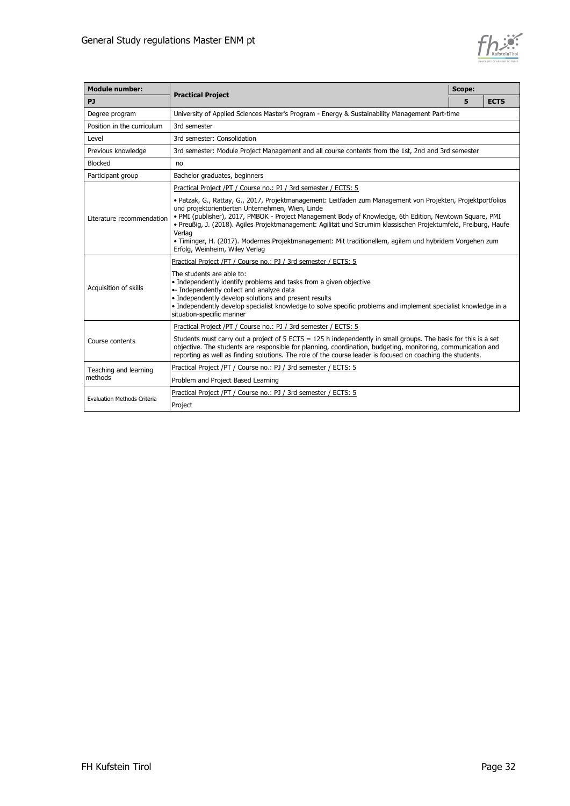

| <b>Module number:</b>                                                                                                                                                                                                                                                                                                                                           | Scope:                                                                                                                                                                                                                                                                                                                                                                                                                                                                                                                                                |   |             |  |  |
|-----------------------------------------------------------------------------------------------------------------------------------------------------------------------------------------------------------------------------------------------------------------------------------------------------------------------------------------------------------------|-------------------------------------------------------------------------------------------------------------------------------------------------------------------------------------------------------------------------------------------------------------------------------------------------------------------------------------------------------------------------------------------------------------------------------------------------------------------------------------------------------------------------------------------------------|---|-------------|--|--|
| PJ                                                                                                                                                                                                                                                                                                                                                              | <b>Practical Project</b>                                                                                                                                                                                                                                                                                                                                                                                                                                                                                                                              | 5 | <b>ECTS</b> |  |  |
| Degree program                                                                                                                                                                                                                                                                                                                                                  | University of Applied Sciences Master's Program - Energy & Sustainability Management Part-time                                                                                                                                                                                                                                                                                                                                                                                                                                                        |   |             |  |  |
| Position in the curriculum                                                                                                                                                                                                                                                                                                                                      | 3rd semester                                                                                                                                                                                                                                                                                                                                                                                                                                                                                                                                          |   |             |  |  |
| Level                                                                                                                                                                                                                                                                                                                                                           | 3rd semester: Consolidation                                                                                                                                                                                                                                                                                                                                                                                                                                                                                                                           |   |             |  |  |
| Previous knowledge                                                                                                                                                                                                                                                                                                                                              | 3rd semester: Module Project Management and all course contents from the 1st, 2nd and 3rd semester                                                                                                                                                                                                                                                                                                                                                                                                                                                    |   |             |  |  |
| <b>Blocked</b>                                                                                                                                                                                                                                                                                                                                                  | no                                                                                                                                                                                                                                                                                                                                                                                                                                                                                                                                                    |   |             |  |  |
| Participant group                                                                                                                                                                                                                                                                                                                                               | Bachelor graduates, beginners                                                                                                                                                                                                                                                                                                                                                                                                                                                                                                                         |   |             |  |  |
|                                                                                                                                                                                                                                                                                                                                                                 | Practical Project /PT / Course no.: PJ / 3rd semester / ECTS: 5                                                                                                                                                                                                                                                                                                                                                                                                                                                                                       |   |             |  |  |
| Literature recommendation                                                                                                                                                                                                                                                                                                                                       | · Patzak, G., Rattay, G., 2017, Projektmanagement: Leitfaden zum Management von Projekten, Projektportfolios<br>und projektorientierten Unternehmen, Wien, Linde<br>. PMI (publisher), 2017, PMBOK - Project Management Body of Knowledge, 6th Edition, Newtown Square, PMI<br>· Preußig, J. (2018). Agiles Projektmanagement: Agilität und Scrumim klassischen Projektumfeld, Freiburg, Haufe<br>Verlag<br>· Timinger, H. (2017). Modernes Projektmanagement: Mit traditionellem, agilem und hybridem Vorgehen zum<br>Erfolg, Weinheim, Wiley Verlag |   |             |  |  |
| Acquisition of skills                                                                                                                                                                                                                                                                                                                                           | Practical Project /PT / Course no.: PJ / 3rd semester / ECTS: 5<br>The students are able to:<br>• Independently identify problems and tasks from a given objective<br>•- Independently collect and analyze data<br>• Independently develop solutions and present results<br>· Independently develop specialist knowledge to solve specific problems and implement specialist knowledge in a<br>situation-specific manner                                                                                                                              |   |             |  |  |
|                                                                                                                                                                                                                                                                                                                                                                 | Practical Project /PT / Course no.: PJ / 3rd semester / ECTS: 5                                                                                                                                                                                                                                                                                                                                                                                                                                                                                       |   |             |  |  |
| Students must carry out a project of 5 ECTS = 125 h independently in small groups. The basis for this is a set<br>Course contents<br>objective. The students are responsible for planning, coordination, budgeting, monitoring, communication and<br>reporting as well as finding solutions. The role of the course leader is focused on coaching the students. |                                                                                                                                                                                                                                                                                                                                                                                                                                                                                                                                                       |   |             |  |  |
| Teaching and learning                                                                                                                                                                                                                                                                                                                                           | Practical Project /PT / Course no.: PJ / 3rd semester / ECTS: 5                                                                                                                                                                                                                                                                                                                                                                                                                                                                                       |   |             |  |  |
| methods                                                                                                                                                                                                                                                                                                                                                         | Problem and Project Based Learning                                                                                                                                                                                                                                                                                                                                                                                                                                                                                                                    |   |             |  |  |
|                                                                                                                                                                                                                                                                                                                                                                 | Practical Project /PT / Course no.: PJ / 3rd semester / ECTS: 5                                                                                                                                                                                                                                                                                                                                                                                                                                                                                       |   |             |  |  |
| <b>Evaluation Methods Criteria</b>                                                                                                                                                                                                                                                                                                                              | Project                                                                                                                                                                                                                                                                                                                                                                                                                                                                                                                                               |   |             |  |  |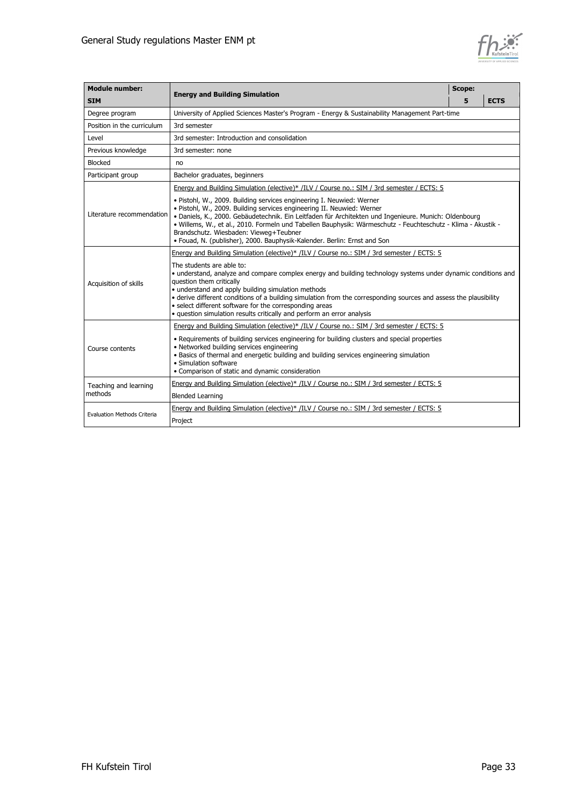

| <b>Module number:</b>                                                                                                                                                                                                                    | <b>Energy and Building Simulation</b>                                                                                                                                                                                                                                                                                                                                                                                                                                                          |  | Scope:      |  |
|------------------------------------------------------------------------------------------------------------------------------------------------------------------------------------------------------------------------------------------|------------------------------------------------------------------------------------------------------------------------------------------------------------------------------------------------------------------------------------------------------------------------------------------------------------------------------------------------------------------------------------------------------------------------------------------------------------------------------------------------|--|-------------|--|
| <b>SIM</b>                                                                                                                                                                                                                               |                                                                                                                                                                                                                                                                                                                                                                                                                                                                                                |  | <b>ECTS</b> |  |
| Degree program                                                                                                                                                                                                                           | University of Applied Sciences Master's Program - Energy & Sustainability Management Part-time                                                                                                                                                                                                                                                                                                                                                                                                 |  |             |  |
| Position in the curriculum                                                                                                                                                                                                               | 3rd semester                                                                                                                                                                                                                                                                                                                                                                                                                                                                                   |  |             |  |
| Level                                                                                                                                                                                                                                    | 3rd semester: Introduction and consolidation                                                                                                                                                                                                                                                                                                                                                                                                                                                   |  |             |  |
| Previous knowledge                                                                                                                                                                                                                       | 3rd semester: none                                                                                                                                                                                                                                                                                                                                                                                                                                                                             |  |             |  |
| Blocked                                                                                                                                                                                                                                  | no                                                                                                                                                                                                                                                                                                                                                                                                                                                                                             |  |             |  |
| Participant group                                                                                                                                                                                                                        | Bachelor graduates, beginners                                                                                                                                                                                                                                                                                                                                                                                                                                                                  |  |             |  |
|                                                                                                                                                                                                                                          | Energy and Building Simulation (elective)* /ILV / Course no.: SIM / 3rd semester / ECTS: 5                                                                                                                                                                                                                                                                                                                                                                                                     |  |             |  |
| Literature recommendation                                                                                                                                                                                                                | · Pistohl, W., 2009. Building services engineering I. Neuwied: Werner<br>· Pistohl, W., 2009. Building services engineering II. Neuwied: Werner<br>· Daniels, K., 2000. Gebäudetechnik. Ein Leitfaden für Architekten und Ingenieure. Munich: Oldenbourg<br>· Willems, W., et al., 2010. Formeln und Tabellen Bauphysik: Wärmeschutz - Feuchteschutz - Klima - Akustik -<br>Brandschutz. Wiesbaden: Vieweg+Teubner<br>· Fouad, N. (publisher), 2000. Bauphysik-Kalender. Berlin: Ernst and Son |  |             |  |
| Energy and Building Simulation (elective)* /ILV / Course no.: SIM / 3rd semester / ECTS: 5<br>The students are able to:<br>• understand, analyze and compare complex energy and building technology systems under dynamic conditions and |                                                                                                                                                                                                                                                                                                                                                                                                                                                                                                |  |             |  |
| Acquisition of skills                                                                                                                                                                                                                    | question them critically<br>• understand and apply building simulation methods<br>· derive different conditions of a building simulation from the corresponding sources and assess the plausibility<br>• select different software for the corresponding areas<br>• question simulation results critically and perform an error analysis                                                                                                                                                       |  |             |  |
|                                                                                                                                                                                                                                          | Energy and Building Simulation (elective)* /ILV / Course no.: SIM / 3rd semester / ECTS: 5                                                                                                                                                                                                                                                                                                                                                                                                     |  |             |  |
| Course contents                                                                                                                                                                                                                          | • Requirements of building services engineering for building clusters and special properties<br>• Networked building services engineering<br>• Basics of thermal and energetic building and building services engineering simulation<br>• Simulation software<br>• Comparison of static and dynamic consideration                                                                                                                                                                              |  |             |  |
| Teaching and learning                                                                                                                                                                                                                    | Energy and Building Simulation (elective)* /ILV / Course no.: SIM / 3rd semester / ECTS: 5                                                                                                                                                                                                                                                                                                                                                                                                     |  |             |  |
| methods                                                                                                                                                                                                                                  | <b>Blended Learning</b>                                                                                                                                                                                                                                                                                                                                                                                                                                                                        |  |             |  |
| Energy and Building Simulation (elective)* /ILV / Course no.: SIM / 3rd semester / ECTS: 5<br><b>Evaluation Methods Criteria</b>                                                                                                         |                                                                                                                                                                                                                                                                                                                                                                                                                                                                                                |  |             |  |
|                                                                                                                                                                                                                                          | Project                                                                                                                                                                                                                                                                                                                                                                                                                                                                                        |  |             |  |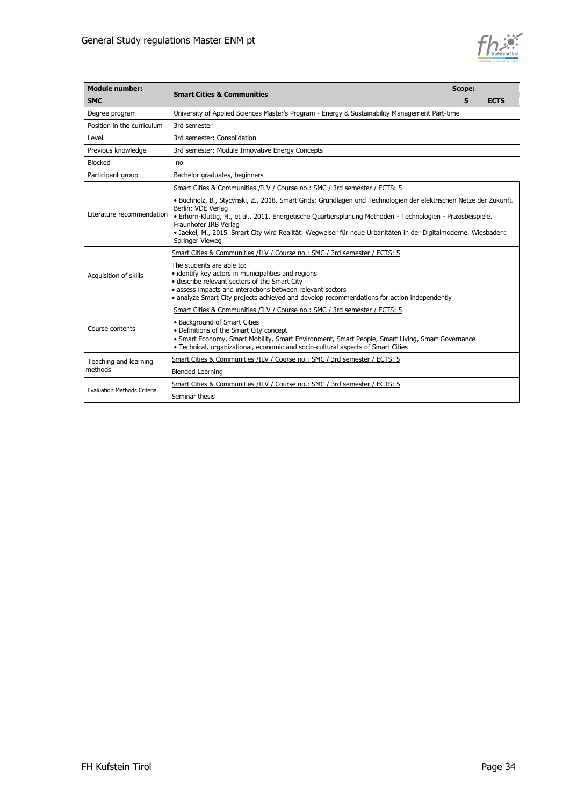

| <b>Module number:</b>              | <b>Smart Cities &amp; Communities</b>                                                                                                                                                                                                                                                                                                                                                                                 |  | Scope:      |  |  |
|------------------------------------|-----------------------------------------------------------------------------------------------------------------------------------------------------------------------------------------------------------------------------------------------------------------------------------------------------------------------------------------------------------------------------------------------------------------------|--|-------------|--|--|
| <b>SMC</b>                         |                                                                                                                                                                                                                                                                                                                                                                                                                       |  | <b>ECTS</b> |  |  |
| Degree program                     | University of Applied Sciences Master's Program - Energy & Sustainability Management Part-time                                                                                                                                                                                                                                                                                                                        |  |             |  |  |
| Position in the curriculum         | 3rd semester                                                                                                                                                                                                                                                                                                                                                                                                          |  |             |  |  |
| Level                              | 3rd semester: Consolidation                                                                                                                                                                                                                                                                                                                                                                                           |  |             |  |  |
| Previous knowledge                 | 3rd semester: Module Innovative Energy Concepts                                                                                                                                                                                                                                                                                                                                                                       |  |             |  |  |
| Blocked                            | no                                                                                                                                                                                                                                                                                                                                                                                                                    |  |             |  |  |
| Participant group                  | Bachelor graduates, beginners                                                                                                                                                                                                                                                                                                                                                                                         |  |             |  |  |
|                                    | Smart Cities & Communities /ILV / Course no.: SMC / 3rd semester / ECTS: 5                                                                                                                                                                                                                                                                                                                                            |  |             |  |  |
| Literature recommendation          | · Buchholz, B., Stycynski, Z., 2018. Smart Grids: Grundlagen und Technologien der elektrischen Netze der Zukunft.<br>Berlin: VDE Verlag<br>· Erhorn-Kluttig, H., et al., 2011. Energetische Quartiersplanung Methoden - Technologien - Praxisbeispiele.<br>Fraunhofer IRB Verlag<br>· Jaekel, M., 2015. Smart City wird Realität: Wegweiser für neue Urbanitäten in der Digitalmoderne. Wiesbaden:<br>Springer Vieweg |  |             |  |  |
|                                    | Smart Cities & Communities /ILV / Course no.: SMC / 3rd semester / ECTS: 5                                                                                                                                                                                                                                                                                                                                            |  |             |  |  |
| Acquisition of skills              | The students are able to:<br>• identify key actors in municipalities and regions<br>· describe relevant sectors of the Smart City<br>• assess impacts and interactions between relevant sectors<br>• analyze Smart City projects achieved and develop recommendations for action independently                                                                                                                        |  |             |  |  |
|                                    | Smart Cities & Communities /ILV / Course no.: SMC / 3rd semester / ECTS: 5                                                                                                                                                                                                                                                                                                                                            |  |             |  |  |
| Course contents                    | • Background of Smart Cities<br>• Definitions of the Smart City concept<br>· Smart Economy, Smart Mobility, Smart Environment, Smart People, Smart Living, Smart Governance<br>· Technical, organizational, economic and socio-cultural aspects of Smart Cities                                                                                                                                                       |  |             |  |  |
| Teaching and learning              | Smart Cities & Communities /ILV / Course no.: SMC / 3rd semester / ECTS: 5                                                                                                                                                                                                                                                                                                                                            |  |             |  |  |
| methods                            | <b>Blended Learning</b>                                                                                                                                                                                                                                                                                                                                                                                               |  |             |  |  |
| <b>Evaluation Methods Criteria</b> | Smart Cities & Communities /ILV / Course no.: SMC / 3rd semester / ECTS: 5<br>Seminar thesis                                                                                                                                                                                                                                                                                                                          |  |             |  |  |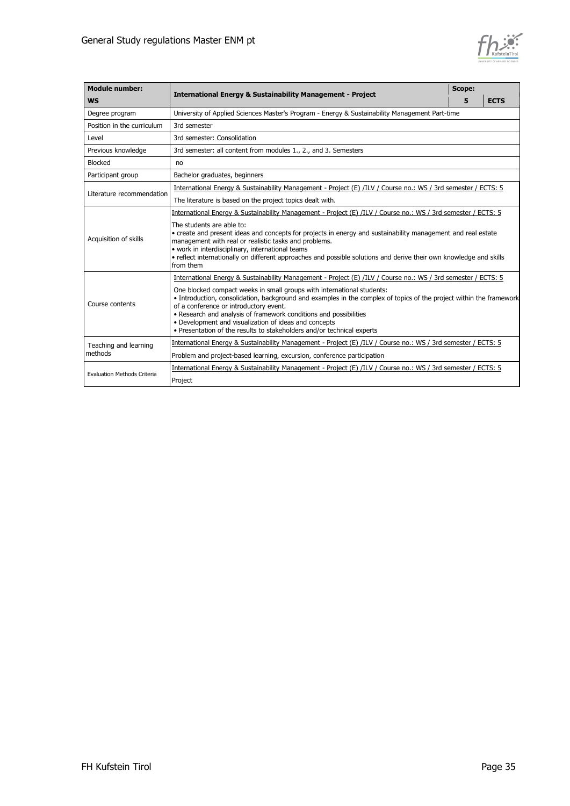

| <b>Module number:</b>              | <b>International Energy &amp; Sustainability Management - Project</b>                                                                                                                                                                                                                                                                                                                                                                           |  | Scope:      |  |  |
|------------------------------------|-------------------------------------------------------------------------------------------------------------------------------------------------------------------------------------------------------------------------------------------------------------------------------------------------------------------------------------------------------------------------------------------------------------------------------------------------|--|-------------|--|--|
| <b>WS</b>                          |                                                                                                                                                                                                                                                                                                                                                                                                                                                 |  | <b>ECTS</b> |  |  |
| Degree program                     | University of Applied Sciences Master's Program - Energy & Sustainability Management Part-time                                                                                                                                                                                                                                                                                                                                                  |  |             |  |  |
| Position in the curriculum         | 3rd semester                                                                                                                                                                                                                                                                                                                                                                                                                                    |  |             |  |  |
| Level                              | 3rd semester: Consolidation                                                                                                                                                                                                                                                                                                                                                                                                                     |  |             |  |  |
| Previous knowledge                 | 3rd semester: all content from modules 1., 2., and 3. Semesters                                                                                                                                                                                                                                                                                                                                                                                 |  |             |  |  |
| Blocked                            | no                                                                                                                                                                                                                                                                                                                                                                                                                                              |  |             |  |  |
| Participant group                  | Bachelor graduates, beginners                                                                                                                                                                                                                                                                                                                                                                                                                   |  |             |  |  |
|                                    | International Energy & Sustainability Management - Project (E) /ILV / Course no.: WS / 3rd semester / ECTS: 5                                                                                                                                                                                                                                                                                                                                   |  |             |  |  |
| Literature recommendation          | The literature is based on the project topics dealt with.                                                                                                                                                                                                                                                                                                                                                                                       |  |             |  |  |
|                                    | International Energy & Sustainability Management - Project (E) /ILV / Course no.: WS / 3rd semester / ECTS: 5                                                                                                                                                                                                                                                                                                                                   |  |             |  |  |
| Acquisition of skills              | The students are able to:<br>• create and present ideas and concepts for projects in energy and sustainability management and real estate<br>management with real or realistic tasks and problems.<br>· work in interdisciplinary, international teams<br>· reflect internationally on different approaches and possible solutions and derive their own knowledge and skills<br>from them                                                       |  |             |  |  |
|                                    | International Energy & Sustainability Management - Project (E) /ILV / Course no.: WS / 3rd semester / ECTS: 5                                                                                                                                                                                                                                                                                                                                   |  |             |  |  |
| Course contents                    | One blocked compact weeks in small groups with international students:<br>• Introduction, consolidation, background and examples in the complex of topics of the project within the framework<br>of a conference or introductory event.<br>• Research and analysis of framework conditions and possibilities<br>• Development and visualization of ideas and concepts<br>. Presentation of the results to stakeholders and/or technical experts |  |             |  |  |
| Teaching and learning              | International Energy & Sustainability Management - Project (E) /ILV / Course no.: WS / 3rd semester / ECTS: 5                                                                                                                                                                                                                                                                                                                                   |  |             |  |  |
| methods                            | Problem and project-based learning, excursion, conference participation                                                                                                                                                                                                                                                                                                                                                                         |  |             |  |  |
| <b>Evaluation Methods Criteria</b> | International Energy & Sustainability Management - Project (E) /ILV / Course no.: WS / 3rd semester / ECTS: 5<br>Project                                                                                                                                                                                                                                                                                                                        |  |             |  |  |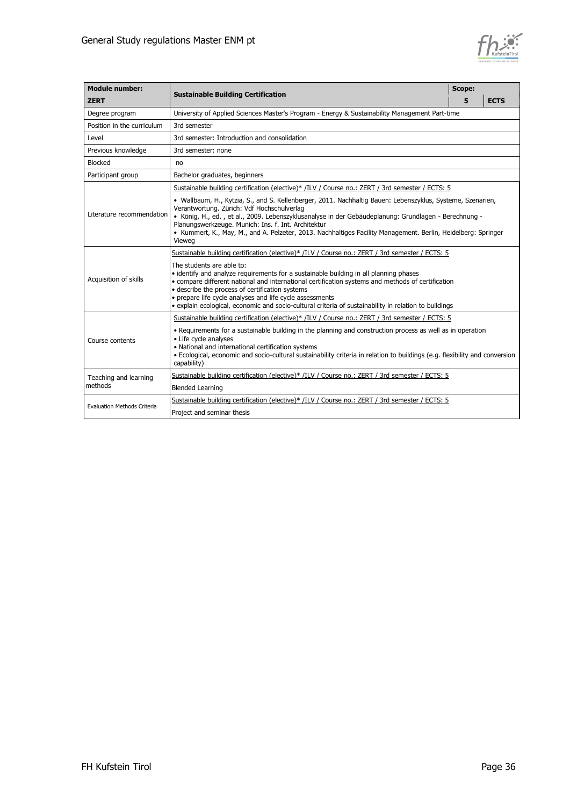

| <b>Module number:</b>              | <b>Sustainable Building Certification</b>                                                                                                                                                                                                                                                                                                                                                                                                          |                                                                                                 | Scope:      |  |  |
|------------------------------------|----------------------------------------------------------------------------------------------------------------------------------------------------------------------------------------------------------------------------------------------------------------------------------------------------------------------------------------------------------------------------------------------------------------------------------------------------|-------------------------------------------------------------------------------------------------|-------------|--|--|
| <b>ZERT</b>                        |                                                                                                                                                                                                                                                                                                                                                                                                                                                    |                                                                                                 | <b>ECTS</b> |  |  |
| Degree program                     | University of Applied Sciences Master's Program - Energy & Sustainability Management Part-time                                                                                                                                                                                                                                                                                                                                                     |                                                                                                 |             |  |  |
| Position in the curriculum         | 3rd semester                                                                                                                                                                                                                                                                                                                                                                                                                                       |                                                                                                 |             |  |  |
| Level                              | 3rd semester: Introduction and consolidation                                                                                                                                                                                                                                                                                                                                                                                                       |                                                                                                 |             |  |  |
| Previous knowledge                 | 3rd semester: none                                                                                                                                                                                                                                                                                                                                                                                                                                 |                                                                                                 |             |  |  |
| Blocked                            | no                                                                                                                                                                                                                                                                                                                                                                                                                                                 |                                                                                                 |             |  |  |
| Participant group                  | Bachelor graduates, beginners                                                                                                                                                                                                                                                                                                                                                                                                                      |                                                                                                 |             |  |  |
|                                    |                                                                                                                                                                                                                                                                                                                                                                                                                                                    | Sustainable building certification (elective)* /ILV / Course no.: ZERT / 3rd semester / ECTS: 5 |             |  |  |
| Literature recommendation          | · Wallbaum, H., Kytzia, S., and S. Kellenberger, 2011. Nachhaltig Bauen: Lebenszyklus, Systeme, Szenarien,<br>Verantwortung. Zürich: Vdf Hochschulverlag<br>• König, H., ed., et al., 2009. Lebenszyklusanalyse in der Gebäudeplanung: Grundlagen - Berechnung -<br>Planungswerkzeuge. Munich: Ins. f. Int. Architektur<br>• Kummert, K., May, M., and A. Pelzeter, 2013. Nachhaltiges Facility Management. Berlin, Heidelberg: Springer<br>Vieweg |                                                                                                 |             |  |  |
|                                    | Sustainable building certification (elective)* /ILV / Course no.: ZERT / 3rd semester / ECTS: 5                                                                                                                                                                                                                                                                                                                                                    |                                                                                                 |             |  |  |
| Acquisition of skills              | The students are able to:<br>• identify and analyze requirements for a sustainable building in all planning phases<br>• compare different national and international certification systems and methods of certification<br>• describe the process of certification systems<br>• prepare life cycle analyses and life cycle assessments<br>• explain ecological, economic and socio-cultural criteria of sustainability in relation to buildings    |                                                                                                 |             |  |  |
|                                    | Sustainable building certification (elective)* /ILV / Course no.: ZERT / 3rd semester / ECTS: 5                                                                                                                                                                                                                                                                                                                                                    |                                                                                                 |             |  |  |
| Course contents                    | • Requirements for a sustainable building in the planning and construction process as well as in operation<br>• Life cycle analyses<br>• National and international certification systems<br>• Ecological, economic and socio-cultural sustainability criteria in relation to buildings (e.g. flexibility and conversion<br>capability)                                                                                                            |                                                                                                 |             |  |  |
| Teaching and learning              | Sustainable building certification (elective)* /ILV / Course no.: ZERT / 3rd semester / ECTS: 5                                                                                                                                                                                                                                                                                                                                                    |                                                                                                 |             |  |  |
| methods                            | <b>Blended Learning</b>                                                                                                                                                                                                                                                                                                                                                                                                                            |                                                                                                 |             |  |  |
|                                    | Sustainable building certification (elective)* /ILV / Course no.: ZERT / 3rd semester / ECTS: 5                                                                                                                                                                                                                                                                                                                                                    |                                                                                                 |             |  |  |
| <b>Evaluation Methods Criteria</b> | Project and seminar thesis                                                                                                                                                                                                                                                                                                                                                                                                                         |                                                                                                 |             |  |  |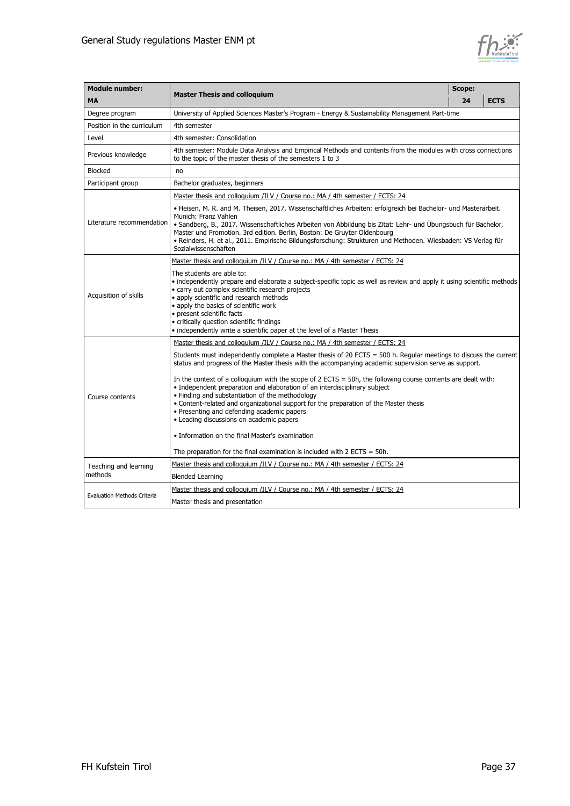

| <b>Module number:</b><br><b>Master Thesis and colloquium</b><br><b>MA</b>                             |                                                                                                                                                                                                                                                                                                                                                                                                                                                                             | Scope: |             |  |
|-------------------------------------------------------------------------------------------------------|-----------------------------------------------------------------------------------------------------------------------------------------------------------------------------------------------------------------------------------------------------------------------------------------------------------------------------------------------------------------------------------------------------------------------------------------------------------------------------|--------|-------------|--|
|                                                                                                       |                                                                                                                                                                                                                                                                                                                                                                                                                                                                             | 24     | <b>ECTS</b> |  |
| Degree program                                                                                        | University of Applied Sciences Master's Program - Energy & Sustainability Management Part-time                                                                                                                                                                                                                                                                                                                                                                              |        |             |  |
| Position in the curriculum                                                                            | 4th semester                                                                                                                                                                                                                                                                                                                                                                                                                                                                |        |             |  |
| Level                                                                                                 | 4th semester: Consolidation                                                                                                                                                                                                                                                                                                                                                                                                                                                 |        |             |  |
| Previous knowledge                                                                                    | 4th semester: Module Data Analysis and Empirical Methods and contents from the modules with cross connections<br>to the topic of the master thesis of the semesters 1 to 3                                                                                                                                                                                                                                                                                                  |        |             |  |
| <b>Blocked</b>                                                                                        | no                                                                                                                                                                                                                                                                                                                                                                                                                                                                          |        |             |  |
| Participant group                                                                                     | Bachelor graduates, beginners                                                                                                                                                                                                                                                                                                                                                                                                                                               |        |             |  |
|                                                                                                       | Master thesis and colloguium /ILV / Course no.: MA / 4th semester / ECTS: 24                                                                                                                                                                                                                                                                                                                                                                                                |        |             |  |
| Literature recommendation                                                                             | • Heisen, M. R. and M. Theisen, 2017. Wissenschaftliches Arbeiten: erfolgreich bei Bachelor- und Masterarbeit.<br>Munich: Franz Vahlen<br>• Sandberg, B., 2017. Wissenschaftliches Arbeiten von Abbildung bis Zitat: Lehr- und Übungsbuch für Bachelor,<br>Master und Promotion. 3rd edition. Berlin, Boston: De Gruyter Oldenbourg<br>· Reinders, H. et al., 2011. Empirische Bildungsforschung: Strukturen und Methoden. Wiesbaden: VS Verlag für<br>Sozialwissenschaften |        |             |  |
|                                                                                                       | Master thesis and colloquium /ILV / Course no.: MA / 4th semester / ECTS: 24                                                                                                                                                                                                                                                                                                                                                                                                |        |             |  |
| Acquisition of skills                                                                                 | The students are able to:<br>• independently prepare and elaborate a subject-specific topic as well as review and apply it using scientific methods<br>· carry out complex scientific research projects<br>• apply scientific and research methods<br>• apply the basics of scientific work<br>• present scientific facts<br>• critically question scientific findings<br>• independently write a scientific paper at the level of a Master Thesis                          |        |             |  |
|                                                                                                       | Master thesis and colloquium /ILV / Course no.: MA / 4th semester / ECTS: 24                                                                                                                                                                                                                                                                                                                                                                                                |        |             |  |
|                                                                                                       | Students must independently complete a Master thesis of 20 ECTS = 500 h. Regular meetings to discuss the current<br>status and progress of the Master thesis with the accompanying academic supervision serve as support.<br>In the context of a colloquium with the scope of $2$ ECTS = 50h, the following course contents are dealt with:                                                                                                                                 |        |             |  |
| Course contents                                                                                       | • Independent preparation and elaboration of an interdisciplinary subject<br>. Finding and substantiation of the methodology<br>• Content-related and organizational support for the preparation of the Master thesis<br>• Presenting and defending academic papers<br>• Leading discussions on academic papers                                                                                                                                                             |        |             |  |
|                                                                                                       | • Information on the final Master's examination                                                                                                                                                                                                                                                                                                                                                                                                                             |        |             |  |
|                                                                                                       | The preparation for the final examination is included with $2$ ECTS = 50h.                                                                                                                                                                                                                                                                                                                                                                                                  |        |             |  |
| Master thesis and colloquium /ILV / Course no.: MA / 4th semester / ECTS: 24<br>Teaching and learning |                                                                                                                                                                                                                                                                                                                                                                                                                                                                             |        |             |  |
| methods                                                                                               | <b>Blended Learning</b>                                                                                                                                                                                                                                                                                                                                                                                                                                                     |        |             |  |
|                                                                                                       | Master thesis and colloquium /ILV / Course no.: MA / 4th semester / ECTS: 24                                                                                                                                                                                                                                                                                                                                                                                                |        |             |  |
| Evaluation Methods Criteria                                                                           | Master thesis and presentation                                                                                                                                                                                                                                                                                                                                                                                                                                              |        |             |  |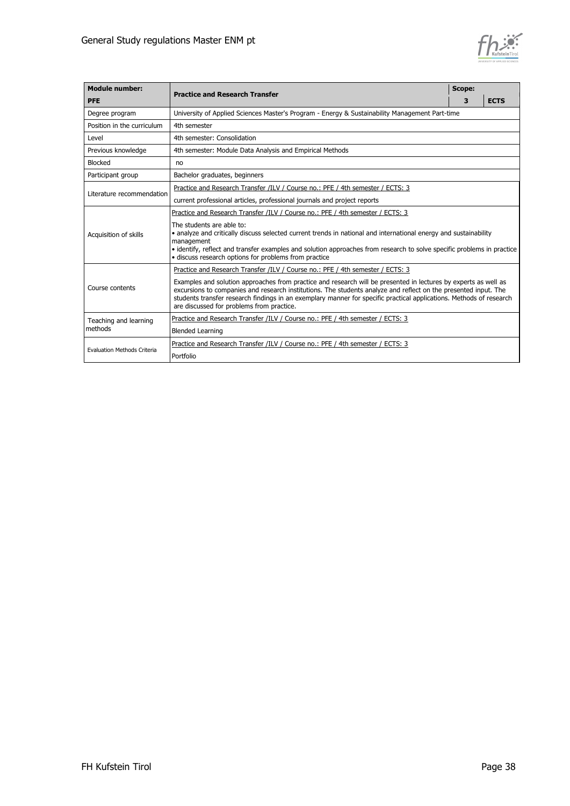

| <b>Module number:</b>                                                                                                                                                                                                                                                                                                                                                                                                     | <b>Practice and Research Transfer</b>                                                                                                                                                                                                                                                                                                          |  | Scope:      |  |  |
|---------------------------------------------------------------------------------------------------------------------------------------------------------------------------------------------------------------------------------------------------------------------------------------------------------------------------------------------------------------------------------------------------------------------------|------------------------------------------------------------------------------------------------------------------------------------------------------------------------------------------------------------------------------------------------------------------------------------------------------------------------------------------------|--|-------------|--|--|
| <b>PFE</b>                                                                                                                                                                                                                                                                                                                                                                                                                |                                                                                                                                                                                                                                                                                                                                                |  | <b>ECTS</b> |  |  |
| Degree program                                                                                                                                                                                                                                                                                                                                                                                                            | University of Applied Sciences Master's Program - Energy & Sustainability Management Part-time                                                                                                                                                                                                                                                 |  |             |  |  |
| Position in the curriculum                                                                                                                                                                                                                                                                                                                                                                                                | 4th semester                                                                                                                                                                                                                                                                                                                                   |  |             |  |  |
| Level                                                                                                                                                                                                                                                                                                                                                                                                                     | 4th semester: Consolidation                                                                                                                                                                                                                                                                                                                    |  |             |  |  |
| Previous knowledge                                                                                                                                                                                                                                                                                                                                                                                                        | 4th semester: Module Data Analysis and Empirical Methods                                                                                                                                                                                                                                                                                       |  |             |  |  |
| Blocked                                                                                                                                                                                                                                                                                                                                                                                                                   | no                                                                                                                                                                                                                                                                                                                                             |  |             |  |  |
| Participant group                                                                                                                                                                                                                                                                                                                                                                                                         | Bachelor graduates, beginners                                                                                                                                                                                                                                                                                                                  |  |             |  |  |
| Literature recommendation                                                                                                                                                                                                                                                                                                                                                                                                 | Practice and Research Transfer /ILV / Course no.: PFE / 4th semester / ECTS: 3                                                                                                                                                                                                                                                                 |  |             |  |  |
|                                                                                                                                                                                                                                                                                                                                                                                                                           | current professional articles, professional journals and project reports                                                                                                                                                                                                                                                                       |  |             |  |  |
| Practice and Research Transfer /ILV / Course no.: PFE / 4th semester / ECTS: 3                                                                                                                                                                                                                                                                                                                                            |                                                                                                                                                                                                                                                                                                                                                |  |             |  |  |
| Acquisition of skills                                                                                                                                                                                                                                                                                                                                                                                                     | The students are able to:<br>• analyze and critically discuss selected current trends in national and international energy and sustainability<br>management<br>· identify, reflect and transfer examples and solution approaches from research to solve specific problems in practice<br>· discuss research options for problems from practice |  |             |  |  |
|                                                                                                                                                                                                                                                                                                                                                                                                                           | Practice and Research Transfer /ILV / Course no.: PFE / 4th semester / ECTS: 3                                                                                                                                                                                                                                                                 |  |             |  |  |
| Examples and solution approaches from practice and research will be presented in lectures by experts as well as<br>Course contents<br>excursions to companies and research institutions. The students analyze and reflect on the presented input. The<br>students transfer research findings in an exemplary manner for specific practical applications. Methods of research<br>are discussed for problems from practice. |                                                                                                                                                                                                                                                                                                                                                |  |             |  |  |
| Teaching and learning                                                                                                                                                                                                                                                                                                                                                                                                     | Practice and Research Transfer /ILV / Course no.: PFE / 4th semester / ECTS: 3                                                                                                                                                                                                                                                                 |  |             |  |  |
| methods                                                                                                                                                                                                                                                                                                                                                                                                                   | <b>Blended Learning</b>                                                                                                                                                                                                                                                                                                                        |  |             |  |  |
| <b>Evaluation Methods Criteria</b>                                                                                                                                                                                                                                                                                                                                                                                        | Practice and Research Transfer /ILV / Course no.: PFE / 4th semester / ECTS: 3                                                                                                                                                                                                                                                                 |  |             |  |  |
|                                                                                                                                                                                                                                                                                                                                                                                                                           | Portfolio                                                                                                                                                                                                                                                                                                                                      |  |             |  |  |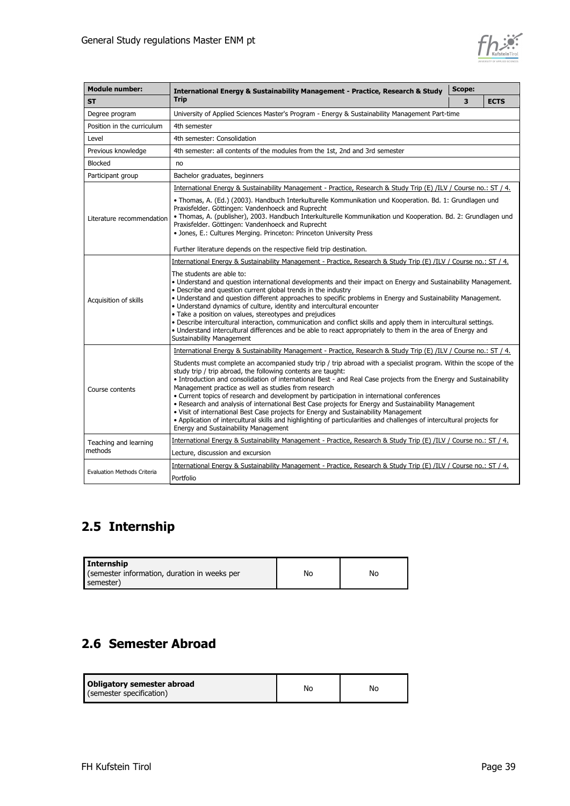

| <b>Module number:</b>              | <b>International Energy &amp; Sustainability Management - Practice, Research &amp; Study</b>                                                                                                                                                                                                                                                                                                                                                                                                                                                                                                                                                                                                                                                                                                                                    | Scope: |             |  |
|------------------------------------|---------------------------------------------------------------------------------------------------------------------------------------------------------------------------------------------------------------------------------------------------------------------------------------------------------------------------------------------------------------------------------------------------------------------------------------------------------------------------------------------------------------------------------------------------------------------------------------------------------------------------------------------------------------------------------------------------------------------------------------------------------------------------------------------------------------------------------|--------|-------------|--|
| <b>ST</b>                          | <b>Trip</b>                                                                                                                                                                                                                                                                                                                                                                                                                                                                                                                                                                                                                                                                                                                                                                                                                     |        | <b>ECTS</b> |  |
| Degree program                     | University of Applied Sciences Master's Program - Energy & Sustainability Management Part-time                                                                                                                                                                                                                                                                                                                                                                                                                                                                                                                                                                                                                                                                                                                                  |        |             |  |
| Position in the curriculum         | 4th semester                                                                                                                                                                                                                                                                                                                                                                                                                                                                                                                                                                                                                                                                                                                                                                                                                    |        |             |  |
| Level                              | 4th semester: Consolidation                                                                                                                                                                                                                                                                                                                                                                                                                                                                                                                                                                                                                                                                                                                                                                                                     |        |             |  |
| Previous knowledge                 | 4th semester: all contents of the modules from the 1st, 2nd and 3rd semester                                                                                                                                                                                                                                                                                                                                                                                                                                                                                                                                                                                                                                                                                                                                                    |        |             |  |
| <b>Blocked</b>                     | no                                                                                                                                                                                                                                                                                                                                                                                                                                                                                                                                                                                                                                                                                                                                                                                                                              |        |             |  |
| Participant group                  | Bachelor graduates, beginners                                                                                                                                                                                                                                                                                                                                                                                                                                                                                                                                                                                                                                                                                                                                                                                                   |        |             |  |
|                                    | International Energy & Sustainability Management - Practice, Research & Study Trip (E) /ILV / Course no.: ST / 4.                                                                                                                                                                                                                                                                                                                                                                                                                                                                                                                                                                                                                                                                                                               |        |             |  |
| Literature recommendation          | · Thomas, A. (Ed.) (2003). Handbuch Interkulturelle Kommunikation und Kooperation. Bd. 1: Grundlagen und<br>Praxisfelder. Göttingen: Vandenhoeck and Ruprecht<br>· Thomas, A. (publisher), 2003. Handbuch Interkulturelle Kommunikation und Kooperation. Bd. 2: Grundlagen und<br>Praxisfelder. Göttingen: Vandenhoeck and Ruprecht<br>• Jones, E.: Cultures Merging. Princeton: Princeton University Press<br>Further literature depends on the respective field trip destination.                                                                                                                                                                                                                                                                                                                                             |        |             |  |
|                                    | International Energy & Sustainability Management - Practice, Research & Study Trip (E) /ILV / Course no.: ST / 4.                                                                                                                                                                                                                                                                                                                                                                                                                                                                                                                                                                                                                                                                                                               |        |             |  |
| Acquisition of skills              | The students are able to:<br>. Understand and question international developments and their impact on Energy and Sustainability Management.<br>• Describe and question current global trends in the industry<br>. Understand and question different approaches to specific problems in Energy and Sustainability Management.<br>• Understand dynamics of culture, identity and intercultural encounter<br>• Take a position on values, stereotypes and prejudices<br>. Describe intercultural interaction, communication and conflict skills and apply them in intercultural settings.<br>. Understand intercultural differences and be able to react appropriately to them in the area of Energy and<br>Sustainability Management                                                                                              |        |             |  |
|                                    | International Energy & Sustainability Management - Practice, Research & Study Trip (E) /ILV / Course no.: ST / 4.                                                                                                                                                                                                                                                                                                                                                                                                                                                                                                                                                                                                                                                                                                               |        |             |  |
| Course contents                    | Students must complete an accompanied study trip / trip abroad with a specialist program. Within the scope of the<br>study trip / trip abroad, the following contents are taught:<br>. Introduction and consolidation of international Best - and Real Case projects from the Energy and Sustainability<br>Management practice as well as studies from research<br>• Current topics of research and development by participation in international conferences<br>. Research and analysis of international Best Case projects for Energy and Sustainability Management<br>. Visit of international Best Case projects for Energy and Sustainability Management<br>. Application of intercultural skills and highlighting of particularities and challenges of intercultural projects for<br>Energy and Sustainability Management |        |             |  |
| Teaching and learning              | International Energy & Sustainability Management - Practice, Research & Study Trip (E) /ILV / Course no.: ST / 4.                                                                                                                                                                                                                                                                                                                                                                                                                                                                                                                                                                                                                                                                                                               |        |             |  |
| methods                            | Lecture, discussion and excursion                                                                                                                                                                                                                                                                                                                                                                                                                                                                                                                                                                                                                                                                                                                                                                                               |        |             |  |
|                                    | International Energy & Sustainability Management - Practice, Research & Study Trip (E) /ILV / Course no.: ST / 4.                                                                                                                                                                                                                                                                                                                                                                                                                                                                                                                                                                                                                                                                                                               |        |             |  |
| <b>Evaluation Methods Criteria</b> | Portfolio                                                                                                                                                                                                                                                                                                                                                                                                                                                                                                                                                                                                                                                                                                                                                                                                                       |        |             |  |

# <span id="page-38-0"></span>**2.5 Internship**

| Internship                                                |    |    |
|-----------------------------------------------------------|----|----|
| (semester information, duration in weeks per<br>semester) | No | No |

### <span id="page-38-1"></span>**2.6 Semester Abroad**

| Obligatory semester abroad<br>(semester specification) | Nc | No |
|--------------------------------------------------------|----|----|
|--------------------------------------------------------|----|----|